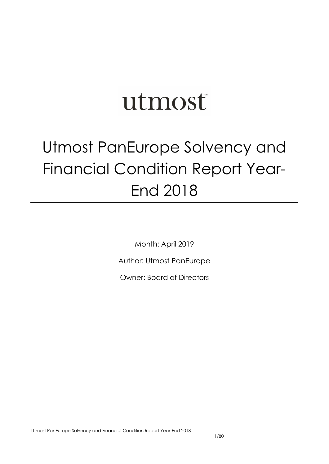# utmost

# Utmost PanEurope Solvency and Financial Condition Report Year-End 2018

Month: April 2019

Author: Utmost PanEurope

Owner: Board of Directors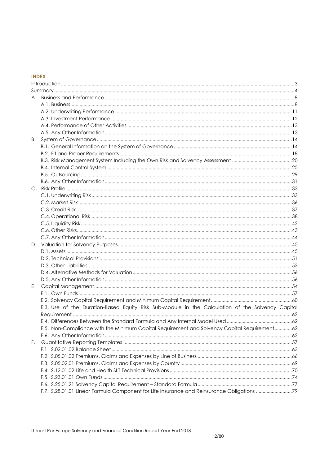# **INDEX**

| Ε. |                                                                                                  |  |
|----|--------------------------------------------------------------------------------------------------|--|
|    |                                                                                                  |  |
|    |                                                                                                  |  |
|    | E.3. Use of the Duration-Based Equity Risk Sub-Module in the Calculation of the Solvency Capital |  |
|    |                                                                                                  |  |
|    |                                                                                                  |  |
|    | E.5. Non-Compliance with the Minimum Capital Requirement and Solvency Capital Requirement62      |  |
|    |                                                                                                  |  |
| F. |                                                                                                  |  |
|    |                                                                                                  |  |
|    |                                                                                                  |  |
|    |                                                                                                  |  |
|    |                                                                                                  |  |
|    |                                                                                                  |  |
|    |                                                                                                  |  |
|    | F.7. S.28.01.01 Linear Formula Component for Life Insurance and Reinsurance Obligations 79       |  |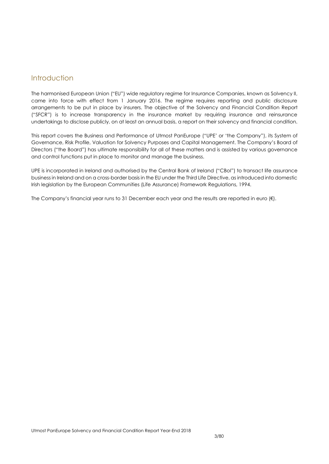# <span id="page-2-0"></span>Introduction

The harmonised European Union ("EU") wide regulatory regime for Insurance Companies, known as Solvency II, came into force with effect from 1 January 2016. The regime requires reporting and public disclosure arrangements to be put in place by insurers. The objective of the Solvency and Financial Condition Report ("SFCR") is to increase transparency in the insurance market by requiring insurance and reinsurance undertakings to disclose publicly, on at least an annual basis, a report on their solvency and financial condition.

This report covers the Business and Performance of Utmost PanEurope ("UPE' or 'the Company"), its System of Governance, Risk Profile, Valuation for Solvency Purposes and Capital Management. The Company's Board of Directors ("the Board") has ultimate responsibility for all of these matters and is assisted by various governance and control functions put in place to monitor and manage the business.

UPE is incorporated in Ireland and authorised by the Central Bank of Ireland ("CBoI") to transact life assurance business in Ireland and on a cross-border basis in the EU under the Third Life Directive, as introduced into domestic Irish legislation by the European Communities (Life Assurance) Framework Regulations, 1994.

The Company's financial year runs to 31 December each year and the results are reported in euro (€).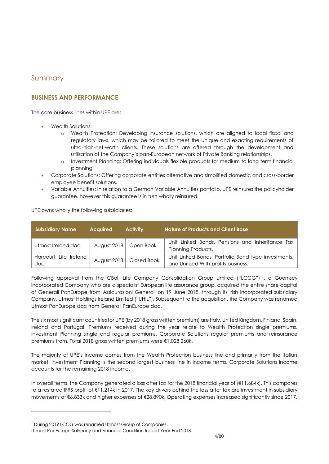# <span id="page-3-0"></span>Summary

# **BUSINESS AND PERFORMANCE**

The core business lines within UPF are:

- Wealth Solutions:
	- o Wealth Protection: Developing insurance solutions, which are aligned to local fiscal and regulatory laws, which may be tailored to meet the unique and exacting requirements of ultra-high-net-worth clients. These solutions are offered through the development and utilisation of the Company's pan-European network of Private Banking relationships.
	- o Investment Planning: Offering individuals flexible products for medium to long term financial planning.
- Corporate Solutions: Offering corporate entities alternative and simplified domestic and cross-border employee benefit solutions.
- Variable Annuities: In relation to a German Variable Annuities portfolio, UPE reinsures the policyholder guarantee, however this guarantee is in turn wholly reinsured.

UPE owns wholly the following subsidiaries:

| <b>Subsidiary Name</b>       | <b>Acquired</b> | <b>Activity</b>           | Nature of Products and Client Base                                                           |
|------------------------------|-----------------|---------------------------|----------------------------------------------------------------------------------------------|
| Utmost Ireland dac           |                 | August 2018   Open Book   | Unit Linked Bonds, Pensions and Inheritance Tax  <br>Planning Products.                      |
| Harcourt Life Ireland<br>dac |                 | August 2018   Closed Book | Unit Linked Bonds, Portfolio Bond type investments,  <br>and Unitised With-profits business. |

Following approval from the CBoI, Life Company Consolidation Group Limited ("LCCG")<sup>1</sup>, a Guernsey incorporated Company who are a specialist European life assurance group, acquired the entire share capital of Generali PanEurope from Assicurazioni Generali on 19 June 2018, through its Irish incorporated subsidiary Company, Utmost Holdings Ireland Limited ("UHIL"). Subsequent to the acquisition, the Company was renamed Utmost PanEurope dac from Generali PanEurope dac.

The six most significant countries for UPE (by 2018 gross written premium) are Italy, United Kingdom, Finland, Spain, Ireland and Portugal. Premiums received during the year relate to Wealth Protection single premiums, Investment Planning single and regular premiums, Corporate Solutions regular premiums and reinsurance premiums from. Total 2018 gross written premiums were €1,028,260k.

The majority of UPE's income comes from the Wealth Protection business line and primarily from the Italian market. Investment Planning is the second largest business line in income terms. Corporate Solutions income accounts for the remaining 2018 income.

In overall terms, the Company generated a loss after tax for the 2018 financial year of (€11,684k). This compares to a restated IFRS profit of €11,214k in 2017. The key drivers behind the loss after tax are investment in subsidiary movements of €6,833k and higher expenses of €28,890k. Operating expenses increased significantly since 2017,

-

<sup>&</sup>lt;sup>1</sup> During 2019 LCCG was renamed Utmost Group of Companies.

Utmost PanEurope Solvency and Financial Condition Report Year-End 2018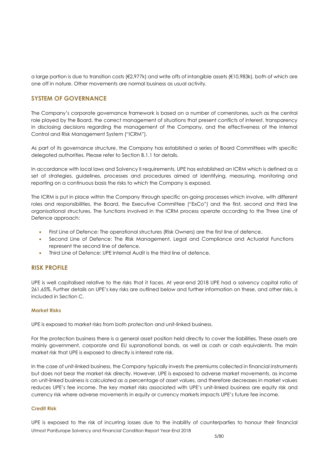a large portion is due to transition costs (€2,977k) and write offs of intangible assets (€10,983k), both of which are one off in nature. Other movements are normal business as usual activity.

# **SYSTEM OF GOVERNANCE**

The Company's corporate governance framework is based on a number of cornerstones, such as the central role played by the Board, the correct management of situations that present conflicts of interest, transparency in disclosing decisions regarding the management of the Company, and the effectiveness of the Internal Control and Risk Management System ("ICRM").

As part of its governance structure, the Company has established a series of Board Committees with specific delegated authorities. Please refer to Section B.1.1 for details.

In accordance with local laws and Solvency II requirements, UPE has established an ICRM which is defined as a set of strategies, guidelines, processes and procedures aimed at identifying, measuring, monitoring and reporting on a continuous basis the risks to which the Company is exposed.

The ICRM is put in place within the Company through specific on-going processes which involve, with different roles and responsibilities, the Board, the Executive Committee ("ExCo") and the first, second and third line organisational structures. The functions involved in the ICRM process operate according to the Three Line of Defence approach:

- First Line of Defence: The operational structures (Risk Owners) are the first line of defence.
- Second Line of Defence: The Risk Management, Legal and Compliance and Actuarial Functions represent the second line of defence.
- Third Line of Defence: UPE Internal Audit is the third line of defence.

# **RISK PROFILE**

UPE is well capitalised relative to the risks that it faces. At year-end 2018 UPE had a solvency capital ratio of 261.65%. Further details on UPE's key risks are outlined below and further information on these, and other risks, is included in Section C.

#### **Market Risks**

UPE is exposed to market risks from both protection and unit-linked business.

For the protection business there is a general asset position held directly to cover the liabilities. These assets are mainly government, corporate and EU supranational bonds, as well as cash or cash equivalents. The main market risk that UPE is exposed to directly is interest rate risk.

In the case of unit-linked business, the Company typically invests the premiums collected in financial instruments but does not bear the market risk directly. However, UPE is exposed to adverse market movements, as income on unit-linked business is calculated as a percentage of asset values, and therefore decreases in market values reduces UPE's fee income. The key market risks associated with UPE's unit-linked business are equity risk and currency risk where adverse movements in equity or currency markets impacts UPE's future fee income.

#### **Credit Risk**

Utmost PanEurope Solvency and Financial Condition Report Year-End 2018 UPE is exposed to the risk of incurring losses due to the inability of counterparties to honour their financial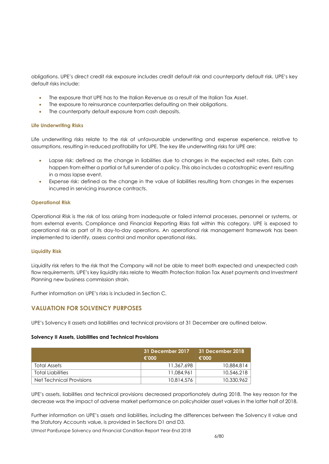obligations. UPE's direct credit risk exposure includes credit default risk and counterparty default risk. UPE's key default risks include:

- The exposure that UPE has to the Italian Revenue as a result of the Italian Tax Asset.
- The exposure to reinsurance counterparties defaulting on their obligations.
- The counterparty default exposure from cash deposits.

#### **Life Underwriting Risks**

Life underwriting risks relate to the risk of unfavourable underwriting and expense experience, relative to assumptions, resulting in reduced profitability for UPE. The key life underwriting risks for UPE are:

- Lapse risk: defined as the change in liabilities due to changes in the expected exit rates. Exits can happen from either a partial or full surrender of a policy. This also includes a catastrophic event resulting in a mass lapse event.
- Expense risk: defined as the change in the value of liabilities resulting from changes in the expenses incurred in servicing insurance contracts.

#### **Operational Risk**

Operational Risk is the risk of loss arising from inadequate or failed internal processes, personnel or systems, or from external events. Compliance and Financial Reporting Risks fall within this category. UPE is exposed to operational risk as part of its day-to-day operations. An operational risk management framework has been implemented to identify, assess control and monitor operational risks.

#### **Liquidity Risk**

Liquidity risk refers to the risk that the Company will not be able to meet both expected and unexpected cash flow requirements. UPE's key liquidity risks relate to Wealth Protection Italian Tax Asset payments and Investment Planning new business commission strain.

Further information on UPE's risks is included in Section C.

# **VALUATION FOR SOLVENCY PURPOSES**

UPE's Solvency II assets and liabilities and technical provisions at 31 December are outlined below.

#### **Solvency II Assets, Liabilities and Technical Provisions**

|                          | 31 December 2017<br>€'000 | 31 December 2018<br>€'000 |
|--------------------------|---------------------------|---------------------------|
| Total Assets             | 11,367,698                | 10,884,814                |
| Total Liabilities        | 11.084.961                | 10,546,218                |
| Net Technical Provisions | 10.814.576                | 10,330,962                |

UPE's assets, liabilities and technical provisions decreased proportionately during 2018. The key reason for the decrease was the impact of adverse market performance on policyholder asset values in the latter half of 2018.

Further information on UPE's assets and liabilities, including the differences between the Solvency II value and the Statutory Accounts value, is provided in Sections D1 and D3.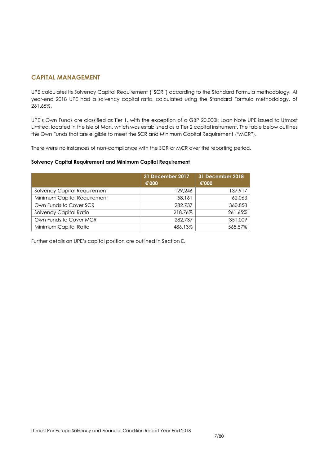# **CAPITAL MANAGEMENT**

UPE calculates its Solvency Capital Requirement ("SCR") according to the Standard Formula methodology. At year-end 2018 UPE had a solvency capital ratio, calculated using the Standard Formula methodology, of 261.65%.

UPE's Own Funds are classified as Tier 1, with the exception of a GBP 20,000k Loan Note UPE issued to Utmost Limited, located in the Isle of Man, which was established as a Tier 2 capital instrument. The table below outlines the Own Funds that are eligible to meet the SCR and Minimum Capital Requirement ("MCR").

There were no instances of non-compliance with the SCR or MCR over the reporting period.

#### **Solvency Capital Requirement and Minimum Capital Requirement**

|                              | 31 December 2017<br>€'000 | 31 December 2018<br>€'000 |
|------------------------------|---------------------------|---------------------------|
| Solvency Capital Requirement | 129,246                   | 137,917                   |
| Minimum Capital Requirement  | 58,161                    | 62,063                    |
| Own Funds to Cover SCR       | 282,737                   | 360,858                   |
| Solvency Capital Ratio       | 218.76%                   | 261.65%                   |
| Own Funds to Cover MCR       | 282,737                   | 351,009                   |
| Minimum Capital Ratio        | 486.13%                   | 565.57%                   |

Further details on UPE's capital position are outlined in Section E.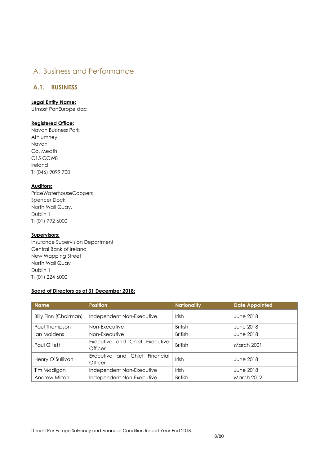# <span id="page-7-0"></span>A. Business and Performance

# <span id="page-7-1"></span>**A.1. BUSINESS**

# **Legal Entity Name:**

Utmost PanEurope dac

## **Registered Office:**

Navan Business Park Athlumney Navan Co. Meath C15 CCW8 Ireland T: (046) 9099 700

# **Auditors:**

PriceWaterhouseCoopers Spencer Dock, North Wall Quay, Dublin 1 T: (01) 792 6000

# **Supervisors:**

Insurance Supervision Department Central Bank of Ireland New Wapping Street North Wall Quay Dublin 1 T: (01) 224 6000

## **Board of Directors as at 31 December 2018:**

| <b>Name</b>                  | <b>Position</b>                          | <b>Nationality</b> | <b>Date Appointed</b> |
|------------------------------|------------------------------------------|--------------------|-----------------------|
| <b>Billy Finn (Chairman)</b> | Independent Non-Executive                | Irish              | June 2018             |
| Paul Thompson                | Non-Executive                            | <b>British</b>     | June 2018             |
| Ian Maidens                  | Non-Executive                            | <b>British</b>     | June 2018             |
| Paul Gillett                 | Executive and Chief Executive<br>Officer | <b>British</b>     | <b>March 2001</b>     |
| Henry O'Sullivan             | Executive and Chief Financial<br>Officer | Irish              | June 2018             |
| Tim Madigan                  | Independent Non-Executive                | <b>Irish</b>       | June 2018             |
| Andrew Milton                | Independent Non-Executive                | <b>British</b>     | <b>March 2012</b>     |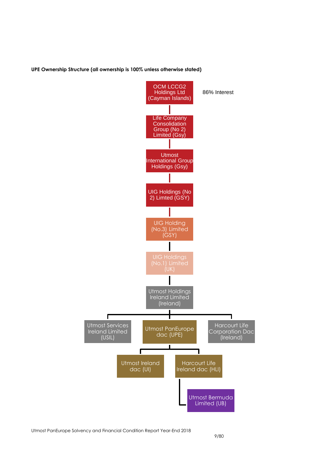#### **UPE Ownership Structure (all ownership is 100% unless otherwise stated)**

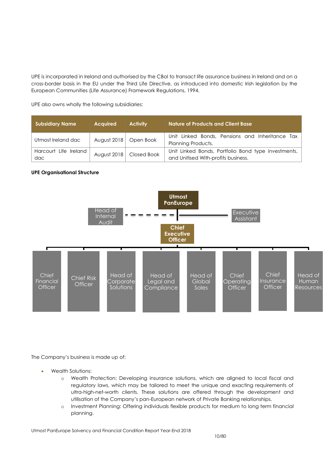UPE is incorporated in Ireland and authorised by the CBoI to transact life assurance business in Ireland and on a cross-border basis in the EU under the Third Life Directive, as introduced into domestic Irish legislation by the European Communities (Life Assurance) Framework Regulations, 1994.

UPE also owns wholly the following subsidiaries:

| <b>Subsidiary Name</b>       | <b>Acquired</b> | <b>Activity</b> | <b>Nature of Products and Client Base</b>                                                  |
|------------------------------|-----------------|-----------------|--------------------------------------------------------------------------------------------|
| Utmost Ireland dac           | August 2018     | Open Book       | Unit Linked Bonds, Pensions and Inheritance Tax<br>Planning Products.                      |
| Harcourt Life Ireland<br>dac | August 2018     | Closed Book     | Unit Linked Bonds, Portfolio Bond type investments,<br>and Unitised With-profits business. |

## **UPE Organisational Structure**



The Company's business is made up of:

- Wealth Solutions:
	- o Wealth Protection: Developing insurance solutions, which are aligned to local fiscal and regulatory laws, which may be tailored to meet the unique and exacting requirements of ultra-high-net-worth clients. These solutions are offered through the development and utilisation of the Company's pan-European network of Private Banking relationships.
	- o Investment Planning: Offering individuals flexible products for medium to long term financial planning.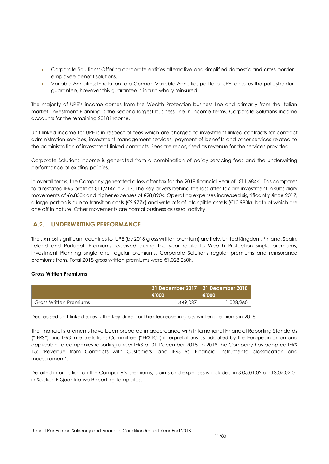- Corporate Solutions: Offering corporate entities alternative and simplified domestic and cross-border employee benefit solutions.
- Variable Annuities: In relation to a German Variable Annuities portfolio, UPE reinsures the policyholder guarantee, however this guarantee is in turn wholly reinsured.

The majority of UPE's income comes from the Wealth Protection business line and primarily from the Italian market. Investment Planning is the second largest business line in income terms. Corporate Solutions income accounts for the remaining 2018 income.

Unit-linked income for UPE is in respect of fees which are charged to investment-linked contracts for contract administration services, investment management services, payment of benefits and other services related to the administration of investment-linked contracts. Fees are recognised as revenue for the services provided.

Corporate Solutions income is generated from a combination of policy servicing fees and the underwriting performance of existing policies.

In overall terms, the Company generated a loss after tax for the 2018 financial year of (€11,684k). This compares to a restated IFRS profit of €11,214k in 2017. The key drivers behind the loss after tax are investment in subsidiary movements of €6,833k and higher expenses of €28,890k. Operating expenses increased significantly since 2017, a large portion is due to transition costs (€2,977k) and write offs of intangible assets (€10,983k), both of which are one off in nature. Other movements are normal business as usual activity.

# <span id="page-10-0"></span>**A.2. UNDERWRITING PERFORMANCE**

The six most significant countries for UPE (by 2018 gross written premium) are Italy, United Kingdom, Finland, Spain, Ireland and Portugal. Premiums received during the year relate to Wealth Protection single premiums, Investment Planning single and regular premiums, Corporate Solutions regular premiums and reinsurance premiums from. Total 2018 gross written premiums were €1,028,260k.

#### **Gross Written Premiums**

|                        | €'000      | $^{\circ}$ 31 December 2017 $\parallel$ 31 December 2018 $^{\circ}$<br>€'000 |
|------------------------|------------|------------------------------------------------------------------------------|
| Gross Written Premiums | 87.0449 .ا | 1,028,260                                                                    |

Decreased unit-linked sales is the key driver for the decrease in gross written premiums in 2018.

The financial statements have been prepared in accordance with International Financial Reporting Standards ("IFRS") and IFRS Interpretations Committee ("FRS IC") interpretations as adopted by the European Union and applicable to companies reporting under IFRS at 31 December 2018. In 2018 the Company has adopted IFRS 15: 'Revenue from Contracts with Customers' and IFRS 9: 'Financial instruments: classification and measurement'.

<span id="page-10-1"></span>Detailed information on the Company's premiums, claims and expenses is included in S.05.01.02 and S.05.02.01 in Section F Quantitative Reporting Templates.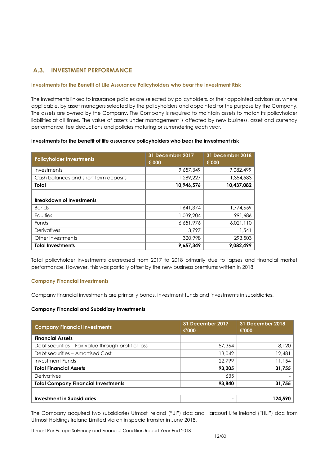# **A.3. INVESTMENT PERFORMANCE**

#### **Investments for the Benefit of Life Assurance Policyholders who bear the Investment Risk**

The investments linked to insurance policies are selected by policyholders, or their appointed advisors or, where applicable, by asset managers selected by the policyholders and appointed for the purpose by the Company. The assets are owned by the Company. The Company is required to maintain assets to match its policyholder liabilities at all times. The value of assets under management is affected by new business, asset and currency performance, fee deductions and policies maturing or surrendering each year.

#### **Investments for the benefit of life assurance policyholders who bear the investment risk**

| <b>Policyholder Investments</b>       | 31 December 2017<br>€'000 | <b>31 December 2018</b><br>€'000 |
|---------------------------------------|---------------------------|----------------------------------|
| Investments                           | 9,657,349                 | 9,082,499                        |
| Cash balances and short term deposits | 1.289.227                 | 1,354,583                        |
| Total                                 | 10,946,576                | 10,437,082                       |
|                                       |                           |                                  |
| <b>Breakdown of Investments</b>       |                           |                                  |
| <b>Bonds</b>                          | 1,641,374                 | 1,774,659                        |
| Equities                              | 1.039.204                 | 991,686                          |
| <b>Funds</b>                          | 6,651,976                 | 6,021,110                        |
| Derivatives                           | 3.797                     | 1,541                            |
| Other Investments                     | 320,998                   | 293,503                          |
| <b>Total Investments</b>              | 9,657,349                 | 9,082,499                        |

Total policyholder investments decreased from 2017 to 2018 primarily due to lapses and financial market performance. However, this was partially offset by the new business premiums written in 2018.

#### **Company Financial Investments**

Company financial investments are primarily bonds, investment funds and investments in subsidiaries.

#### **Company Financial and Subsidiary Investments**

| <b>Company Financial Investments</b>                | 31 December 2017<br>€'000 | 31 December 2018<br>€'000 |
|-----------------------------------------------------|---------------------------|---------------------------|
| <b>Financial Assets</b>                             |                           |                           |
| Debt securities – Fair value through profit or loss | 57,364                    | 8,120                     |
| Debt securities - Amortised Cost                    | 13,042                    | 12,481                    |
| Investment Funds                                    | 22.799                    | 11,154                    |
| <b>Total Financial Assets</b>                       | 93,205                    | 31,755                    |
| <b>Derivatives</b>                                  | 635                       |                           |
| <b>Total Company Financial Investments</b>          | 93,840                    | 31,755                    |
|                                                     |                           |                           |
| <b>Investment in Subsidiaries</b>                   |                           | 124,590                   |

The Company acquired two subsidiaries Utmost Ireland ("UI") dac and Harcourt Life Ireland ("HLI") dac from Utmost Holdings Ireland Limited via an in specie transfer in June 2018.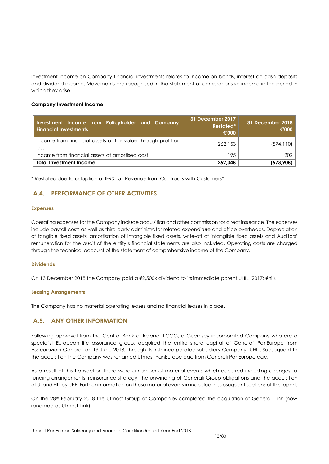Investment income on Company financial investments relates to income on bonds, interest on cash deposits and dividend income. Movements are recognised in the statement of comprehensive income in the period in which they arise.

#### **Company Investment Income**

| Investment Income from Policyholder and Company<br><b>Financial Investments</b> | 31 December 2017<br><b>Restated*</b><br>€'000 | 31 December 2018<br>€'000 |
|---------------------------------------------------------------------------------|-----------------------------------------------|---------------------------|
| Income from financial assets at fair value through profit or<br>loss            | 262.153                                       | (574, 110)                |
| Income from financial assets at amortised cost                                  | 195                                           | 202                       |
| <b>Total Investment Income</b>                                                  | 262.348                                       | (573,908)                 |

<span id="page-12-0"></span>\* Restated due to adoption of IFRS 15 "Revenue from Contracts with Customers".

# **A.4. PERFORMANCE OF OTHER ACTIVITIES**

#### **Expenses**

Operating expenses for the Company include acquisition and other commission for direct insurance. The expenses include payroll costs as well as third party administrator related expenditure and office overheads. Depreciation of tangible fixed assets, amortisation of intangible fixed assets, write-off of intangible fixed assets and Auditors' remuneration for the audit of the entity's financial statements are also included. Operating costs are charged through the technical account of the statement of comprehensive income of the Company.

#### **Dividends**

On 13 December 2018 the Company paid a €2,500k dividend to its immediate parent UHIL (2017: €nil).

#### **Leasing Arrangements**

The Company has no material operating leases and no financial leases in place.

## <span id="page-12-1"></span>**A.5. ANY OTHER INFORMATION**

Following approval from the Central Bank of Ireland, LCCG, a Guernsey incorporated Company who are a specialist European life assurance group, acquired the entire share capital of Generali PanEurope from Assicurazioni Generali on 19 June 2018, through its Irish incorporated subsidiary Company, UHIL. Subsequent to the acquisition the Company was renamed Utmost PanEurope dac from Generali PanEurope dac.

As a result of this transaction there were a number of material events which occurred including changes to funding arrangements, reinsurance strategy, the unwinding of Generali Group obligations and the acquisition of UI and HLI by UPE. Further information on these material events in included in subsequent sections of this report.

<span id="page-12-2"></span>On the 28th February 2018 the Utmost Group of Companies completed the acquisition of Generali Link (now renamed as Utmost Link).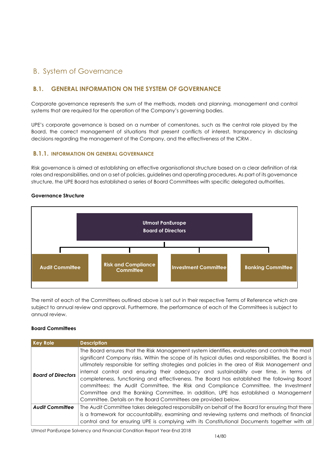# B. System of Governance

# <span id="page-13-0"></span>**B.1. GENERAL INFORMATION ON THE SYSTEM OF GOVERNANCE**

Corporate governance represents the sum of the methods, models and planning, management and control systems that are required for the operation of the Company's governing bodies.

UPE's corporate governance is based on a number of cornerstones, such as the central role played by the Board, the correct management of situations that present conflicts of interest, transparency in disclosing decisions regarding the management of the Company, and the effectiveness of the ICRM .

# **B.1.1. INFORMATION ON GENERAL GOVERNANCE**

Risk governance is aimed at establishing an effective organisational structure based on a clear definition of risk roles and responsibilities, and on a set of policies, guidelines and operating procedures. As part of its governance structure, the UPE Board has established a series of Board Committees with specific delegated authorities.

#### **Governance Structure**



The remit of each of the Committees outlined above is set out in their respective Terms of Reference which are subject to annual review and approval. Furthermore, the performance of each of the Committees is subject to annual review.

## **Board Committees**

| <b>Key Role</b>           | <b>Description</b>                                                                                                                                                                                                                                                                                                                                                                                                                                                                                                                                                                                                                                                                                                                           |
|---------------------------|----------------------------------------------------------------------------------------------------------------------------------------------------------------------------------------------------------------------------------------------------------------------------------------------------------------------------------------------------------------------------------------------------------------------------------------------------------------------------------------------------------------------------------------------------------------------------------------------------------------------------------------------------------------------------------------------------------------------------------------------|
| <b>Board of Directors</b> | The Board ensures that the Risk Management system identifies, evaluates and controls the most<br>significant Company risks. Within the scope of its typical duties and responsibilities, the Board is<br>ultimately responsible for setting strategies and policies in the area of Risk Management and<br>internal control and ensuring their adequacy and sustainability over time, in terms of<br>completeness, functioning and effectiveness. The Board has established the following Board<br>committees: the Audit Committee, the Risk and Compliance Committee, the Investment<br>Committee and the Banking Committee. In addition, UPE has established a Management<br>Committee. Details on the Board Committees are provided below. |
| <b>Audit Committee</b>    | The Audit Committee takes delegated responsibility on behalf of the Board for ensuring that there                                                                                                                                                                                                                                                                                                                                                                                                                                                                                                                                                                                                                                            |
|                           | is a framework for accountability, examining and reviewing systems and methods of financial<br>control and for ensuring UPE is complying with its Constitutional Documents together with all                                                                                                                                                                                                                                                                                                                                                                                                                                                                                                                                                 |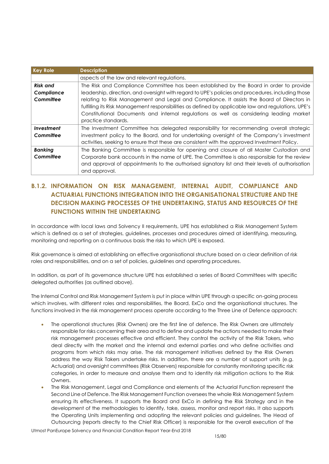| <b>Key Role</b> | <b>Description</b>                                                                                  |
|-----------------|-----------------------------------------------------------------------------------------------------|
|                 | aspects of the law and relevant regulations.                                                        |
| <b>Risk and</b> | The Risk and Compliance Committee has been established by the Board in order to provide             |
| Compliance      | leadership, direction, and oversight with regard to UPE's policies and procedures, including those  |
| Committee       | relating to Risk Management and Legal and Compliance. It assists the Board of Directors in          |
|                 | fulfilling its Risk Management responsibilities as defined by applicable law and regulations, UPE's |
|                 | Constitutional Documents and internal regulations as well as considering leading market             |
|                 | practice standards.                                                                                 |
| Investment      | The Investment Committee has delegated responsibility for recommending overall strategic            |
| Committee       | investment policy to the Board, and for undertaking oversight of the Company's investment           |
|                 | activities, seeking to ensure that these are consistent with the approved Investment Policy.        |
| <b>Banking</b>  | The Banking Committee is responsible for opening and closure of all Master Custodian and            |
| Committee       | Corporate bank accounts in the name of UPE. The Committee is also responsible for the review        |
|                 | and approval of appointments to the authorised signatory list and their levels of authorisation     |
|                 | and approval.                                                                                       |

# **B.1.2. INFORMATION ON RISK MANAGEMENT, INTERNAL AUDIT, COMPLIANCE AND ACTUARIAL FUNCTIONS INTEGRATION INTO THE ORGANISATIONAL STRUCTURE AND THE DECISION MAKING PROCESSES OF THE UNDERTAKING, STATUS AND RESOURCES OF THE FUNCTIONS WITHIN THE UNDERTAKING**

In accordance with local laws and Solvency II requirements, UPE has established a Risk Management System which is defined as a set of strategies, guidelines, processes and procedures aimed at identifying, measuring, monitoring and reporting on a continuous basis the risks to which UPE is exposed.

Risk governance is aimed at establishing an effective organisational structure based on a clear definition of risk roles and responsibilities, and on a set of policies, guidelines and operating procedures.

In addition, as part of its governance structure UPE has established a series of Board Committees with specific delegated authorities (as outlined above).

The Internal Control and Risk Management System is put in place within UPE through a specific on-going process which involves, with different roles and responsibilities, the Board, ExCo and the organisational structures. The functions involved in the risk management process operate according to the Three Line of Defence approach:

- The operational structures (Risk Owners) are the first line of defence. The Risk Owners are ultimately responsible for risks concerning their area and to define and update the actions needed to make their risk management processes effective and efficient. They control the activity of the Risk Takers, who deal directly with the market and the internal and external parties and who define activities and programs from which risks may arise. The risk management initiatives defined by the Risk Owners address the way Risk Takers undertake risks. In addition, there are a number of support units (e.g. Actuarial) and oversight committees (Risk Observers) responsible for constantly monitoring specific risk categories, in order to measure and analyse them and to identity risk mitigation actions to the Risk **Owners**
- The Risk Management, Legal and Compliance and elements of the Actuarial Function represent the Second Line of Defence. The Risk Management Function oversees the whole Risk Management System ensuring its effectiveness. It supports the Board and ExCo in defining the Risk Strategy and in the development of the methodologies to identify, take, assess, monitor and report risks. It also supports the Operating Units implementing and adopting the relevant policies and guidelines. The Head of Outsourcing (reports directly to the Chief Risk Officer) is responsible for the overall execution of the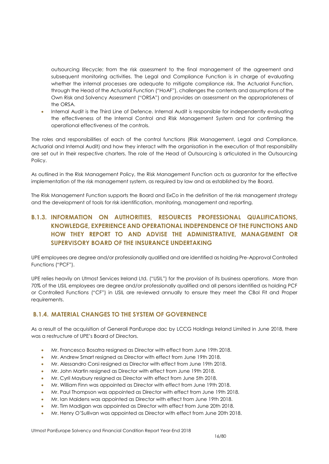outsourcing lifecycle; from the risk assessment to the final management of the agreement and subsequent monitoring activities. The Legal and Compliance Function is in charge of evaluating whether the internal processes are adequate to mitigate compliance risk. The Actuarial Function, through the Head of the Actuarial Function ("HoAF"), challenges the contents and assumptions of the Own Risk and Solvency Assessment ("ORSA") and provides an assessment on the appropriateness of the ORSA.

 Internal Audit is the Third Line of Defence. Internal Audit is responsible for independently evaluating the effectiveness of the Internal Control and Risk Management System and for confirming the operational effectiveness of the controls.

The roles and responsibilities of each of the control functions (Risk Management, Legal and Compliance, Actuarial and Internal Audit) and how they interact with the organisation in the execution of that responsibility are set out in their respective charters. The role of the Head of Outsourcing is articulated in the Outsourcing Policy.

As outlined in the Risk Management Policy, the Risk Management Function acts as guarantor for the effective implementation of the risk management system, as required by law and as established by the Board.

The Risk Management Function supports the Board and ExCo in the definition of the risk management strategy and the development of tools for risk identification, monitoring, management and reporting.

# **B.1.3. INFORMATION ON AUTHORITIES, RESOURCES PROFESSIONAL QUALIFICATIONS, KNOWLEDGE, EXPERIENCE AND OPERATIONAL INDEPENDENCE OF THE FUNCTIONS AND HOW THEY REPORT TO AND ADVISE THE ADMINISTRATIVE, MANAGEMENT OR SUPERVISORY BOARD OF THE INSURANCE UNDERTAKING**

UPE employees are degree and/or professionally qualified and are identified as holding Pre-Approval Controlled Functions ("PCF").

UPE relies heavily on Utmost Services Ireland Ltd. ("USIL") for the provision of its business operations. More than 70% of the USIL employees are degree and/or professionally qualified and all persons identified as holding PCF or Controlled Functions ("CF") in USIL are reviewed annually to ensure they meet the CBoI Fit and Proper requirements.

# **B.1.4. MATERIAL CHANGES TO THE SYSTEM OF GOVERNENCE**

As a result of the acquisition of Generali PanEurope dac by LCCG Holdings Ireland Limited in June 2018, there was a restructure of UPE's Board of Directors.

- Mr. Francesco Bosatra resigned as Director with effect from June 19th 2018.
- Mr. Andrew Smart resigned as Director with effect from June 19th 2018.
- Mr. Alessandro Corsi resigned as Director with effect from June 19th 2018.
- Mr. John Martin resigned as Director with effect from June 19th 2018.
- Mr. Cyril Maybury resigned as Director with effect from June 5th 2018.
- Mr. William Finn was appointed as Director with effect from June 19th 2018.
- Mr. Paul Thompson was appointed as Director with effect from June 19th 2018.
- Mr. Ian Maidens was appointed as Director with effect from June 19th 2018.
- Mr. Tim Madigan was appointed as Director with effect from June 20th 2018.
- Mr. Henry O'Sullivan was appointed as Director with effect from June 20th 2018.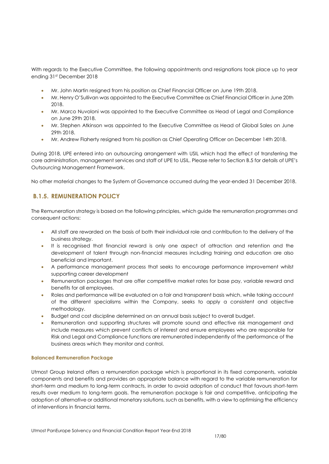With regards to the Executive Committee, the following appointments and resignations took place up to year ending 31st December 2018

- Mr. John Martin resigned from his position as Chief Financial Officer on June 19th 2018.
- Mr. Henry O'Sullivan was appointed to the Executive Committee as Chief Financial Officer in June 20th  $2018$
- Mr. Marco Nuvoloni was appointed to the Executive Committee as Head of Legal and Compliance on June 29th 2018.
- Mr. Stephen Atkinson was appointed to the Executive Committee as Head of Global Sales on June 29th 2018.
- Mr. Andrew Flaherty resigned from his position as Chief Operating Officer on December 14th 2018.

During 2018, UPE entered into an outsourcing arrangement with USIL which had the effect of transferring the core administration, management services and staff of UPE to USIL. Please refer to Section B.5 for details of UPE's Outsourcing Management Framework.

No other material changes to the System of Governance occurred during the year-ended 31 December 2018.

# **B.1.5. REMUNERATION POLICY**

The Remuneration strategy is based on the following principles, which guide the remuneration programmes and consequent actions:

- All staff are rewarded on the basis of both their individual role and contribution to the delivery of the business strategy.
- It is recognised that financial reward is only one aspect of attraction and retention and the development of talent through non-financial measures including training and education are also beneficial and important.
- A performance management process that seeks to encourage performance improvement whilst supporting career development
- Remuneration packages that are offer competitive market rates for base pay, variable reward and benefits for all employees.
- Roles and performance will be evaluated on a fair and transparent basis which, while taking account of the different specialisms within the Company, seeks to apply a consistent and objective methodology.
- Budget and cost discipline determined on an annual basis subject to overall budget.
- Remuneration and supporting structures will promote sound and effective risk management and include measures which prevent conflicts of interest and ensure employees who are responsible for Risk and Legal and Compliance functions are remunerated independently of the performance of the business areas which they monitor and control.

#### **Balanced Remuneration Package**

Utmost Group Ireland offers a remuneration package which is proportional in its fixed components, variable components and benefits and provides an appropriate balance with regard to the variable remuneration for short-term and medium to long-term contracts, in order to avoid adoption of conduct that favours short-term results over medium to long-term goals. The remuneration package is fair and competitive, anticipating the adoption of alternative or additional monetary solutions, such as benefits, with a view to optimising the efficiency of interventions in financial terms.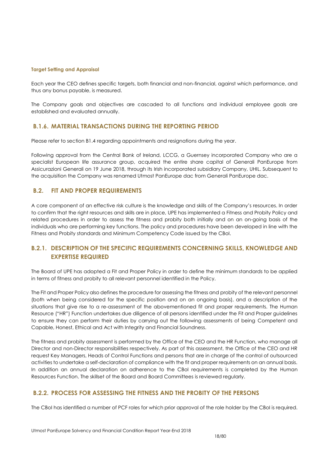#### **Target Setting and Appraisal**

Each year the CEO defines specific targets, both financial and non-financial, against which performance, and thus any bonus payable, is measured.

The Company goals and objectives are cascaded to all functions and individual employee goals are established and evaluated annually.

# **B.1.6. MATERIAL TRANSACTIONS DURING THE REPORTING PERIOD**

Please refer to section B1.4 regarding appointments and resignations during the year.

Following approval from the Central Bank of Ireland, LCCG, a Guernsey incorporated Company who are a specialist European life assurance group, acquired the entire share capital of Generali PanEurope from Assicurazioni Generali on 19 June 2018, through its Irish incorporated subsidiary Company, UHIL. Subsequent to the acquisition the Company was renamed Utmost PanEurope dac from Generali PanEurope dac.

# <span id="page-17-0"></span>**B.2. FIT AND PROPER REQUIREMENTS**

A core component of an effective risk culture is the knowledge and skills of the Company's resources. In order to confirm that the right resources and skills are in place, UPE has implemented a Fitness and Probity Policy and related procedures in order to assess the fitness and probity both initially and on an on-going basis of the individuals who are performing key functions. The policy and procedures have been developed in line with the Fitness and Probity standards and Minimum Competency Code issued by the CBoI.

# **B.2.1. DESCRIPTION OF THE SPECIFIC REQUIREMENTS CONCERNING SKILLS, KNOWLEDGE AND EXPERTISE REQUIRED**

The Board of UPE has adopted a Fit and Proper Policy in order to define the minimum standards to be applied in terms of fitness and probity to all relevant personnel identified in the Policy.

The Fit and Proper Policy also defines the procedure for assessing the fitness and probity of the relevant personnel (both when being considered for the specific position and on an ongoing basis), and a description of the situations that give rise to a re-assessment of the abovementioned fit and proper requirements. The Human Resource ("HR") Function undertakes due diligence of all persons identified under the Fit and Proper guidelines to ensure they can perform their duties by carrying out the following assessments of being Competent and Capable, Honest, Ethical and Act with Integrity and Financial Soundness.

The fitness and probity assessment is performed by the Office of the CEO and the HR Function, who manage all Director and non-Director responsibilities respectively. As part of this assessment, the Office of the CEO and HR request Key Managers, Heads of Control Functions and persons that are in charge of the control of outsourced activities to undertake a self-declaration of compliance with the fit and proper requirements on an annual basis. In addition an annual declaration on adherence to the CBoI requirements is completed by the Human Resources Function. The skillset of the Board and Board Committees is reviewed regularly.

# **B.2.2. PROCESS FOR ASSESSING THE FITNESS AND THE PROBITY OF THE PERSONS**

The CBoI has identified a number of PCF roles for which prior approval of the role holder by the CBoI is required.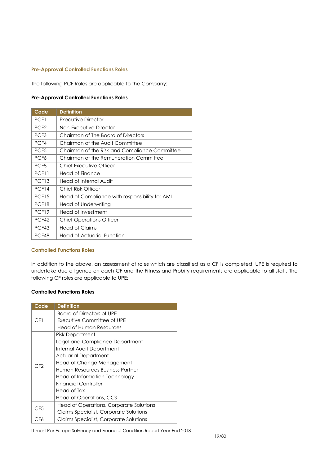#### **Pre-Approval Controlled Functions Roles**

The following PCF Roles are applicable to the Company:

#### **Pre-Approval Controlled Functions Roles**

| Code              | <b>Definition</b>                              |
|-------------------|------------------------------------------------|
| PCF1              | Executive Director                             |
| PCF <sub>2</sub>  | Non-Executive Director                         |
| PCF <sub>3</sub>  | Chairman of The Board of Directors             |
| PCF4              | Chairman of the Audit Committee                |
| PCF <sub>5</sub>  | Chairman of the Risk and Compliance Committee  |
| PCF <sub>6</sub>  | Chairman of the Remuneration Committee         |
| PCF <sub>8</sub>  | Chief Executive Officer                        |
| PCF11             | Head of Finance                                |
| PCF <sub>13</sub> | Head of Internal Audit                         |
| PCF14             | Chief Risk Officer                             |
| PCF <sub>15</sub> | Head of Compliance with responsibility for AML |
| PCF <sub>18</sub> | Head of Underwriting                           |
| PCF <sub>19</sub> | Head of Investment                             |
| PCF42             | <b>Chief Operations Officer</b>                |
| PCF43             | Head of Claims                                 |
| PCF48             | Head of Actuarial Function                     |

#### **Controlled Functions Roles**

In addition to the above, an assessment of roles which are classified as a CF is completed. UPE is required to undertake due diligence on each CF and the Fitness and Probity requirements are applicable to all staff. The following CF roles are applicable to UPE:

#### **Controlled Functions Roles**

| Code            | <b>Definition</b>                       |
|-----------------|-----------------------------------------|
| CF1             | <b>Board of Directors of UPE</b>        |
|                 | Executive Committee of UPE              |
|                 | Head of Human Resources                 |
| C <sub>F2</sub> | <b>Risk Department</b>                  |
|                 | Legal and Compliance Department         |
|                 | Internal Audit Department               |
|                 | Actuarial Department                    |
|                 | Head of Change Management               |
|                 | Human Resources Business Partner        |
|                 | Head of Information Technology          |
|                 | <b>Financial Controller</b>             |
|                 | Head of Tax                             |
|                 | Head of Operations, CCS                 |
| CF <sub>5</sub> | Head of Operations, Corporate Solutions |
|                 | Claims Specialist, Corporate Solutions  |
| CF6             | Claims Specialist, Corporate Solutions  |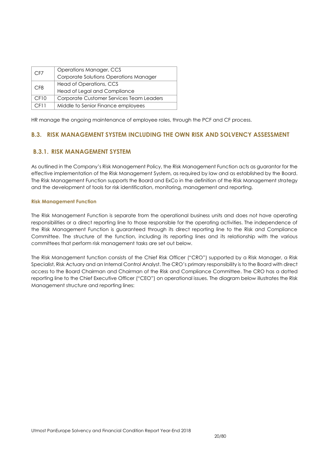| CF7             | Operations Manager, CCS                  |
|-----------------|------------------------------------------|
|                 | Corporate Solutions Operations Manager   |
| CF <sub>8</sub> | Head of Operations, CCS                  |
|                 | <b>Head of Legal and Compliance</b>      |
| CFI0            | Corporate Customer Services Team Leaders |
| CFT1            | Middle to Senior Finance employees       |

HR manage the ongoing maintenance of employee roles, through the PCF and CF process.

# <span id="page-19-0"></span>**B.3. RISK MANAGEMENT SYSTEM INCLUDING THE OWN RISK AND SOLVENCY ASSESSMENT**

# **B.3.1. RISK MANAGEMENT SYSTEM**

As outlined in the Company's Risk Management Policy, the Risk Management Function acts as guarantor for the effective implementation of the Risk Management System, as required by law and as established by the Board. The Risk Management Function supports the Board and ExCo in the definition of the Risk Management strategy and the development of tools for risk identification, monitoring, management and reporting.

#### **Risk Management Function**

The Risk Management Function is separate from the operational business units and does not have operating responsibilities or a direct reporting line to those responsible for the operating activities. The independence of the Risk Management Function is guaranteed through its direct reporting line to the Risk and Compliance Committee. The structure of the function, including its reporting lines and its relationship with the various committees that perform risk management tasks are set out below.

The Risk Management function consists of the Chief Risk Officer ("CRO") supported by a Risk Manager, a Risk Specialist, Risk Actuary and an Internal Control Analyst. The CRO's primary responsibility is to the Board with direct access to the Board Chairman and Chairman of the Risk and Compliance Committee. The CRO has a dotted reporting line to the Chief Executive Officer ("CEO") on operational issues. The diagram below illustrates the Risk Management structure and reporting lines: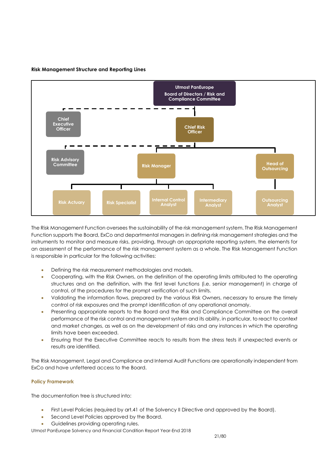

#### **Risk Management Structure and Reporting Lines**

The Risk Management Function oversees the sustainability of the risk management system. The Risk Management Function supports the Board, ExCo and departmental managers in defining risk management strategies and the instruments to monitor and measure risks, providing, through an appropriate reporting system, the elements for an assessment of the performance of the risk management system as a whole. The Risk Management Function is responsible in particular for the following activities:

- Defining the risk measurement methodologies and models.
- Cooperating, with the Risk Owners, on the definition of the operating limits attributed to the operating structures and on the definition, with the first level functions (i.e. senior management) in charge of control, of the procedures for the prompt verification of such limits.
- Validating the information flows, prepared by the various Risk Owners, necessary to ensure the timely control of risk exposures and the prompt identification of any operational anomaly.
- Presenting appropriate reports to the Board and the Risk and Compliance Committee on the overall performance of the risk control and management system and its ability, in particular, to react to context and market changes, as well as on the development of risks and any instances in which the operating limits have been exceeded.
- Ensuring that the Executive Committee reacts to results from the stress tests if unexpected events or results are identified.

The Risk Management, Legal and Compliance and Internal Audit Functions are operationally independent from ExCo and have unfettered access to the Board.

## **Policy Framework**

The documentation tree is structured into:

- First Level Policies (required by art.41 of the Solvency II Directive and approved by the Board).
- **Second Level Policies approved by the Board.**
- Guidelines providing operating rules.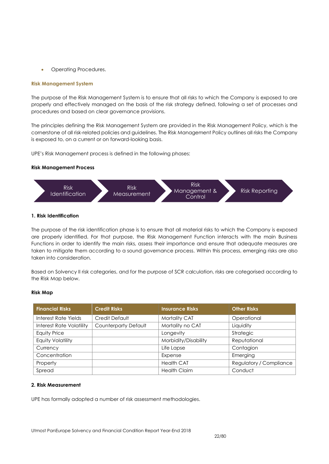Operating Procedures.

#### **Risk Management System**

The purpose of the Risk Management System is to ensure that all risks to which the Company is exposed to are properly and effectively managed on the basis of the risk strategy defined, following a set of processes and procedures and based on clear governance provisions.

The principles defining the Risk Management System are provided in the Risk Management Policy, which is the cornerstone of all risk-related policies and guidelines. The Risk Management Policy outlines all risks the Company is exposed to, on a current or on forward-looking basis.

UPE's Risk Management process is defined in the following phases:

#### **Risk Management Process**



#### **1. Risk Identification**

The purpose of the risk identification phase is to ensure that all material risks to which the Company is exposed are properly identified. For that purpose, the Risk Management Function interacts with the main Business Functions in order to identify the main risks, assess their importance and ensure that adequate measures are taken to mitigate them according to a sound governance process. Within this process, emerging risks are also taken into consideration.

Based on Solvency II risk categories, and for the purpose of SCR calculation, risks are categorised according to the Risk Map below.

#### **Risk Map**

| <b>Financial Risks</b>          | <b>Credit Risks</b>         | <b>Insurance Risks</b> | <b>Other Risks</b>      |
|---------------------------------|-----------------------------|------------------------|-------------------------|
| Interest Rate Yields            | Credit Default              | Mortality CAT          | Operational             |
| <b>Interest Rate Volatility</b> | <b>Counterparty Default</b> | Mortality no CAT       | Liquidity               |
| <b>Equity Price</b>             |                             | Longevity              | Strategic               |
| <b>Equity Volatility</b>        |                             | Morbidity/Disability   | Reputational            |
| Currency                        |                             | Life Lapse             | Contagion               |
| Concentration                   |                             | Expense                | Emerging                |
| Property                        |                             | <b>Health CAT</b>      | Regulatory / Compliance |
| Spread                          |                             | <b>Health Claim</b>    | Conduct                 |

#### **2. Risk Measurement**

UPE has formally adopted a number of risk assessment methodologies.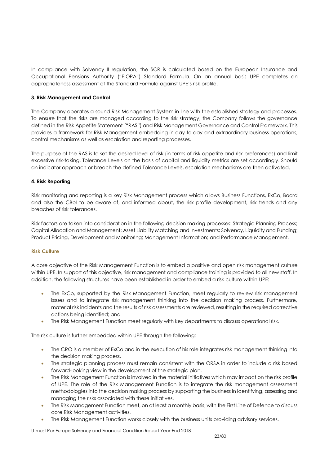In compliance with Solvency II regulation, the SCR is calculated based on the European Insurance and Occupational Pensions Authority ("EIOPA") Standard Formula. On an annual basis UPE completes an appropriateness assessment of the Standard Formula against UPE's risk profile.

#### **3. Risk Management and Control**

The Company operates a sound Risk Management System in line with the established strategy and processes. To ensure that the risks are managed according to the risk strategy, the Company follows the governance defined in the Risk Appetite Statement ("RAS") and Risk Management Governance and Control Framework. This provides a framework for Risk Management embedding in day-to-day and extraordinary business operations, control mechanisms as well as escalation and reporting processes.

The purpose of the RAS is to set the desired level of risk (in terms of risk appetite and risk preferences) and limit excessive risk-taking. Tolerance Levels on the basis of capital and liquidity metrics are set accordingly. Should an indicator approach or breach the defined Tolerance Levels, escalation mechanisms are then activated.

#### **4. Risk Reporting**

Risk monitoring and reporting is a key Risk Management process which allows Business Functions, ExCo, Board and also the CBoI to be aware of, and informed about, the risk profile development, risk trends and any breaches of risk tolerances.

Risk factors are taken into consideration in the following decision making processes: Strategic Planning Process; Capital Allocation and Management; Asset Liability Matching and Investments; Solvency, Liquidity and Funding; Product Pricing, Development and Monitoring; Management Information; and Performance Management.

#### **Risk Culture**

A core objective of the Risk Management Function is to embed a positive and open risk management culture within UPE. In support of this objective, risk management and compliance training is provided to all new staff. In addition, the following structures have been established in order to embed a risk culture within UPE:

- The ExCo, supported by the Risk Management Function, meet regularly to review risk management issues and to integrate risk management thinking into the decision making process. Furthermore, material risk incidents and the results of risk assessments are reviewed, resulting in the required corrective actions being identified; and
- The Risk Management Function meet regularly with key departments to discuss operational risk.

The risk culture is further embedded within UPE through the following:

- The CRO is a member of ExCo and in the execution of his role integrates risk management thinking into the decision making process.
- The strategic planning process must remain consistent with the ORSA in order to include a risk based forward-looking view in the development of the strategic plan.
- The Risk Management Function is involved in the material initiatives which may impact on the risk profile of UPE. The role of the Risk Management Function is to integrate the risk management assessment methodologies into the decision making process by supporting the business in identifying, assessing and managing the risks associated with these initiatives.
- The Risk Management Function meet, on at least a monthly basis, with the First Line of Defence to discuss core Risk Management activities.
- The Risk Management Function works closely with the business units providing advisory services.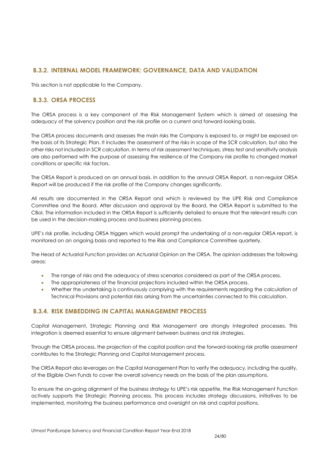# **B.3.2. INTERNAL MODEL FRAMEWORK: GOVERNANCE, DATA AND VALIDATION**

This section is not applicable to the Company.

# **B.3.3. ORSA PROCESS**

The ORSA process is a key component of the Risk Management System which is aimed at assessing the adequacy of the solvency position and the risk profile on a current and forward-looking basis.

The ORSA process documents and assesses the main risks the Company is exposed to, or might be exposed on the basis of its Strategic Plan. It includes the assessment of the risks in scope of the SCR calculation, but also the other risks not included in SCR calculation. In terms of risk assessment techniques, stress test and sensitivity analysis are also performed with the purpose of assessing the resilience of the Company risk profile to changed market conditions or specific risk factors.

The ORSA Report is produced on an annual basis. In addition to the annual ORSA Report, a non-regular ORSA Report will be produced if the risk profile of the Company changes significantly.

All results are documented in the ORSA Report and which is reviewed by the UPE Risk and Compliance Committee and the Board. After discussion and approval by the Board, the ORSA Report is submitted to the CBoI. The information included in the ORSA Report is sufficiently detailed to ensure that the relevant results can be used in the decision-making process and business planning process.

UPE's risk profile, including ORSA triggers which would prompt the undertaking of a non-regular ORSA report, is monitored on an ongoing basis and reported to the Risk and Compliance Committee quarterly.

The Head of Actuarial Function provides an Actuarial Opinion on the ORSA. The opinion addresses the following areas:

- The range of risks and the adequacy of stress scenarios considered as part of the ORSA process.
- The appropriateness of the financial projections included within the ORSA process.
- Whether the undertaking is continuously complying with the requirements regarding the calculation of Technical Provisions and potential risks arising from the uncertainties connected to this calculation.

# **B.3.4. RISK EMBEDDING IN CAPITAL MANAGEMENT PROCESS**

Capital Management, Strategic Planning and Risk Management are strongly integrated processes. This integration is deemed essential to ensure alignment between business and risk strategies.

Through the ORSA process, the projection of the capital position and the forward-looking risk profile assessment contributes to the Strategic Planning and Capital Management process.

The ORSA Report also leverages on the Capital Management Plan to verify the adequacy, including the quality, of the Eligible Own Funds to cover the overall solvency needs on the basis of the plan assumptions.

<span id="page-23-0"></span>To ensure the on-going alignment of the business strategy to UPE's risk appetite, the Risk Management Function actively supports the Strategic Planning process. This process includes strategy discussions, initiatives to be implemented, monitoring the business performance and oversight on risk and capital positions.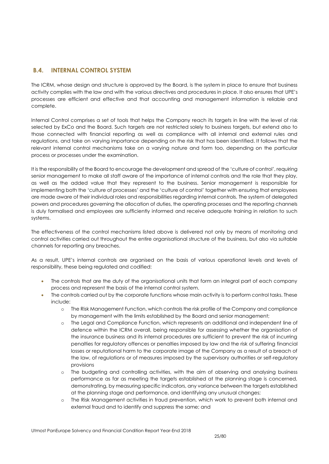# **B.4. INTERNAL CONTROL SYSTEM**

The ICRM, whose design and structure is approved by the Board, is the system in place to ensure that business activity complies with the law and with the various directives and procedures in place. It also ensures that UPE's processes are efficient and effective and that accounting and management information is reliable and complete.

Internal Control comprises a set of tools that helps the Company reach its targets in line with the level of risk selected by ExCo and the Board. Such targets are not restricted solely to business targets, but extend also to those connected with financial reporting as well as compliance with all internal and external rules and regulations, and take on varying importance depending on the risk that has been identified. It follows that the relevant internal control mechanisms take on a varying nature and form too, depending on the particular process or processes under the examination.

It is the responsibility of the Board to encourage the development and spread of the 'culture of control', requiring senior management to make all staff aware of the importance of internal controls and the role that they play, as well as the added value that they represent to the business. Senior management is responsible for implementing both the 'culture of processes' and the 'culture of control' together with ensuring that employees are made aware of their individual roles and responsibilities regarding internal controls. The system of delegated powers and procedures governing the allocation of duties, the operating processes and the reporting channels is duly formalised and employees are sufficiently informed and receive adequate training in relation to such systems.

The effectiveness of the control mechanisms listed above is delivered not only by means of monitoring and control activities carried out throughout the entire organisational structure of the business, but also via suitable channels for reporting any breaches.

As a result, UPE's internal controls are organised on the basis of various operational levels and levels of responsibility, these being regulated and codified:

- The controls that are the duty of the organisational units that form an integral part of each company process and represent the basis of the internal control system.
- The controls carried out by the corporate functions whose main activity is to perform control tasks. These include:
	- o The Risk Management Function, which controls the risk profile of the Company and compliance by management with the limits established by the Board and senior management;
	- o The Legal and Compliance Function, which represents an additional and independent line of defence within the ICRM overall, being responsible for assessing whether the organisation of the insurance business and its internal procedures are sufficient to prevent the risk of incurring penalties for regulatory offences or penalties imposed by law and the risk of suffering financial losses or reputational harm to the corporate image of the Company as a result of a breach of the law, of regulations or of measures imposed by the supervisory authorities or self-regulatory provisions
	- o The budgeting and controlling activities, with the aim of observing and analysing business performance as far as meeting the targets established at the planning stage is concerned, demonstrating, by measuring specific indicators, any variance between the targets established at the planning stage and performance, and identifying any unusual changes;
	- o The Risk Management activities in fraud prevention, which work to prevent both internal and external fraud and to identify and suppress the same; and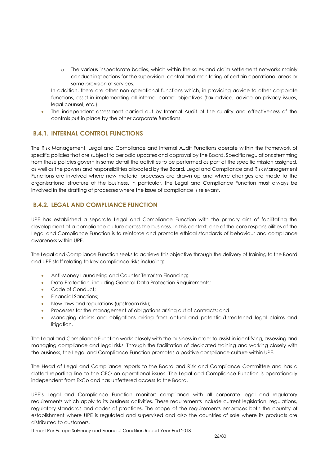o The various inspectorate bodies, which within the sales and claim settlement networks mainly conduct inspections for the supervision, control and monitoring of certain operational areas or some provision of services.

In addition, there are other non-operational functions which, in providing advice to other corporate functions, assist in implementing all internal control objectives (tax advice, advice on privacy issues, legal counsel, etc.).

 The independent assessment carried out by Internal Audit of the quality and effectiveness of the controls put in place by the other corporate functions.

# **B.4.1. INTERNAL CONTROL FUNCTIONS**

The Risk Management, Legal and Compliance and Internal Audit Functions operate within the framework of specific policies that are subject to periodic updates and approval by the Board. Specific regulations stemming from these policies govern in some detail the activities to be performed as part of the specific mission assigned, as well as the powers and responsibilities allocated by the Board. Legal and Compliance and Risk Management Functions are involved where new material processes are drawn up and where changes are made to the organisational structure of the business. In particular, the Legal and Compliance Function must always be involved in the drafting of processes where the issue of compliance is relevant.

# **B.4.2. LEGAL AND COMPLIANCE FUNCTION**

UPE has established a separate Legal and Compliance Function with the primary aim of facilitating the development of a compliance culture across the business. In this context, one of the core responsibilities of the Legal and Compliance Function is to reinforce and promote ethical standards of behaviour and compliance awareness within UPE.

The Legal and Compliance Function seeks to achieve this objective through the delivery of training to the Board and UPE staff relating to key compliance risks including:

- Anti-Money Laundering and Counter Terrorism Financing;
- Data Protection, including General Data Protection Requirements;
- Code of Conduct;
- Financial Sanctions;
- New laws and regulations (upstream risk);
- Processes for the management of obligations arising out of contracts; and
- Managing claims and obligations arising from actual and potential/threatened legal claims and litigation.

The Legal and Compliance Function works closely with the business in order to assist in identifying, assessing and managing compliance and legal risks. Through the facilitation of dedicated training and working closely with the business, the Legal and Compliance Function promotes a positive compliance culture within UPE.

The Head of Legal and Compliance reports to the Board and Risk and Compliance Committee and has a dotted reporting line to the CEO on operational issues. The Legal and Compliance Function is operationally independent from ExCo and has unfettered access to the Board.

UPE's Legal and Compliance Function monitors compliance with all corporate legal and regulatory requirements which apply to its business activities. These requirements include current legislation, regulations, regulatory standards and codes of practices. The scope of the requirements embraces both the country of establishment where UPE is regulated and supervised and also the countries of sale where its products are distributed to customers.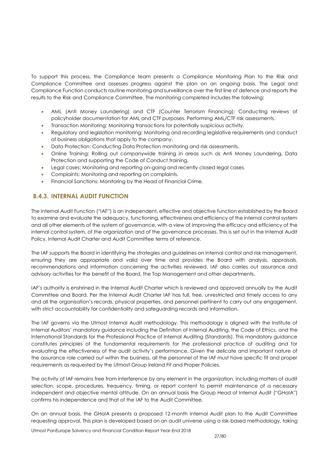To support this process, the Compliance team presents a Compliance Monitoring Plan to the Risk and Compliance Committee and assesses progress against the plan on an ongoing basis. The Legal and Compliance Function conducts routine monitoring and surveillance over the first line of defence and reports the results to the Risk and Compliance Committee. The monitoring completed includes the following:

- AML (Anti Money Laundering) and CTF (Counter Terrorism Financing): Conducting reviews of policyholder documentation for AML and CTF purposes. Performing AML/CTF risk assessments.
- Transaction Monitoring: Monitoring transactions for potentially suspicious activity.
- Regulatory and legislation monitoring: Monitoring and recording legislative requirements and conduct of business obligations that apply to the company.
- Data Protection: Conducting Data Protection monitoring and risk assessments.
- Online Training: Rolling out companywide training in areas such as Anti Money Laundering, Data Protection and supporting the Code of Conduct training.
- Legal cases: Monitoring and reporting on-going and recently closed legal cases.
- Complaints: Monitoring and reporting on complaints.
- Financial Sanctions: Monitoring by the Head of Financial Crime.

# **B.4.3. INTERNAL AUDIT FUNCTION**

The Internal Audit Function ("IAF") is an independent, effective and objective function established by the Board to examine and evaluate the adequacy, functioning, effectiveness and efficiency of the internal control system and all other elements of the system of governance, with a view of improving the efficacy and efficiency of the internal control system, of the organization and of the governance processes. This is set out in the Internal Audit Policy, Internal Audit Charter and Audit Committee terms of reference.

The IAF supports the Board in identifying the strategies and guidelines on internal control and risk management, ensuring they are appropriate and valid over time and provides the Board with analysis, appraisals, recommendations and information concerning the activities reviewed. IAF also carries out assurance and advisory activities for the benefit of the Board, the Top Management and other departments.

IAF's authority is enshrined in the Internal Audit Charter which is reviewed and approved annually by the Audit Committee and Board. Per the Internal Audit Charter IAF has full, free, unrestricted and timely access to any and all the organisation's records, physical properties, and personnel pertinent to carry out any engagement, with strict accountability for confidentiality and safeguarding records and information.

The IAF governs via the Utmost Internal Audit methodology. This methodology is aligned with the Institute of Internal Auditors' mandatory guidance including the Definition of Internal Auditing, the Code of Ethics, and the International Standards for the Professional Practice of Internal Auditing (Standards). This mandatory guidance constitutes principles of the fundamental requirements for the professional practice of auditing and for evaluating the effectiveness of the audit activity's performance. Given the delicate and important nature of the assurance role carried out within the business, all the personnel of the IAF must have specific fit and proper requirements as requested by the Utmost Group Ireland Fit and Proper Policies.

The activity of IAF remains free from interference by any element in the organization, including matters of audit selection, scope, procedures, frequency, timing, or report content to permit maintenance of a necessary independent and objective mental attitude. On an annual basis the Group Head of Internal Audit ("GHoIA") confirms his independence and that of the IAF to the Audit Committee.

On an annual basis, the GHoIA presents a proposed 12-month Internal Audit plan to the Audit Committee requesting approval. This plan is developed based on an audit universe using a risk-based methodology, taking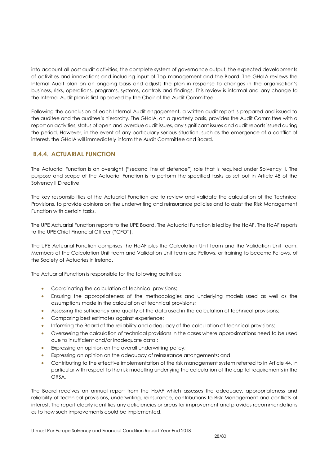into account all past audit activities, the complete system of governance output, the expected developments of activities and innovations and including input of Top management and the Board. The GHoIA reviews the Internal Audit plan on an ongoing basis and adjusts the plan in response to changes in the organisation's business, risks, operations, programs, systems, controls and findings. This review is informal and any change to the Internal Audit plan is first approved by the Chair of the Audit Committee.

Following the conclusion of each Internal Audit engagement, a written audit report is prepared and issued to the auditee and the auditee's hierarchy. The GHoIA, on a quarterly basis, provides the Audit Committee with a report on activities, status of open and overdue audit issues, any significant issues and audit reports issued during the period. However, in the event of any particularly serious situation, such as the emergence of a conflict of interest, the GHoIA will immediately inform the Audit Committee and Board.

# **B.4.4. ACTUARIAL FUNCTION**

The Actuarial Function is an oversight ("second line of defence") role that is required under Solvency II. The purpose and scope of the Actuarial Function is to perform the specified tasks as set out in Article 48 of the Solvency II Directive.

The key responsibilities of the Actuarial Function are to review and validate the calculation of the Technical Provisions, to provide opinions on the underwriting and reinsurance policies and to assist the Risk Management Function with certain tasks.

The UPE Actuarial Function reports to the UPE Board. The Actuarial Function is led by the HoAF. The HoAF reports to the UPE Chief Financial Officer ("CFO").

The UPE Actuarial Function comprises the HoAF plus the Calculation Unit team and the Validation Unit team. Members of the Calculation Unit team and Validation Unit team are Fellows, or training to become Fellows, of the Society of Actuaries in Ireland.

The Actuarial Function is responsible for the following activities:

- Coordinating the calculation of technical provisions;
- Ensuring the appropriateness of the methodologies and underlying models used as well as the assumptions made in the calculation of technical provisions;
- Assessing the sufficiency and quality of the data used in the calculation of technical provisions;
- Comparing best estimates against experience;
- **Informing the Board of the reliability and adequacy of the calculation of technical provisions;**
- Overseeing the calculation of technical provisions in the cases where approximations need to be used due to insufficient and/or inadequate data ;
- Expressing an opinion on the overall underwriting policy;
- Expressing an opinion on the adequacy of reinsurance arrangements; and
- Contributing to the effective implementation of the risk management system referred to in Article 44, in particular with respect to the risk modelling underlying the calculation of the capital requirements in the ORSA.

The Board receives an annual report from the HoAF which assesses the adequacy, appropriateness and reliability of technical provisions, underwriting, reinsurance, contributions to Risk Management and conflicts of interest. The report clearly identifies any deficiencies or areas for improvement and provides recommendations as to how such improvements could be implemented.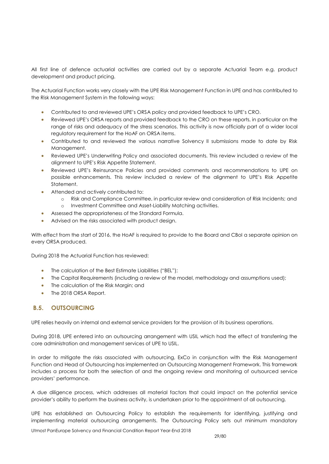All first line of defence actuarial activities are carried out by a separate Actuarial Team e.g. product development and product pricing.

The Actuarial Function works very closely with the UPE Risk Management Function in UPE and has contributed to the Risk Management System in the following ways:

- Contributed to and reviewed UPE's ORSA policy and provided feedback to UPE's CRO.
- Reviewed UPE's ORSA reports and provided feedback to the CRO on these reports, in particular on the range of risks and adequacy of the stress scenarios. This activity is now officially part of a wider local regulatory requirement for the HoAF on ORSA items.
- Contributed to and reviewed the various narrative Solvency II submissions made to date by Risk Management.
- Reviewed UPE's Underwriting Policy and associated documents. This review included a review of the alignment to UPE's Risk Appetite Statement.
- Reviewed UPE's Reinsurance Policies and provided comments and recommendations to UPE on possible enhancements. This review included a review of the alignment to UPE's Risk Appetite Statement.
- Attended and actively contributed to:
	- o Risk and Compliance Committee, in particular review and consideration of Risk Incidents; and
	- o Investment Committee and Asset-Liability Matching activities.
- Assessed the appropriateness of the Standard Formula.
- Advised on the risks associated with product design.

With effect from the start of 2016, the HoAF is required to provide to the Board and CBoI a separate opinion on every ORSA produced.

During 2018 the Actuarial Function has reviewed:

- The calculation of the Best Estimate Liabilities ("BEL");
- The Capital Requirements (including a review of the model, methodology and assumptions used);
- The calculation of the Risk Margin; and
- The 2018 ORSA Report.

# <span id="page-28-0"></span>**B.5. OUTSOURCING**

UPE relies heavily on internal and external service providers for the provision of its business operations.

During 2018, UPE entered into an outsourcing arrangement with USIL which had the effect of transferring the core administration and management services of UPE to USIL.

In order to mitigate the risks associated with outsourcing, ExCo in conjunction with the Risk Management Function and Head of Outsourcing has implemented an Outsourcing Management Framework. This framework includes a process for both the selection of and the ongoing review and monitoring of outsourced service providers' performance.

A due diligence process, which addresses all material factors that could impact on the potential service provider's ability to perform the business activity, is undertaken prior to the appointment of all outsourcing.

UPE has established an Outsourcing Policy to establish the requirements for identifying, justifying and implementing material outsourcing arrangements. The Outsourcing Policy sets out minimum mandatory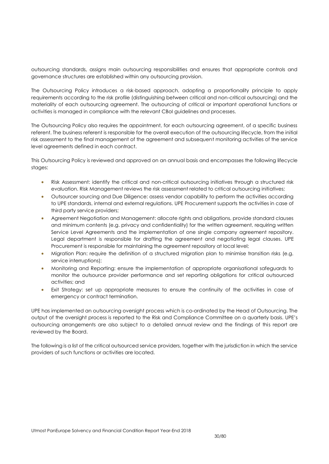outsourcing standards, assigns main outsourcing responsibilities and ensures that appropriate controls and governance structures are established within any outsourcing provision.

The Outsourcing Policy introduces a risk-based approach, adopting a proportionality principle to apply requirements according to the risk profile (distinguishing between critical and non-critical outsourcing) and the materiality of each outsourcing agreement. The outsourcing of critical or important operational functions or activities is managed in compliance with the relevant CBoI guidelines and processes.

The Outsourcing Policy also requires the appointment, for each outsourcing agreement, of a specific business referent. The business referent is responsible for the overall execution of the outsourcing lifecycle, from the initial risk assessment to the final management of the agreement and subsequent monitoring activities of the service level agreements defined in each contract.

This Outsourcing Policy is reviewed and approved on an annual basis and encompasses the following lifecycle stages:

- Risk Assessment: identify the critical and non-critical outsourcing initiatives through a structured risk evaluation. Risk Management reviews the risk assessment related to critical outsourcing initiatives;
- Outsourcer sourcing and Due Diligence: assess vendor capability to perform the activities according to UPE standards, internal and external regulations. UPE Procurement supports the activities in case of third party service providers;
- Agreement Negotiation and Management: allocate rights and obligations, provide standard clauses and minimum contents (e.g. privacy and confidentiality) for the written agreement, requiring written Service Level Agreements and the implementation of one single company agreement repository. Legal department is responsible for drafting the agreement and negotiating legal clauses. UPE Procurement is responsible for maintaining the agreement repository at local level;
- Migration Plan: require the definition of a structured migration plan to minimise transition risks (e.g. service interruptions);
- Monitoring and Reporting: ensure the implementation of appropriate organisational safeguards to monitor the outsource provider performance and set reporting obligations for critical outsourced activities; and
- Exit Strategy: set up appropriate measures to ensure the continuity of the activities in case of emergency or contract termination.

UPE has implemented an outsourcing oversight process which is co-ordinated by the Head of Outsourcing. The output of the oversight process is reported to the Risk and Compliance Committee on a quarterly basis. UPE's outsourcing arrangements are also subject to a detailed annual review and the findings of this report are reviewed by the Board.

The following is a list of the critical outsourced service providers, together with the jurisdiction in which the service providers of such functions or activities are located.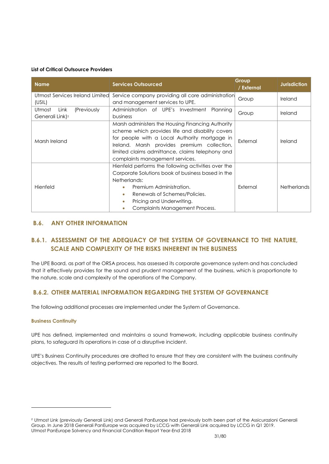#### **List of Critical Outsource Providers**

| <b>Name</b>                     | <b>Services Outsourced</b>                          | Group<br>/ External | <b>Jurisdiction</b> |
|---------------------------------|-----------------------------------------------------|---------------------|---------------------|
| Utmost Services Ireland Limited | Service company providing all core administration   | Group               | Ireland             |
| (USIL)                          | and management services to UPE.                     |                     |                     |
| (Previously<br>Utmost<br>Link   | Administration of UPE's Investment<br>Planning      | Group               | Ireland             |
| Generali Link) <sup>2</sup>     | business                                            |                     |                     |
|                                 | Marsh administers the Housing Financing Authority   |                     | Ireland             |
|                                 | scheme which provides life and disability covers    |                     |                     |
| Marsh Ireland                   | for people with a Local Authority mortgage in       | External            |                     |
|                                 | Ireland. Marsh provides premium collection,         |                     |                     |
|                                 | limited claims admittance, claims telephony and     |                     |                     |
|                                 | complaints management services.                     |                     |                     |
|                                 | Hienfeld performs the following activities over the |                     |                     |
|                                 | Corporate Solutions book of business based in the   |                     |                     |
|                                 | Netherlands:                                        |                     |                     |
| Hienfeld                        | Premium Administration.<br>۰                        | External            | <b>Netherlands</b>  |
|                                 | Renewals of Schemes/Policies.                       |                     |                     |
|                                 | Pricing and Underwriting.                           |                     |                     |
|                                 | Complaints Management Process.                      |                     |                     |

# <span id="page-30-0"></span>**B.6. ANY OTHER INFORMATION**

# **B.6.1. ASSESSMENT OF THE ADEQUACY OF THE SYSTEM OF GOVERNANCE TO THE NATURE, SCALE AND COMPLEXITY OF THE RISKS INHERENT IN THE BUSINESS**

The UPE Board, as part of the ORSA process, has assessed its corporate governance system and has concluded that it effectively provides for the sound and prudent management of the business, which is proportionate to the nature, scale and complexity of the operations of the Company.

# **B.6.2. OTHER MATERIAL INFORMATION REGARDING THE SYSTEM OF GOVERNANCE**

The following additional processes are implemented under the System of Governance.

## **Business Continuity**

 $\overline{a}$ 

UPE has defined, implemented and maintains a sound framework, including applicable business continuity plans, to safeguard its operations in case of a disruptive incident.

UPE's Business Continuity procedures are drafted to ensure that they are consistent with the business continuity objectives. The results of testing performed are reported to the Board.

Utmost PanEurope Solvency and Financial Condition Report Year-End 2018 <sup>2</sup> Utmost Link (previously Generali Link) and Generali PanEurope had previously both been part of the Assicurazioni Generali Group. In June 2018 Generali PanEurope was acquired by LCCG with Generali Link acquired by LCCG in Q1 2019.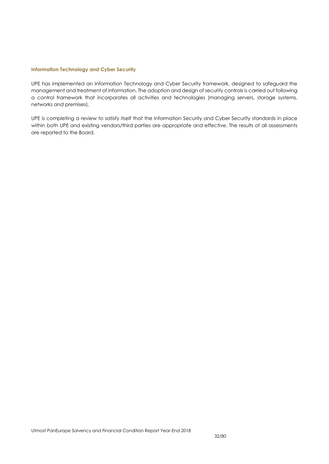#### **Information Technology and Cyber Security**

UPE has implemented an Information Technology and Cyber Security framework, designed to safeguard the management and treatment of information. The adoption and design of security controls is carried out following a control framework that incorporates all activities and technologies (managing servers, storage systems, networks and premises).

UPE is completing a review to satisfy itself that the Information Security and Cyber Security standards in place within both UPE and existing vendors/third parties are appropriate and effective. The results of all assessments are reported to the Board.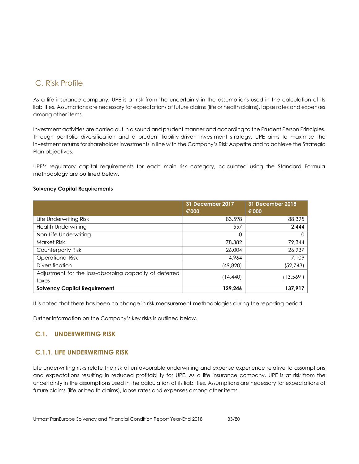# C. Risk Profile

<span id="page-32-0"></span>As a life insurance company, UPE is at risk from the uncertainty in the assumptions used in the calculation of its liabilities. Assumptions are necessary for expectations of future claims (life or health claims), lapse rates and expenses among other items.

Investment activities are carried out in a sound and prudent manner and according to the Prudent Person Principles. Through portfolio diversification and a prudent liability-driven investment strategy, UPE aims to maximise the investment returns for shareholder investments in line with the Company's Risk Appetite and to achieve the Strategic Plan objectives.

UPE's regulatory capital requirements for each main risk category, calculated using the Standard Formula methodology are outlined below.

#### **Solvency Capital Requirements**

|                                                        | 31 December 2017<br>€'000 | 31 December 2018<br>€'000 |
|--------------------------------------------------------|---------------------------|---------------------------|
| Life Underwriting Risk                                 | 83,598                    | 88,395                    |
| <b>Health Underwriting</b>                             | 557                       | 2,444                     |
| Non-Life Underwriting                                  | 0                         |                           |
| Market Risk                                            | 78,382                    | 79,344                    |
| Counterparty Risk                                      | 26,004                    | 26,937                    |
| <b>Operational Risk</b>                                | 4,964                     | 7,109                     |
| <b>Diversification</b>                                 | (49, 820)                 | (52, 743)                 |
| Adjustment for the loss-absorbing capacity of deferred | (14,440)                  | (13, 569)                 |
| taxes                                                  |                           |                           |
| <b>Solvency Capital Requirement</b>                    | 129,246                   | 137,917                   |

It is noted that there has been no change in risk measurement methodologies during the reporting period.

Further information on the Company's key risks is outlined below.

## **C.1. UNDERWRITING RISK**

## **C.1.1. LIFE UNDERWRITING RISK**

<span id="page-32-1"></span>Life underwriting risks relate the risk of unfavourable underwriting and expense experience relative to assumptions and expectations resulting in reduced profitability for UPE. As a life insurance company, UPE is at risk from the uncertainty in the assumptions used in the calculation of its liabilities. Assumptions are necessary for expectations of future claims (life or health claims), lapse rates and expenses among other items.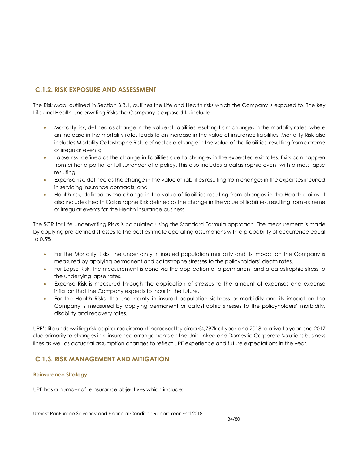# **C.1.2. RISK EXPOSURE AND ASSESSMENT**

The Risk Map, outlined in Section B.3.1, outlines the Life and Health risks which the Company is exposed to. The key Life and Health Underwriting Risks the Company is exposed to include:

- Mortality risk, defined as change in the value of liabilities resulting from changes in the mortality rates, where an increase in the mortality rates leads to an increase in the value of insurance liabilities. Mortality Risk also includes Mortality Catastrophe Risk, defined as a change in the value of the liabilities, resulting from extreme or irregular events;
- Lapse risk, defined as the change in liabilities due to changes in the expected exit rates. Exits can happen from either a partial or full surrender of a policy. This also includes a catastrophic event with a mass lapse resulting;
- Expense risk, defined as the change in the value of liabilities resulting from changes in the expenses incurred in servicing insurance contracts; and
- Health risk, defined as the change in the value of liabilities resulting from changes in the Health claims. It also includes Health Catastrophe Risk defined as the change in the value of liabilities, resulting from extreme or irregular events for the Health insurance business.

The SCR for Life Underwriting Risks is calculated using the Standard Formula approach. The measurement is made by applying pre-defined stresses to the best estimate operating assumptions with a probability of occurrence equal to 0.5%.

- For the Mortality Risks, the uncertainty in insured population mortality and its impact on the Company is measured by applying permanent and catastrophe stresses to the policyholders' death rates.
- For Lapse Risk, the measurement is done via the application of a permanent and a catastrophic stress to the underlying lapse rates.
- Expense Risk is measured through the application of stresses to the amount of expenses and expense inflation that the Company expects to incur in the future.
- For the Health Risks, the uncertainty in insured population sickness or morbidity and its impact on the Company is measured by applying permanent or catastrophic stresses to the policyholders' morbidity, disability and recovery rates.

UPE's life underwriting risk capital requirement increased by circa €4,797k at year-end 2018 relative to year-end 2017 due primarily to changes in reinsurance arrangements on the Unit Linked and Domestic Corporate Solutions business lines as well as actuarial assumption changes to reflect UPE experience and future expectations in the year.

# **C.1.3. RISK MANAGEMENT AND MITIGATION**

#### **Reinsurance Strategy**

UPE has a number of reinsurance objectives which include: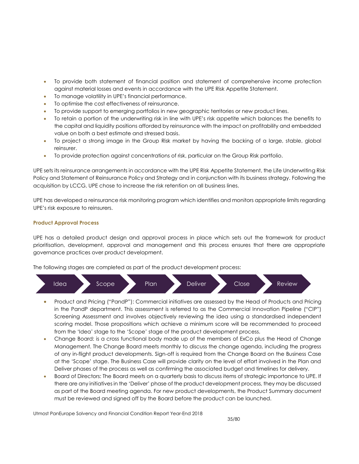- To provide both statement of financial position and statement of comprehensive income protection against material losses and events in accordance with the UPE Risk Appetite Statement.
- To manage volatility in UPE's financial performance.
- To optimise the cost effectiveness of reinsurance.
- To provide support to emerging portfolios in new geographic territories or new product lines.
- To retain a portion of the underwriting risk in line with UPE's risk appetite which balances the benefits to the capital and liquidity positions afforded by reinsurance with the impact on profitability and embedded value on both a best estimate and stressed basis.
- To project a strong image in the Group Risk market by having the backing of a large, stable, global reinsurer.
- To provide protection against concentrations of risk, particular on the Group Risk portfolio.

UPE sets its reinsurance arrangements in accordance with the UPE Risk Appetite Statement, the Life Underwriting Risk Policy and Statement of Reinsurance Policy and Strategy and in conjunction with its business strategy. Following the acquisition by LCCG, UPE chose to increase the risk retention on all business lines.

UPE has developed a reinsurance risk monitoring program which identifies and monitors appropriate limits regarding UPE's risk exposure to reinsurers.

#### **Product Approval Process**

UPE has a detailed product design and approval process in place which sets out the framework for product prioritisation, development, approval and management and this process ensures that there are appropriate governance practices over product development.

The following stages are completed as part of the product development process:



- Product and Pricing ("PandP"): Commercial initiatives are assessed by the Head of Products and Pricing in the PandP department. This assessment is referred to as the Commercial Innovation Pipeline ("CIP") Screening Assessment and involves objectively reviewing the idea using a standardised independent scoring model. Those propositions which achieve a minimum score will be recommended to proceed from the 'Idea' stage to the 'Scope' stage of the product development process.
- Change Board: is a cross functional body made up of the members of ExCo plus the Head of Change Management. The Change Board meets monthly to discuss the change agenda, including the progress of any in-flight product developments. Sign-off is required from the Change Board on the Business Case at the 'Scope' stage. The Business Case will provide clarity on the level of effort involved in the Plan and Deliver phases of the process as well as confirming the associated budget and timelines for delivery.
- Board of Directors: The Board meets on a quarterly basis to discuss items of strategic importance to UPE. If there are any initiatives in the 'Deliver' phase of the product development process, they may be discussed as part of the Board meeting agenda. For new product developments, the Product Summary document must be reviewed and signed off by the Board before the product can be launched.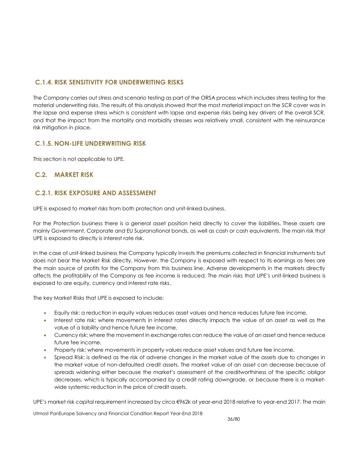# **C.1.4. RISK SENSITIVITY FOR UNDERWRITING RISKS**

The Company carries out stress and scenario testing as part of the ORSA process which includes stress testing for the material underwriting risks. The results of this analysis showed that the most material impact on the SCR cover was in the lapse and expense stress which is consistent with lapse and expense risks being key drivers of the overall SCR, and that the impact from the mortality and morbidity stresses was relatively small, consistent with the reinsurance risk mitigation in place.

# **C.1.5. NON-LIFE UNDERWRITING RISK**

This section is not applicable to UPE.

# **C.2. MARKET RISK**

# **C.2.1. RISK EXPOSURE AND ASSESSMENT**

<span id="page-35-0"></span>UPE is exposed to market risks from both protection and unit-linked business.

For the Protection business there is a general asset position held directly to cover the liabilities. These assets are mainly Government, Corporate and EU Supranational bonds, as well as cash or cash equivalents. The main risk that UPE is exposed to directly is interest rate risk.

In the case of unit-linked business the Company typically invests the premiums collected in financial instruments but does not bear the Market Risk directly. However, the Company is exposed with respect to its earnings as fees are the main source of profits for the Company from this business line. Adverse developments in the markets directly affects the profitability of the Company as fee income is reduced. The main risks that UPE's unit-linked business is exposed to are equity, currency and interest rate risks.

The key Market Risks that UPE is exposed to include:

- Equity risk: a reduction in equity values reduces asset values and hence reduces future fee income.
- Interest rate risk: where movements in interest rates directly impacts the value of an asset as well as the value of a liability and hence future fee income.
- Currency risk: where the movement in exchange rates can reduce the value of an asset and hence reduce future fee income.
- Property risk: where movements in property values reduce asset values and future fee income.
- Spread Risk: is defined as the risk of adverse changes in the market value of the assets due to changes in the market value of non-defaulted credit assets. The market value of an asset can decrease because of spreads widening either because the market's assessment of the creditworthiness of the specific obligor decreases, which is typically accompanied by a credit rating downgrade, or because there is a marketwide systemic reduction in the price of credit assets.

UPE's market risk capital requirement increased by circa €962k at year-end 2018 relative to year-end 2017. The main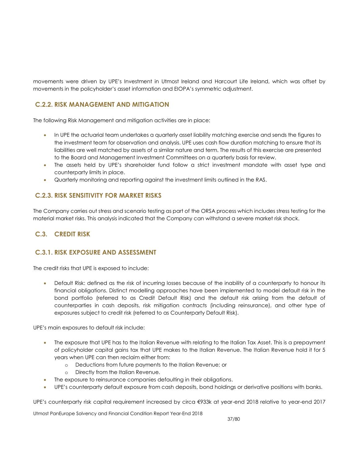movements were driven by UPE's Investment in Utmost Ireland and Harcourt Life Ireland, which was offset by movements in the policyholder's asset information and EIOPA's symmetric adjustment.

# **C.2.2. RISK MANAGEMENT AND MITIGATION**

The following Risk Management and mitigation activities are in place:

- In UPE the actuarial team undertakes a quarterly asset liability matching exercise and sends the figures to the investment team for observation and analysis. UPE uses cash flow duration matching to ensure that its liabilities are well matched by assets of a similar nature and term. The results of this exercise are presented to the Board and Management Investment Committees on a quarterly basis for review.
- The assets held by UPE's shareholder fund follow a strict investment mandate with asset type and counterparty limits in place.
- Quarterly monitoring and reporting against the investment limits outlined in the RAS.

# **C.2.3. RISK SENSITIVITY FOR MARKET RISKS**

The Company carries out stress and scenario testing as part of the ORSA process which includes stress testing for the material market risks. This analysis indicated that the Company can withstand a severe market risk shock.

# **C.3. CREDIT RISK**

# **C.3.1. RISK EXPOSURE AND ASSESSMENT**

The credit risks that UPE is exposed to include:

 Default Risk: defined as the risk of incurring losses because of the inability of a counterparty to honour its financial obligations. Distinct modelling approaches have been implemented to model default risk in the bond portfolio (referred to as Credit Default Risk) and the default risk arising from the default of counterparties in cash deposits, risk mitigation contracts (including reinsurance), and other type of exposures subject to credit risk (referred to as Counterparty Default Risk).

UPE's main exposures to default risk include:

- The exposure that UPE has to the Italian Revenue with relating to the Italian Tax Asset. This is a prepayment of policyholder capital gains tax that UPE makes to the Italian Revenue. The Italian Revenue hold it for 5 years when UPE can then reclaim either from:
	- o Deductions from future payments to the Italian Revenue; or
	- o Directly from the Italian Revenue.
- The exposure to reinsurance companies defaulting in their obligations.
- UPE's counterparty default exposure from cash deposits, bond holdings or derivative positions with banks.

UPE's counterparty risk capital requirement increased by circa €933k at year-end 2018 relative to year-end 2017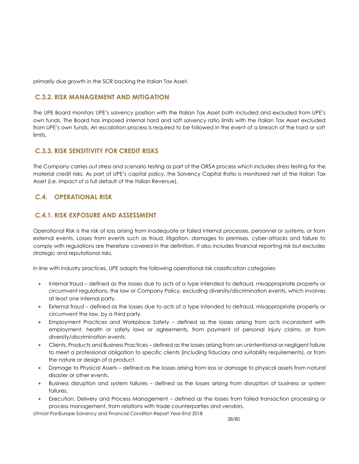primarily due growth in the SCR backing the Italian Tax Asset.

# **C.3.2. RISK MANAGEMENT AND MITIGATION**

The UPE Board monitors UPE's solvency position with the Italian Tax Asset both included and excluded from UPE's own funds. The Board has imposed internal hard and soft solvency ratio limits with the Italian Tax Asset excluded from UPE's own funds. An escalation process is required to be followed in the event of a breach of the hard or soft limits.

# **C.3.3. RISK SENSITIVITY FOR CREDIT RISKS**

The Company carries out stress and scenario testing as part of the ORSA process which includes stress testing for the material credit risks. As part of UPE's capital policy, the Solvency Capital Ratio is monitored net of the Italian Tax Asset (i.e. impact of a full default of the Italian Revenue).

# **C.4. OPERATIONAL RISK**

# **C.4.1. RISK EXPOSURE AND ASSESSMENT**

Operational Risk is the risk of loss arising from inadequate or failed internal processes, personnel or systems, or from external events. Losses from events such as fraud, litigation, damages to premises, cyber-attacks and failure to comply with regulations are therefore covered in the definition. It also includes financial reporting risk but excludes strategic and reputational risks.

In line with industry practices, UPE adopts the following operational risk classification categories:

- Internal fraud defined as the losses due to acts of a type intended to defraud, misappropriate property or circumvent regulations, the law or Company Policy, excluding diversity/discrimination events, which involves at least one internal party.
- External fraud defined as the losses due to acts of a type intended to defraud, misappropriate property or circumvent the law, by a third party.
- Employment Practices and Workplace Safety defined as the losses arising from acts inconsistent with employment, health or safety laws or agreements, from payment of personal injury claims, or from diversity/discrimination events.
- Clients, Products and Business Practices defined as the losses arising from an unintentional or negligent failure to meet a professional obligation to specific clients (including fiduciary and suitability requirements), or from the nature or design of a product.
- Damage to Physical Assets defined as the losses arising from loss or damage to physical assets from natural disaster or other events.
- Business disruption and system failures defined as the losses arising from disruption of business or system failures.
- Execution, Delivery and Process Management defined as the losses from failed transaction processing or process management, from relations with trade counterparties and vendors.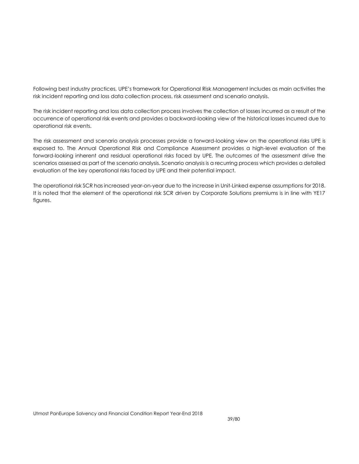Following best industry practices, UPE's framework for Operational Risk Management includes as main activities the risk incident reporting and loss data collection process, risk assessment and scenario analysis.

The risk incident reporting and loss data collection process involves the collection of losses incurred as a result of the occurrence of operational risk events and provides a backward-looking view of the historical losses incurred due to operational risk events.

The risk assessment and scenario analysis processes provide a forward-looking view on the operational risks UPE is exposed to. The Annual Operational Risk and Compliance Assessment provides a high-level evaluation of the forward-looking inherent and residual operational risks faced by UPE. The outcomes of the assessment drive the scenarios assessed as part of the scenario analysis. Scenario analysis is a recurring process which provides a detailed evaluation of the key operational risks faced by UPE and their potential impact.

The operational risk SCR has increased year-on-year due to the increase in Unit-Linked expense assumptions for 2018. It is noted that the element of the operational risk SCR driven by Corporate Solutions premiums is in line with YE17 figures.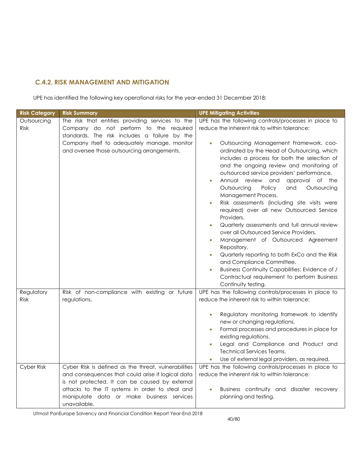# **C.4.2. RISK MANAGEMENT AND MITIGATION**

UPE has identified the following key operational risks for the year-ended 31 December 2018:

| <b>Risk Category</b>       | <b>Risk Summary</b>                                                                                                                                                                                                                                                         | <b>UPE Mitigating Activities</b>                                                                                                                                                                                                                                                                                                                                                                                                                                                                                                                                                                                                                                                                                                                                                                                                                                                                                                                                                            |
|----------------------------|-----------------------------------------------------------------------------------------------------------------------------------------------------------------------------------------------------------------------------------------------------------------------------|---------------------------------------------------------------------------------------------------------------------------------------------------------------------------------------------------------------------------------------------------------------------------------------------------------------------------------------------------------------------------------------------------------------------------------------------------------------------------------------------------------------------------------------------------------------------------------------------------------------------------------------------------------------------------------------------------------------------------------------------------------------------------------------------------------------------------------------------------------------------------------------------------------------------------------------------------------------------------------------------|
| Outsourcing<br><b>Risk</b> | The risk that entities providing services to the<br>Company do not perform to the required<br>standards. The risk includes a failure by the<br>Company itself to adequately manage, monitor<br>and oversee those outsourcing arrangements.                                  | UPE has the following controls/processes in place to<br>reduce the inherent risk to within tolerance:<br>Outsourcing Management Framework, coo-<br>$\bullet$<br>ordinated by the Head of Outsourcing, which<br>includes a process for both the selection of<br>and the ongoing review and monitoring of<br>outsourced service providers' performance.<br>Annual review<br>and<br>approval of the<br>Outsourcing<br>Policy<br>and<br>Outsourcing<br>Management Process.<br>Risk assessments (including site visits were<br>required) over all new Outsourced Service<br>Providers.<br>Quarterly assessments and full annual review<br>$\bullet$<br>over all Outsourced Service Providers.<br>Management of Outsourced Agreement<br>$\bullet$<br>Repository.<br>Quarterly reporting to both ExCo and the Risk<br>$\bullet$<br>and Compliance Committee.<br>Business Continuity Capabilities: Evidence of /<br>$\bullet$<br>Contractual requirement to perform Business<br>Continuity testing. |
| Regulatory<br><b>Risk</b>  | Risk of non-compliance with existing or future<br>regulations.                                                                                                                                                                                                              | UPE has the following controls/processes in place to<br>reduce the inherent risk to within tolerance:<br>Regulatory monitoring framework to identify<br>new or changing regulations.<br>Formal processes and procedures in place for<br>existing regulations.<br>Legal and Compliance and Product and<br><b>Technical Services Teams.</b><br>Use of external legal providers, as required.                                                                                                                                                                                                                                                                                                                                                                                                                                                                                                                                                                                                  |
| Cyber Risk                 | Cyber Risk is defined as the threat, vulnerabilities<br>and consequences that could arise if logical data<br>is not protected. It can be caused by external<br>attacks to the IT systems in order to steal and<br>manipulate data or make business services<br>unavailable. | UPE has the following controls/processes in place to<br>reduce the inherent risk to within tolerance:<br>Business continuity and disaster recovery<br>$\bullet$<br>planning and testing.                                                                                                                                                                                                                                                                                                                                                                                                                                                                                                                                                                                                                                                                                                                                                                                                    |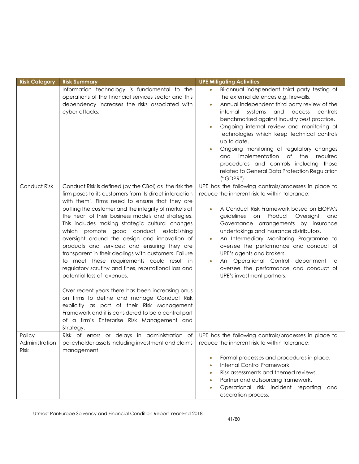| <b>Risk Category</b>                    | <b>Risk Summary</b>                                                                                                                                                                                                                                                                                                                                                                                                                                                                                                                                                                                                                                                                                                                                                                                                                                                                                                                                | <b>UPE Mitigating Activities</b>                                                                                                                                                                                                                                                                                                                                                                                                                                                                                                                                                                                      |
|-----------------------------------------|----------------------------------------------------------------------------------------------------------------------------------------------------------------------------------------------------------------------------------------------------------------------------------------------------------------------------------------------------------------------------------------------------------------------------------------------------------------------------------------------------------------------------------------------------------------------------------------------------------------------------------------------------------------------------------------------------------------------------------------------------------------------------------------------------------------------------------------------------------------------------------------------------------------------------------------------------|-----------------------------------------------------------------------------------------------------------------------------------------------------------------------------------------------------------------------------------------------------------------------------------------------------------------------------------------------------------------------------------------------------------------------------------------------------------------------------------------------------------------------------------------------------------------------------------------------------------------------|
|                                         | Information technology is fundamental to the<br>operations of the financial services sector and this<br>dependency increases the risks associated with<br>cyber-attacks.                                                                                                                                                                                                                                                                                                                                                                                                                                                                                                                                                                                                                                                                                                                                                                           | Bi-annual independent third party testing of<br>$\bullet$<br>the external defences e.g. firewalls.<br>Annual independent third party review of the<br>$\bullet$<br>systems<br>and<br>access<br>internal<br>controls<br>benchmarked against industry best practice.<br>Ongoing internal review and monitoring of<br>$\bullet$<br>technologies which keep technical controls<br>up to date.<br>Ongoing monitoring of regulatory changes<br>$\bullet$<br>implementation<br>$\circ$ of<br>the<br>required<br>and<br>procedures and controls including those<br>related to General Data Protection Regulation<br>("GDPR"). |
| Conduct Risk                            | Conduct Risk is defined (by the CBoI) as 'the risk the<br>firm poses to its customers from its direct interaction<br>with them'. Firms need to ensure that they are<br>putting the customer and the integrity of markets at<br>the heart of their business models and strategies.<br>This includes making strategic cultural changes<br>which promote good conduct, establishing<br>oversight around the design and innovation of<br>products and services; and ensuring they are<br>transparent in their dealings with customers. Failure<br>to meet these requirements could result in<br>regulatory scrutiny and fines, reputational loss and<br>potential loss of revenues.<br>Over recent years there has been increasing onus<br>on firms to define and manage Conduct Risk<br>explicitly as part of their Risk Management<br>Framework and it is considered to be a central part<br>of a firm's Enterprise Risk Management and<br>Strategy. | UPE has the following controls/processes in place to<br>reduce the inherent risk to within tolerance:<br>A Conduct Risk Framework based on EIOPA's<br>$\bullet$<br>guidelines on Product Oversight<br>and<br>Governance arrangements by insurance<br>undertakings and insurance distributors.<br>An Intermediary Monitoring Programme to<br>$\bullet$<br>oversee the performance and conduct of<br>UPE's agents and brokers.<br>An Operational Control department to<br>$\bullet$<br>oversee the performance and conduct of<br>UPE's investment partners.                                                             |
| Policy<br>Administration<br><b>Risk</b> | Risk of errors or delays in administration of<br>policyholder assets including investment and claims<br>management                                                                                                                                                                                                                                                                                                                                                                                                                                                                                                                                                                                                                                                                                                                                                                                                                                 | UPE has the following controls/processes in place to<br>reduce the inherent risk to within tolerance:<br>Formal processes and procedures in place.<br>$\bullet$<br>Internal Control Framework.<br>$\bullet$<br>Risk assessments and themed reviews.<br>۰<br>Partner and outsourcing framework.<br>۰<br>Operational risk incident reporting<br>and<br>۰<br>escalation process.                                                                                                                                                                                                                                         |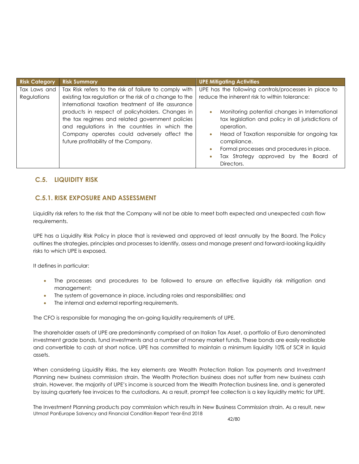| <b>Risk Category</b> | <b>Risk Summary</b>                                    | <b>UPE Mitigating Activities</b>                           |  |  |
|----------------------|--------------------------------------------------------|------------------------------------------------------------|--|--|
| Tax Laws and         | Tax Risk refers to the risk of failure to comply with  | UPE has the following controls/processes in place to       |  |  |
| Regulations          | existing tax regulation or the risk of a change to the | reduce the inherent risk to within tolerance:              |  |  |
|                      | International taxation treatment of life assurance     |                                                            |  |  |
|                      | products in respect of policyholders. Changes in       | Monitoring potential changes in International<br>$\bullet$ |  |  |
|                      | the tax regimes and related government policies        | tax legislation and policy in all jurisdictions of         |  |  |
|                      | and regulations in the countries in which the          | operation.                                                 |  |  |
|                      | Company operates could adversely affect the            | Head of Taxation responsible for ongoing tax<br>$\bullet$  |  |  |
|                      | future profitability of the Company.                   | compliance.                                                |  |  |
|                      |                                                        | Formal processes and procedures in place.<br>$\bullet$     |  |  |
|                      |                                                        | Tax Strategy approved by the Board of<br>$\bullet$         |  |  |
|                      |                                                        | Directors.                                                 |  |  |

# **C.5. LIQUIDITY RISK**

# **C.5.1. RISK EXPOSURE AND ASSESSMENT**

Liquidity risk refers to the risk that the Company will not be able to meet both expected and unexpected cash flow requirements.

UPE has a Liquidity Risk Policy in place that is reviewed and approved at least annually by the Board. The Policy outlines the strategies, principles and processes to identify, assess and manage present and forward-looking liquidity risks to which UPE is exposed.

It defines in particular:

- The processes and procedures to be followed to ensure an effective liquidity risk mitigation and management;
- The system of governance in place, including roles and responsibilities; and
- The internal and external reporting requirements.

The CFO is responsible for managing the on-going liquidity requirements of UPE.

The shareholder assets of UPE are predominantly comprised of an Italian Tax Asset, a portfolio of Euro denominated investment grade bonds, fund investments and a number of money market funds. These bonds are easily realisable and convertible to cash at short notice. UPE has committed to maintain a minimum liquidity 10% of SCR in liquid assets.

When considering Liquidity Risks, the key elements are Wealth Protection Italian Tax payments and Investment Planning new business commission strain. The Wealth Protection business does not suffer from new business cash strain. However, the majority of UPE's income is sourced from the Wealth Protection business line, and is generated by issuing quarterly fee invoices to the custodians. As a result, prompt fee collection is a key liquidity metric for UPE.

Utmost PanEurope Solvency and Financial Condition Report Year-End 2018 The Investment Planning products pay commission which results in New Business Commission strain. As a result, new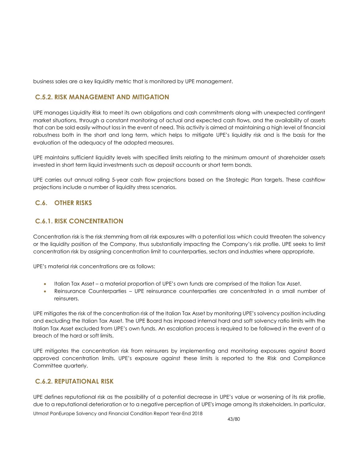business sales are a key liquidity metric that is monitored by UPE management.

# **C.5.2. RISK MANAGEMENT AND MITIGATION**

UPE manages Liquidity Risk to meet its own obligations and cash commitments along with unexpected contingent market situations, through a constant monitoring of actual and expected cash flows, and the availability of assets that can be sold easily without loss in the event of need. This activity is aimed at maintaining a high level of financial robustness both in the short and long term, which helps to mitigate UPE's liquidity risk and is the basis for the evaluation of the adequacy of the adopted measures.

UPE maintains sufficient liquidity levels with specified limits relating to the minimum amount of shareholder assets invested in short term liquid investments such as deposit accounts or short term bonds.

UPE carries out annual rolling 5-year cash flow projections based on the Strategic Plan targets. These cashflow projections include a number of liquidity stress scenarios.

# **C.6. OTHER RISKS**

# **C.6.1. RISK CONCENTRATION**

Concentration risk is the risk stemming from all risk exposures with a potential loss which could threaten the solvency or the liquidity position of the Company, thus substantially impacting the Company's risk profile. UPE seeks to limit concentration risk by assigning concentration limit to counterparties, sectors and industries where appropriate.

UPE's material risk concentrations are as follows:

- Italian Tax Asset a material proportion of UPE's own funds are comprised of the Italian Tax Asset.
- Reinsurance Counterparties UPE reinsurance counterparties are concentrated in a small number of reinsurers.

UPE mitigates the risk of the concentration risk of the Italian Tax Asset by monitoring UPE's solvency position including and excluding the Italian Tax Asset. The UPE Board has imposed internal hard and soft solvency ratio limits with the Italian Tax Asset excluded from UPE's own funds. An escalation process is required to be followed in the event of a breach of the hard or soft limits.

UPE mitigates the concentration risk from reinsurers by implementing and monitoring exposures against Board approved concentration limits. UPE's exposure against these limits is reported to the Risk and Compliance Committee quarterly.

## **C.6.2. REPUTATIONAL RISK**

Utmost PanEurope Solvency and Financial Condition Report Year-End 2018 UPE defines reputational risk as the possibility of a potential decrease in UPE's value or worsening of its risk profile, due to a reputational deterioration or to a negative perception of UPE's image among its stakeholders. In particular,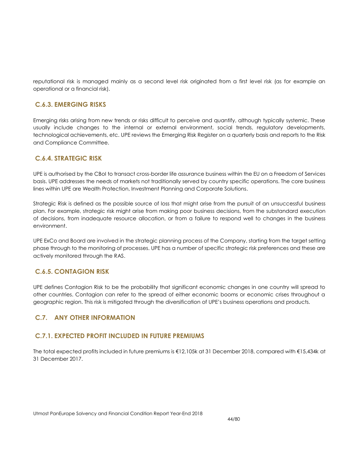reputational risk is managed mainly as a second level risk originated from a first level risk (as for example an operational or a financial risk).

# **C.6.3. EMERGING RISKS**

Emerging risks arising from new trends or risks difficult to perceive and quantify, although typically systemic. These usually include changes to the internal or external environment, social trends, regulatory developments, technological achievements, etc. UPE reviews the Emerging Risk Register on a quarterly basis and reports to the Risk and Compliance Committee.

# **C.6.4. STRATEGIC RISK**

UPE is authorised by the CBoI to transact cross-border life assurance business within the EU on a Freedom of Services basis. UPE addresses the needs of markets not traditionally served by country specific operations. The core business lines within UPE are Wealth Protection, Investment Planning and Corporate Solutions.

Strategic Risk is defined as the possible source of loss that might arise from the pursuit of an unsuccessful [business](http://www.businessdictionary.com/definition/business-plan.html)  [plan.](http://www.businessdictionary.com/definition/business-plan.html) For example, strategic risk might arise from making poor [business](http://www.businessdictionary.com/definition/business.html) decisions, from the substandard [execution](http://www.businessdictionary.com/definition/execution.html) of decisions, from inadequate [resource](http://www.businessdictionary.com/definition/resource.html) [allocation,](http://www.businessdictionary.com/definition/allocation.html) or from a [failure](http://www.businessdictionary.com/definition/failure.html) to respond well to [changes](http://www.businessdictionary.com/definition/changes.html) in the [business](http://www.businessdictionary.com/definition/business-environment.html)  [environment.](http://www.businessdictionary.com/definition/business-environment.html)

UPE ExCo and Board are involved in the strategic planning process of the Company, starting from the target setting phase through to the monitoring of processes. UPE has a number of specific strategic risk preferences and these are actively monitored through the RAS.

## **C.6.5. CONTAGION RISK**

UPE defines Contagion Risk to be the probability that significant economic changes in one country will spread to other countries. Contagion can refer to the spread of either economic booms or economic crises throughout a geographic region. This risk is mitigated through the diversification of UPE's business operations and products.

# **C.7. ANY OTHER INFORMATION**

## **C.7.1. EXPECTED PROFIT INCLUDED IN FUTURE PREMIUMS**

The total expected profits included in future premiums is €12,105k at 31 December 2018, compared with €15,434k at 31 December 2017.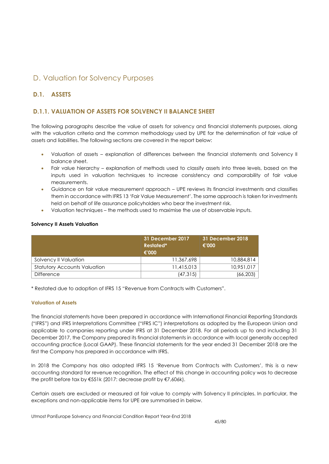# D. Valuation for Solvency Purposes

# **D.1. ASSETS**

# **D.1.1. VALUATION OF ASSETS FOR SOLVENCY II BALANCE SHEET**

The following paragraphs describe the value of assets for solvency and financial statements purposes, along with the valuation criteria and the common methodology used by UPE for the determination of fair value of assets and liabilities. The following sections are covered in the report below:

- Valuation of assets explanation of differences between the financial statements and Solvency II balance sheet.
- Fair value hierarchy explanation of methods used to classify assets into three levels, based on the inputs used in valuation techniques to increase consistency and comparability of fair value measurements.
- Guidance on fair value measurement approach UPE reviews its financial investments and classifies them in accordance with IFRS 13 'Fair Value Measurement'. The same approach is taken for investments held on behalf of life assurance policyholders who bear the investment risk.
- Valuation techniques the methods used to maximise the use of observable inputs.

### **Solvency II Assets Valuation**

|                                     | 31 December 2017<br>Restated*<br>€'000 | 31 December 2018<br>€'000 |  |
|-------------------------------------|----------------------------------------|---------------------------|--|
| Solvency II Valuation               | 11,367,698                             | 10,884,814                |  |
| <b>Statutory Accounts Valuation</b> | 11,415,013                             | 10.951.017                |  |
| <b>Difference</b>                   | (47, 315)                              | (66,203)                  |  |

\* Restated due to adoption of IFRS 15 "Revenue from Contracts with Customers".

### **Valuation of Assets**

The financial statements have been prepared in accordance with International Financial Reporting Standards ("IFRS") and IFRS Interpretations Committee ("IFRS IC") interpretations as adopted by the European Union and applicable to companies reporting under IFRS at 31 December 2018. For all periods up to and including 31 December 2017, the Company prepared its financial statements in accordance with local generally accepted accounting practice (Local GAAP). These financial statements for the year ended 31 December 2018 are the first the Company has prepared in accordance with IFRS.

In 2018 the Company has also adopted IFRS 15 'Revenue from Contracts with Customers', this is a new accounting standard for revenue recognition. The effect of this change in accounting policy was to decrease the profit before tax by €551k (2017: decrease profit by €7,606k).

Certain assets are excluded or measured at fair value to comply with Solvency II principles. In particular, the exceptions and non-applicable items for UPE are summarised in below.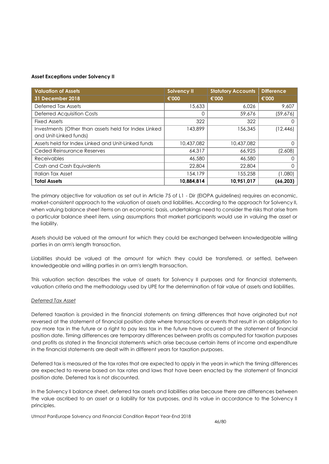### **Asset Exceptions under Solvency II**

| <b>Valuation of Assets</b>                           | <b>Solvency II</b> | <b>Statutory Accounts</b> | <b>Difference</b> |
|------------------------------------------------------|--------------------|---------------------------|-------------------|
| 31 December 2018                                     | €'000              | €'000                     | €'000             |
| Deferred Tax Assets                                  | 15,633             | 6.026                     | 9.607             |
| <b>Deferred Acquisition Costs</b>                    | 0                  | 59,676                    | (59,676)          |
| <b>Fixed Assets</b>                                  | 322                | 322                       |                   |
| Investments (Other than assets held for Index Linked | 143,899            | 156,345                   | (12, 446)         |
| and Unit-Linked funds)                               |                    |                           |                   |
| Assets held for Index Linked and Unit-Linked funds   | 10,437,082         | 10,437,082                |                   |
| Ceded Reinsurance Reserves                           | 64,317             | 66.925                    | (2,608)           |
| <b>Receivables</b>                                   | 46,580             | 46,580                    |                   |
| Cash and Cash Equivalents                            | 22,804             | 22,804                    |                   |
| Italian Tax Asset                                    | 154,179            | 155,258                   | (1,080)           |
| <b>Total Assets</b>                                  | 10,884,814         | 10,951,017                | (66, 203)         |

The primary objective for valuation as set out in Article 75 of L1 - Dir (EIOPA guidelines) requires an economic, market-consistent approach to the valuation of assets and liabilities. According to the approach for Solvency II, when valuing balance sheet items on an economic basis, undertakings need to consider the risks that arise from a particular balance sheet item, using assumptions that market participants would use in valuing the asset or the liability.

Assets should be valued at the amount for which they could be exchanged between knowledgeable willing parties in an arm's length transaction.

Liabilities should be valued at the amount for which they could be transferred, or settled, between knowledgeable and willing parties in an arm's length transaction.

This valuation section describes the value of assets for Solvency II purposes and for financial statements, valuation criteria and the methodology used by UPE for the determination of fair value of assets and liabilities.

### *Deferred Tax Asset*

Deferred taxation is provided in the financial statements on timing differences that have originated but not reversed at the statement of financial position date where transactions or events that result in an obligation to pay more tax in the future or a right to pay less tax in the future have occurred at the statement of financial position date. Timing differences are temporary differences between profits as computed for taxation purposes and profits as stated in the financial statements which arise because certain items of income and expenditure in the financial statements are dealt with in different years for taxation purposes.

Deferred tax is measured at the tax rates that are expected to apply in the years in which the timing differences are expected to reverse based on tax rates and laws that have been enacted by the statement of financial position date. Deferred tax is not discounted.

In the Solvency II balance sheet, deferred tax assets and liabilities arise because there are differences between the value ascribed to an asset or a liability for tax purposes, and its value in accordance to the Solvency II principles.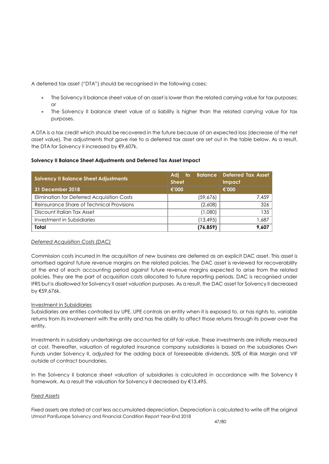A deferred tax asset ("DTA") should be recognised in the following cases:

- The Solvency II balance sheet value of an asset is lower than the related carrying value for tax purposes; or
- The Solvency II balance sheet value of a liability is higher than the related carrying value for tax purposes.

A DTA is a tax credit which should be recovered in the future because of an expected loss (decrease of the net asset value). The adjustments that gave rise to a deferred tax asset are set out in the table below. As a result, the DTA for Solvency II increased by €9,607k.

# **Solvency II Balance Sheet Adjustments and Deferred Tax Asset Impact**

| <b>Solvency II Balance Sheet Adjustments</b> | <b>Balance</b><br>Adi<br>-to<br><b>Sheet</b> | <b>Deferred Tax Asset</b><br>Impact |
|----------------------------------------------|----------------------------------------------|-------------------------------------|
| 31 December 2018                             | €'000                                        | €'000                               |
| Elimination for Deferred Acquisition Costs   | (59,676)                                     | 7.459                               |
| Reinsurance Share of Technical Provisions    | (2,608)                                      | 326                                 |
| Discount Italian Tax Asset                   | (1,080)                                      | 135                                 |
| Investment in Subsidiaries                   | (13, 495)                                    | 1,687                               |
| Total                                        | (76, 859)                                    | 9,607                               |

## *Deferred Acquisition Costs (DAC)*

Commission costs incurred in the acquisition of new business are deferred as an explicit DAC asset. This asset is amortised against future revenue margins on the related policies. The DAC asset is reviewed for recoverability at the end of each accounting period against future revenue margins expected to arise from the related policies. They are the part of acquisition costs allocated to future reporting periods. DAC is recognised under IFRS but is disallowed for Solvency II asset valuation purposes. As a result, the DAC asset for Solvency II decreased by €59,676k.

## Investment in Subsidiaries

Subsidiaries are entities controlled by UPE. UPE controls an entity when it is exposed to, or has rights to, variable returns from its involvement with the entity and has the ability to affect those returns through its power over the entity.

Investments in subsidiary undertakings are accounted for at fair value. These investments are initially measured at cost. Thereafter, valuation of regulated insurance company subsidiaries is based on the subsidiaries Own Funds under Solvency II, adjusted for the adding back of foreseeable dividends, 50% of Risk Margin and VIF outside of contract boundaries.

In the Solvency II balance sheet valuation of subsidiaries is calculated in accordance with the Solvency II framework. As a result the valuation for Solvency II decreased by €13,495.

## *Fixed Assets*

Utmost PanEurope Solvency and Financial Condition Report Year-End 2018 Fixed assets are stated at cost less accumulated depreciation. Depreciation is calculated to write off the original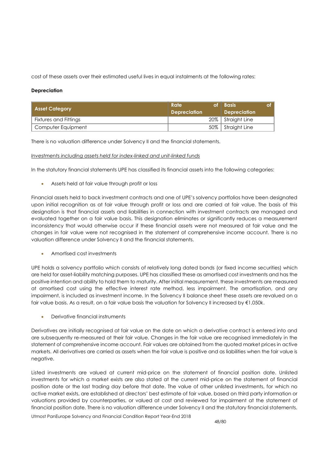cost of these assets over their estimated useful lives in equal instalments at the following rates:

### **Depreciation**

| Asset Category        | Rate<br>оf<br><b>Depreciation</b> | l Basis<br><b>Depreciation</b> |
|-----------------------|-----------------------------------|--------------------------------|
| Fixtures and Fittings |                                   | 20%   Straight Line            |
| Computer Equipment    |                                   | 50% Straight Line              |

There is no valuation difference under Solvency II and the financial statements.

### *Investments including assets held for index-linked and unit-linked funds*

In the statutory financial statements UPE has classified its financial assets into the following categories:

Assets held at fair value through profit or loss

Financial assets held to back investment contracts and one of UPE's solvency portfolios have been designated upon initial recognition as at fair value through profit or loss and are carried at fair value. The basis of this designation is that financial assets and liabilities in connection with investment contracts are managed and evaluated together on a fair value basis. This designation eliminates or significantly reduces a measurement inconsistency that would otherwise occur if these financial assets were not measured at fair value and the changes in fair value were not recognised in the statement of comprehensive income account. There is no valuation difference under Solvency II and the financial statements.

Amortised cost investments

UPE holds a solvency portfolio which consists of relatively long dated bonds (or fixed income securities) which are held for asset-liability matching purposes. UPE has classified these as amortised cost investments and has the positive intention and ability to hold them to maturity. After initial measurement, these investments are measured at amortised cost using the effective interest rate method, less impairment. The amortisation, and any impairment, is included as investment income. In the Solvency II balance sheet these assets are revalued on a fair value basis. As a result, on a fair value basis the valuation for Solvency II increased by €1,050k.

Derivative financial instruments

Derivatives are initially recognised at fair value on the date on which a derivative contract is entered into and are subsequently re-measured at their fair value. Changes in the fair value are recognised immediately in the statement of comprehensive income account. Fair values are obtained from the quoted market prices in active markets. All derivatives are carried as assets when the fair value is positive and as liabilities when the fair value is negative.

Listed investments are valued at current mid-price on the statement of financial position date. Unlisted investments for which a market exists are also stated at the current mid-price on the statement of financial position date or the last trading day before that date. The value of other unlisted investments, for which no active market exists, are established at directors' best estimate of fair value, based on third party information or valuations provided by counterparties, or valued at cost and reviewed for impairment at the statement of financial position date. There is no valuation difference under Solvency II and the statutory financial statements.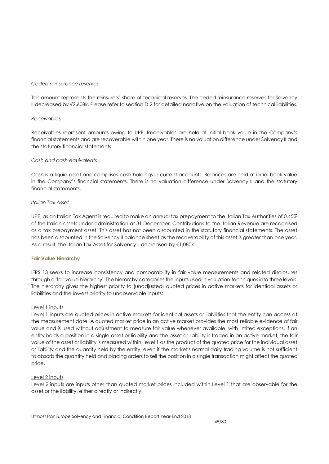#### *Ceded reinsurance reserves*

This amount represents the reinsurers' share of technical reserves. The ceded reinsurance reserves for Solvency II decreased by €2,608k. Please refer to section D.2 for detailed narrative on the valuation of technical liabilities.

#### *Receivables*

Receivables represent amounts owing to UPE. Receivables are held at initial book value in the Company's financial statements and are recoverable within one year. There is no valuation difference under Solvency II and the statutory financial statements.

#### *Cash and cash equivalents*

Cash is a liquid asset and comprises cash holdings in current accounts. Balances are held at initial book value in the Company's financial statements. There is no valuation difference under Solvency II and the statutory financial statements.

#### *Italian Tax Asset*

UPE, as an Italian Tax Agent is required to make an annual tax prepayment to the Italian Tax Authorities of 0.45% of the Italian assets under administration at 31 December. Contributions to the Italian Revenue are recognised as a tax prepayment asset. This asset has not been discounted in the statutory financial statements. The asset has been discounted in the Solvency II balance sheet as the recoverability of this asset is greater than one year. As a result, the Italian Tax Asset for Solvency II decreased by €1,080k.

### **Fair Value Hierarchy**

IFRS 13 seeks to increase consistency and comparability in fair value measurements and related disclosures through a 'fair value hierarchy'. The hierarchy categories the inputs used in valuation [techniques](http://www.iasplus.com/en/standards/ifrs/ifrs13#measurement_techniques) into three levels. The hierarchy gives the highest priority to (unadjusted) quoted prices in active markets for identical assets or liabilities and the lowest priority to unobservable inputs:

### Level 1 inputs

Level 1 inputs are quoted prices in active markets for identical assets or liabilities that the entity can access at the measurement date. A quoted market price in an active market provides the most reliable evidence of fair value and is used without adjustment to measure fair value whenever available, with limited exceptions. If an entity holds a position in a single asset or liability and the asset or liability is traded in an active market, the fair value of the asset or liability is measured within Level 1 as the product of the quoted price for the individual asset or liability and the quantity held by the entity, even if the market's normal daily trading volume is not sufficient to absorb the quantity held and placing orders to sell the position in a single transaction might affect the quoted price.

### Level 2 inputs

Level 2 inputs are inputs other than quoted market prices included within Level 1 that are observable for the asset or the liability, either directly or indirectly.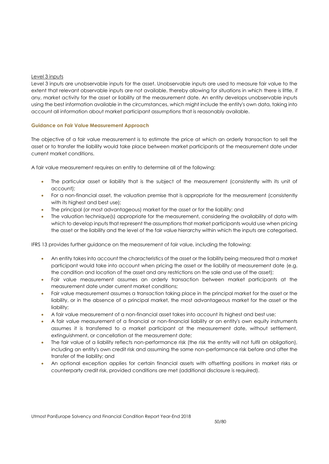### Level 3 inputs

Level 3 inputs are unobservable inputs for the asset. Unobservable inputs are used to measure fair value to the extent that relevant observable inputs are not available, thereby allowing for situations in which there is little, if any, market activity for the asset or liability at the measurement date. An entity develops unobservable inputs using the best information available in the circumstances, which might include the entity's own data, taking into account all information about market participant assumptions that is reasonably available.

### **Guidance on Fair Value Measurement Approach**

The objective of a fair value measurement is to estimate the price at which an orderly transaction to sell the asset or to transfer the liability would take place between market participants at the measurement date under current market conditions.

A fair value measurement requires an entity to determine all of the following:

- The particular asset or liability that is the subject of the measurement (consistently with its unit of account);
- For a non-financial asset, the valuation premise that is appropriate for the measurement (consistently with its highest and best use);
- The principal (or most advantageous) market for the asset or for the liability; and
- The valuation technique(s) appropriate for the measurement, considering the availability of data with which to develop inputs that represent the assumptions that market participants would use when pricing the asset or the liability and the level of the fair value hierarchy within which the inputs are categorised.

IFRS 13 provides further guidance on the measurement of fair value, including the following:

- An entity takes into account the characteristics of the asset or the liability being measured that a market participant would take into account when pricing the asset or the liability at measurement date (e.g. the condition and location of the asset and any restrictions on the sale and use of the asset);
- Fair value measurement assumes an orderly transaction between market participants at the measurement date under current market conditions;
- Fair value measurement assumes a transaction taking place in the principal market for the asset or the liability, or in the absence of a principal market, the most advantageous market for the asset or the liability;
- A fair value measurement of a non-financial asset takes into account its highest and best use;
- A fair value measurement of a financial or non-financial liability or an entity's own equity instruments assumes it is transferred to a market participant at the measurement date, without settlement, extinguishment, or cancellation at the measurement date;
- The fair value of a liability reflects non-performance risk (the risk the entity will not fulfil an obligation), including an entity's own credit risk and assuming the same non-performance risk before and after the transfer of the liability; and
- An optional exception applies for certain financial assets with offsetting positions in market risks or counterparty credit risk, provided conditions are met (additional disclosure is required).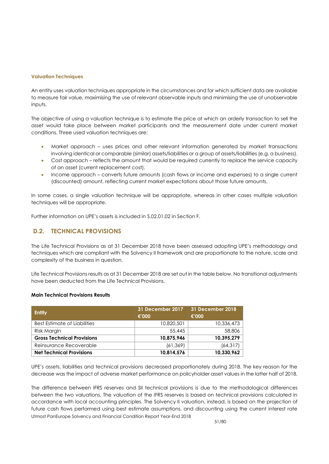#### **Valuation Techniques**

An entity uses valuation techniques appropriate in the circumstances and for which sufficient data are available to measure fair value, maximising the use of relevant observable inputs and minimising the use of unobservable inputs.

The objective of using a valuation technique is to estimate the price at which an orderly transaction to sell the asset would take place between market participants and the measurement date under current market conditions. Three used valuation techniques are:

- Market approach uses prices and other relevant information generated by market transactions involving identical or comparable (similar) assets/liabilities or a group of assets/liabilities (e.g. a business).
- Cost approach reflects the amount that would be required currently to replace the service capacity of an asset (current replacement cost).
- Income approach converts future amounts (cash flows or income and expenses) to a single current (discounted) amount, reflecting current market expectations about those future amounts.

In some cases, a single valuation technique will be appropriate, whereas in other cases multiple valuation techniques will be appropriate.

Further information on UPE's assets is included in S.02.01.02 in Section F.

# **D.2. TECHNICAL PROVISIONS**

The Life Technical Provisions as at 31 December 2018 have been assessed adopting UPE's methodology and techniques which are compliant with the Solvency II framework and are proportionate to the nature, scale and complexity of the business in question.

Life Technical Provisions results as at 31 December 2018 are set out in the table below. No transitional adjustments have been deducted from the Life Technical Provisions.

### **Main Technical Provisions Results**

| <b>Entity</b>                     | 31 December 2017<br>€'000 | 31 December 2018<br>€'000 |  |
|-----------------------------------|---------------------------|---------------------------|--|
| Best Estimate of Liabilities      | 10,820,501                | 10,336,473                |  |
| Risk Margin                       | 55,445                    | 58,806                    |  |
| <b>Gross Technical Provisions</b> | 10,875,946                | 10,395,279                |  |
| Reinsurance Recoverable           | (61, 369)                 | (64, 317)                 |  |
| <b>Net Technical Provisions</b>   | 10,814,576                | 10,330,962                |  |

UPE's assets, liabilities and technical provisions decreased proportionately during 2018. The key reason for the decrease was the impact of adverse market performance on policyholder asset values in the latter half of 2018.

Utmost PanEurope Solvency and Financial Condition Report Year-End 2018 The difference between IFRS reserves and SII technical provisions is due to the methodological differences between the two valuations. The valuation of the IFRS reserves is based on technical provisions calculated in accordance with local accounting principles. The Solvency II valuation, instead, is based on the projection of future cash flows performed using best estimate assumptions, and discounting using the current interest rate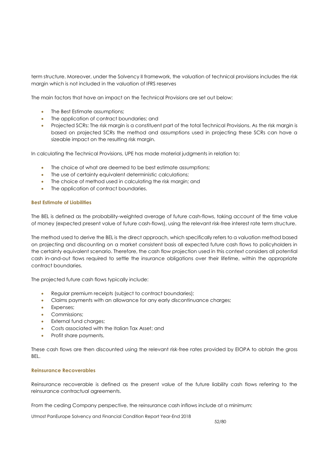term structure. Moreover, under the Solvency II framework, the valuation of technical provisions includes the risk margin which is not included in the valuation of IFRS reserves

The main factors that have an impact on the Technical Provisions are set out below:

- The Best Estimate assumptions;
- The application of contract boundaries; and
- Projected SCRs: The risk margin is a constituent part of the total Technical Provisions. As the risk margin is based on projected SCRs the method and assumptions used in projecting these SCRs can have a sizeable impact on the resulting risk margin.

In calculating the Technical Provisions, UPE has made material judgments in relation to:

- The choice of what are deemed to be best estimate assumptions;
- The use of certainty equivalent deterministic calculations;
- The choice of method used in calculating the risk margin; and
- The application of contract boundaries.

### **Best Estimate of Liabilities**

The BEL is defined as the probability-weighted average of future cash-flows, taking account of the time value of money (expected present value of future cash-flows), using the relevant risk-free interest rate term structure.

The method used to derive the BEL is the direct approach, which specifically refers to a valuation method based on projecting and discounting on a market consistent basis all expected future cash flows to policyholders in the certainty equivalent scenario. Therefore, the cash flow projection used in this context considers all potential cash in-and-out flows required to settle the insurance obligations over their lifetime, within the appropriate contract boundaries.

The projected future cash flows typically include:

- Regular premium receipts (subject to contract boundaries);
- Claims payments with an allowance for any early discontinuance charges;
- Expenses;
- Commissions;
- External fund charaes:
- Costs associated with the Italian Tax Asset; and
- Profit share payments.

These cash flows are then discounted using the relevant risk-free rates provided by EIOPA to obtain the gross **BEL.** 

### **Reinsurance Recoverables**

Reinsurance recoverable is defined as the present value of the future liability cash flows referring to the reinsurance contractual agreements.

From the ceding Company perspective, the reinsurance cash inflows include at a minimum: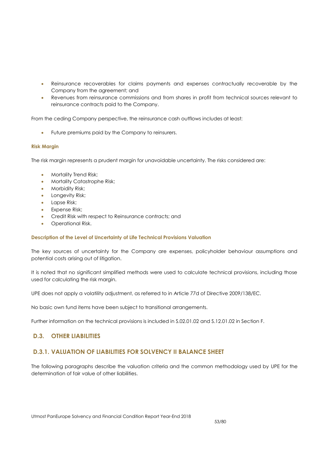- Reinsurance recoverables for claims payments and expenses contractually recoverable by the Company from the agreement; and
- Revenues from reinsurance commissions and from shares in profit from technical sources relevant to reinsurance contracts paid to the Company.

From the ceding Company perspective, the reinsurance cash outflows includes at least:

Future premiums paid by the Company to reinsurers.

### **Risk Margin**

The risk margin represents a prudent margin for unavoidable uncertainty. The risks considered are:

- Mortality Trend Risk;
- **Mortality Catastrophe Risk;**
- **•** Morbidity Risk;
- **•** Longevity Risk;
- Lapse Risk:
- **Expense Risk:**
- Credit Risk with respect to Reinsurance contracts; and
- Operational Risk.

### **Description of the Level of Uncertainty of Life Technical Provisions Valuation**

The key sources of uncertainty for the Company are expenses, policyholder behaviour assumptions and potential costs arising out of litigation.

It is noted that no significant simplified methods were used to calculate technical provisions, including those used for calculating the risk margin.

UPE does not apply a volatility adjustment, as referred to in Article 77d of Directive 2009/138/EC.

No basic own fund items have been subject to transitional arrangements.

Further information on the technical provisions is included in S.02.01.02 and S.12.01.02 in Section F.

# **D.3. OTHER LIABILITIES**

# **D.3.1. VALUATION OF LIABILITIES FOR SOLVENCY II BALANCE SHEET**

The following paragraphs describe the valuation criteria and the common methodology used by UPE for the determination of fair value of other liabilities.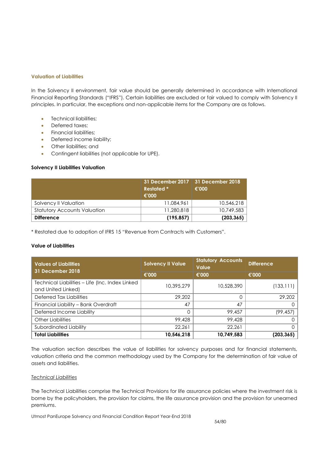### **Valuation of Liabilities**

In the Solvency II environment, fair value should be generally determined in accordance with International Financial Reporting Standards ("IFRS"). Certain liabilities are excluded or fair valued to comply with Solvency II principles. In particular, the exceptions and non-applicable items for the Company are as follows.

- Technical liabilities:
- Deferred taxes;
- Financial liabilities;
- Deferred income liability;
- Other liabilities; and
- Contingent liabilities (not applicable for UPE).

#### **Solvency II Liabilities Valuation**

|                                     | <b>Restated</b> *<br>€'000 | 31 December 2017   31 December 2018<br>€'000 |
|-------------------------------------|----------------------------|----------------------------------------------|
| Solvency II Valuation               | 11.084.961                 | 10,546,218                                   |
| <b>Statutory Accounts Valuation</b> | 11,280,818                 | 10.749.583                                   |
| <b>Difference</b>                   | (195, 857)                 | (203, 365)                                   |

\* Restated due to adoption of IFRS 15 "Revenue from Contracts with Customers".

#### **Value of Liabilities**

| <b>Values of Liabilities</b><br><b>31 December 2018</b>               | <b>Solvency II Value</b> | <b>Statutory Accounts</b><br><b>Value</b> | <b>Difference</b> |
|-----------------------------------------------------------------------|--------------------------|-------------------------------------------|-------------------|
|                                                                       | €'000                    | €'000                                     | €'000             |
| Technical Liabilities - Life (Inc. Index Linked<br>and United Linked) | 10,395,279               | 10,528,390                                | (133, 111)        |
| Deferred Tax Liabilities                                              | 29,202                   |                                           | 29,202            |
| Financial Liability - Bank Overdraft                                  | 47                       | 47                                        |                   |
| Deferred Income Liability                                             | $\Omega$                 | 99,457                                    | (99, 457)         |
| Other Liabilities                                                     | 99,428                   | 99,428                                    |                   |
| Subordinated Liability                                                | 22.261                   | 22.261                                    | Ω                 |
| <b>Total Liabilities</b>                                              | 10,546,218               | 10,749,583                                | (203, 365)        |

The valuation section describes the value of liabilities for solvency purposes and for financial statements, valuation criteria and the common methodology used by the Company for the determination of fair value of assets and liabilities.

#### *Technical Liabilities*

The Technical Liabilities comprise the Technical Provisions for life assurance policies where the investment risk is borne by the policyholders, the provision for claims, the life assurance provision and the provision for unearned premiums.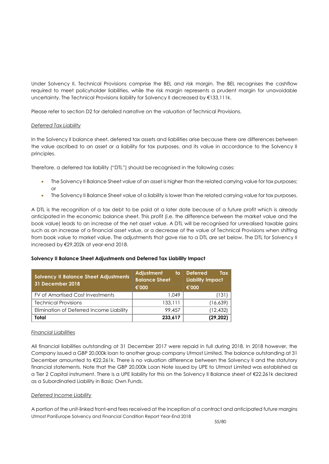Under Solvency II, Technical Provisions comprise the BEL and risk margin. The BEL recognises the cashflow required to meet policyholder liabilities, while the risk margin represents a prudent margin for unavoidable uncertainty. The Technical Provisions liability for Solvency II decreased by €133,111k.

Please refer to section D2 for detailed narrative on the valuation of Technical Provisions.

### *Deferred Tax Liability*

In the Solvency II balance sheet, deferred tax assets and liabilities arise because there are differences between the value ascribed to an asset or a liability for tax purposes, and its value in accordance to the Solvency II principles.

Therefore, a deferred tax liability ("DTL") should be recognised in the following cases:

- The Solvency II Balance Sheet value of an asset is higher than the related carrying value for tax purposes; or
- The Solvency II Balance Sheet value of a liability is lower than the related carrying value for tax purposes.

A DTL is the recognition of a tax debt to be paid at a later date because of a future profit which is already anticipated in the economic balance sheet. This profit (i.e. the difference between the market value and the book value) leads to an increase of the net asset value. A DTL will be recognised for unrealised taxable gains such as an increase of a financial asset value, or a decrease of the value of Technical Provisions when shifting from book value to market value. The adjustments that gave rise to a DTL are set below. The DTL for Solvency II increased by €29,202k at year-end 2018.

## **Solvency II Balance Sheet Adjustments and Deferred Tax Liability Impact**

| <b>Solvency II Balance Sheet Adjustments</b><br>31 December 2018 | <b>Adjustment</b><br>to<br><b>Balance Sheet</b> | <b>Deferred</b><br>Tax<br><b>Liability Impact</b> |  |
|------------------------------------------------------------------|-------------------------------------------------|---------------------------------------------------|--|
|                                                                  | €'000                                           | €'000                                             |  |
| FV of Amortised Cost Investments                                 | 1.049                                           | (131                                              |  |
| <b>Technical Provisions</b>                                      | 133,111                                         | (16,639)                                          |  |
| Elimination of Deferred Income Liability                         | 99.457                                          | (12, 432)                                         |  |
| Total                                                            | 233,617                                         | (29,202)                                          |  |

## *Financial Liabilities*

All financial liabilities outstanding at 31 December 2017 were repaid in full during 2018. In 2018 however, the Company issued a GBP 20,000k loan to another group company Utmost Limited. The balance outstanding at 31 December amounted to €22,261k. There is no valuation difference between the Solvency II and the statutory financial statements. Note that the GBP 20,000k Loan Note issued by UPE to Utmost Limited was established as a Tier 2 Capital instrument. There is a UPE liability for this on the Solvency II Balance sheet of €22,261k declared as a Subordinated Liability in Basic Own Funds.

### *Deferred Income Liability*

Utmost PanEurope Solvency and Financial Condition Report Year-End 2018 A portion of the unit-linked front-end fees received at the inception of a contract and anticipated future margins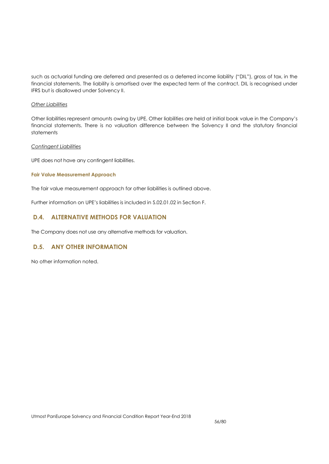such as actuarial funding are deferred and presented as a deferred income liability ("DIL"), gross of tax, in the financial statements. The liability is amortised over the expected term of the contract. DIL is recognised under IFRS but is disallowed under Solvency II.

### *Other Liabilities*

Other liabilities represent amounts owing by UPE. Other liabilities are held at initial book value in the Company's financial statements. There is no valuation difference between the Solvency II and the statutory financial statements

#### *Contingent Liabilities*

UPE does not have any contingent liabilities.

#### **Fair Value Measurement Approach**

The fair value measurement approach for other liabilities is outlined above.

Further information on UPE's liabilities is included in S.02.01.02 in Section F.

# **D.4. ALTERNATIVE METHODS FOR VALUATION**

The Company does not use any alternative methods for valuation.

# **D.5. ANY OTHER INFORMATION**

No other information noted.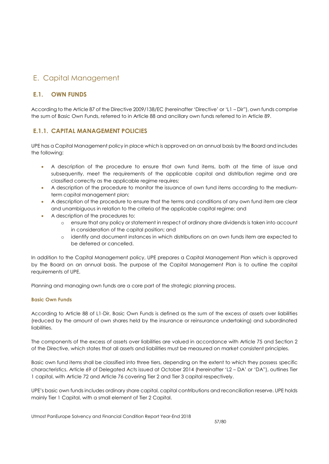# E. Capital Management

# **E.1. OWN FUNDS**

According to the Article 87 of the Directive 2009/138/EC (hereinafter 'Directive' or 'L1 – Dir"), own funds comprise the sum of Basic Own Funds, referred to in Article 88 and ancillary own funds referred to in Article 89.

# **E.1.1. CAPITAL MANAGEMENT POLICIES**

UPE has a Capital Management policy in place which is approved on an annual basis by the Board and includes the following:

- A description of the procedure to ensure that own fund items, both at the time of issue and subsequently, meet the requirements of the applicable capital and distribution regime and are classified correctly as the applicable regime requires;
- A description of the procedure to monitor the issuance of own fund items according to the mediumterm capital management plan;
- A description of the procedure to ensure that the terms and conditions of any own fund item are clear and unambiguous in relation to the criteria of the applicable capital regime; and
- A description of the procedures to:
	- o ensure that any policy or statement in respect of ordinary share dividends is taken into account in consideration of the capital position; and
	- o identify and document instances in which distributions on an own funds item are expected to be deferred or cancelled.

In addition to the Capital Management policy, UPE prepares a Capital Management Plan which is approved by the Board on an annual basis. The purpose of the Capital Management Plan is to outline the capital requirements of UPE.

Planning and managing own funds are a core part of the strategic planning process.

## **Basic Own Funds**

According to Article 88 of L1-Dir, Basic Own Funds is defined as the sum of the excess of assets over liabilities (reduced by the amount of own shares held by the insurance or reinsurance undertaking) and subordinated liabilities.

The components of the excess of assets over liabilities are valued in accordance with Article 75 and Section 2 of the Directive, which states that all assets and liabilities must be measured on market consistent principles.

Basic own fund items shall be classified into three tiers, depending on the extent to which they possess specific characteristics. Article 69 of Delegated Acts issued at October 2014 (hereinafter 'L2 – DA' or 'DA"), outlines Tier 1 capital, with Article 72 and Article 76 covering Tier 2 and Tier 3 capital respectively.

UPE's basic own funds includes ordinary share capital, capital contributions and reconciliation reserve. UPE holds mainly Tier 1 Capital, with a small element of Tier 2 Capital.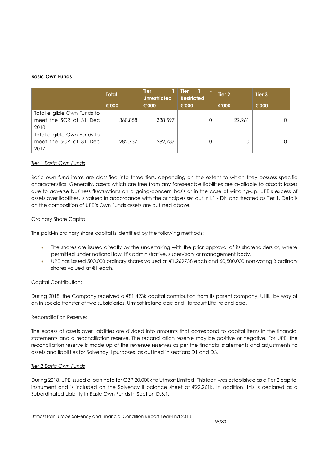### **Basic Own Funds**

|                             | <b>Total</b> | <b>Tier</b><br><b>Unrestricted</b> | <b>Tier</b><br><b>Restricted</b> | Tier 2 | Tier <sub>3</sub> |
|-----------------------------|--------------|------------------------------------|----------------------------------|--------|-------------------|
|                             | €'000        | €'000                              | €'000                            | €'000  | €'000             |
| Total eligible Own Funds to |              |                                    |                                  |        |                   |
| meet the SCR at 31 Dec      | 360,858      | 338,597                            |                                  | 22,261 |                   |
| 2018                        |              |                                    |                                  |        |                   |
| Total eligible Own Funds to |              |                                    |                                  |        |                   |
| meet the SCR at 31 Dec      | 282,737      | 282,737                            |                                  |        |                   |
| 2017                        |              |                                    |                                  |        |                   |

### *Tier 1 Basic Own Funds*

Basic own fund items are classified into three tiers, depending on the extent to which they possess specific characteristics. Generally, assets which are free from any foreseeable liabilities are available to absorb losses due to adverse business fluctuations on a going-concern basis or in the case of winding-up. UPE's excess of assets over liabilities, is valued in accordance with the principles set out in L1 - Dir, and treated as Tier 1. Details on the composition of UPE's Own Funds assets are outlined above.

### Ordinary Share Capital:

The paid-in ordinary share capital is identified by the following methods:

- The shares are issued directly by the undertaking with the prior approval of its shareholders or, where permitted under national law, it's administrative, supervisory or management body.
- UPE has issued 500,000 ordinary shares valued at €1.269738 each and 60,500,000 non-voting B ordinary shares valued at €1 each.

### Capital Contribution:

During 2018, the Company received a €81,423k capital contribution from its parent company, UHIL, by way of an in specie transfer of two subsidiaries, Utmost Ireland dac and Harcourt Life Ireland dac.

### Reconciliation Reserve:

The excess of assets over liabilities are divided into amounts that correspond to capital items in the financial statements and a reconciliation reserve. The reconciliation reserve may be positive or negative. For UPE, the reconciliation reserve is made up of the revenue reserves as per the financial statements and adjustments to assets and liabilities for Solvency II purposes, as outlined in sections D1 and D3.

### *Tier 2 Basic Own Funds*

During 2018, UPE issued a loan note for GBP 20,000k to Utmost Limited. This loan was established as a Tier 2 capital instrument and is included on the Solvency II balance sheet at €22,261k. In addition, this is declared as a Subordinated Liability in Basic Own Funds in Section D.3.1.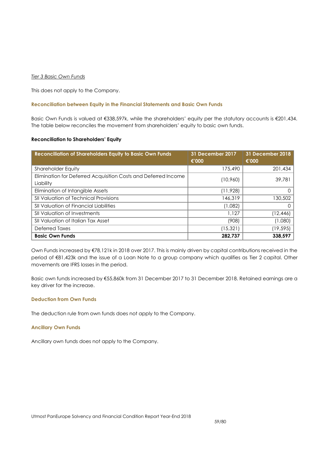### *Tier 3 Basic Own Funds*

This does not apply to the Company.

#### **Reconciliation between Equity in the Financial Statements and Basic Own Funds**

Basic Own Funds is valued at €338,597k, while the shareholders' equity per the statutory accounts is €201,434. The table below reconciles the movement from shareholders' equity to basic own funds.

#### **Reconciliation to Shareholders' Equity**

| <b>Reconciliation of Shareholders Equity to Basic Own Funds</b>             | 31 December 2017<br>€'000 | 31 December 2018<br>€'000 |
|-----------------------------------------------------------------------------|---------------------------|---------------------------|
| <b>Shareholder Equity</b>                                                   | 175,490                   | 201,434                   |
| Elimination for Deferred Acquisition Costs and Deferred Income<br>Liability | (10,960)                  | 39,781                    |
| Elimination of Intangible Assets                                            | (11, 928)                 |                           |
| <b>SII Valuation of Technical Provisions</b>                                | 146,319                   | 130,502                   |
| <b>SII Valuation of Financial Liabilities</b>                               | (1,082)                   |                           |
| <b>SII Valuation of Investments</b>                                         | 1.127                     | (12,446)                  |
| SII Valuation of Italian Tax Asset                                          | (908)                     | (1,080)                   |
| Deferred Taxes                                                              | (15, 321)                 | (19, 595)                 |
| <b>Basic Own Funds</b>                                                      | 282.737                   | 338,597                   |

Own Funds increased by €78,121k in 2018 over 2017. This is mainly driven by capital contributions received in the period of €81,423k and the issue of a Loan Note to a group company which qualifies as Tier 2 capital. Other movements are IFRS losses in the period.

Basic own funds increased by €55,860k from 31 December 2017 to 31 December 2018. Retained earnings are a key driver for the increase.

### **Deduction from Own Funds**

The deduction rule from own funds does not apply to the Company.

#### **Ancillary Own Funds**

Ancillary own funds does not apply to the Company.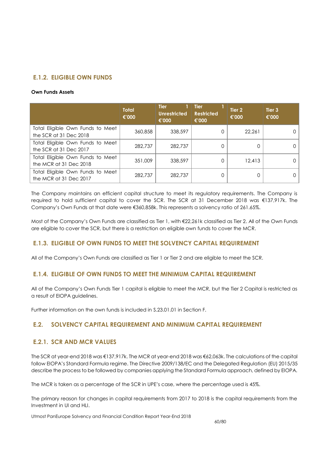# **E.1.2. ELIGIBLE OWN FUNDS**

#### **Own Funds Assets**

|                                                            | <b>Total</b><br>€'000 | <b>Tier</b><br><b>Unrestricted</b><br>€'000 | <b>Tier</b><br><b>Restricted</b><br>€'000 | Tier 2<br>€'000 | Tier <sub>3</sub><br>€'000 |
|------------------------------------------------------------|-----------------------|---------------------------------------------|-------------------------------------------|-----------------|----------------------------|
| Total Eligible Own Funds to Meet<br>the SCR at 31 Dec 2018 | 360,858               | 338,597                                     |                                           | 22.261          |                            |
| Total Eligible Own Funds to Meet<br>the SCR at 31 Dec 2017 | 282,737               | 282,737                                     |                                           |                 |                            |
| Total Eligible Own Funds to Meet<br>the MCR at 31 Dec 2018 | 351,009               | 338,597                                     |                                           | 12,413          |                            |
| Total Eligible Own Funds to Meet<br>the MCR at 31 Dec 2017 | 282,737               | 282,737                                     |                                           |                 |                            |

The Company maintains an efficient capital structure to meet its regulatory requirements. The Company is required to hold sufficient capital to cover the SCR. The SCR at 31 December 2018 was €137,917k. The Company's Own Funds at that date were €360,858k. This represents a solvency ratio of 261.65%.

Most of the Company's Own Funds are classified as Tier 1, with €22,261k classified as Tier 2. All of the Own Funds are eligible to cover the SCR, but there is a restriction on eligible own funds to cover the MCR.

# **E.1.3. ELIGIBLE OF OWN FUNDS TO MEET THE SOLVENCY CAPITAL REQUIREMENT**

All of the Company's Own Funds are classified as Tier 1 or Tier 2 and are eligible to meet the SCR.

# **E.1.4. ELIGIBLE OF OWN FUNDS TO MEET THE MINIMUM CAPITAL REQUIREMENT**

All of the Company's Own Funds Tier 1 capital is eligible to meet the MCR, but the Tier 2 Capital is restricted as a result of EIOPA guidelines.

Further information on the own funds is included in S.23.01.01 in Section F.

# **E.2. SOLVENCY CAPITAL REQUIREMENT AND MINIMUM CAPITAL REQUIREMENT**

## **E.2.1. SCR AND MCR VALUES**

The SCR at year-end 2018 was €137,917k. The MCR at year-end 2018 was €62,063k. The calculations of the capital follow EIOPA's Standard Formula regime. The Directive 2009/138/EC and the Delegated Regulation (EU) 2015/35 describe the process to be followed by companies applying the Standard Formula approach, defined by EIOPA.

The MCR is taken as a percentage of the SCR in UPE's case, where the percentage used is 45%.

The primary reason for changes in capital requirements from 2017 to 2018 is the capital requirements from the Investment in UI and HLI.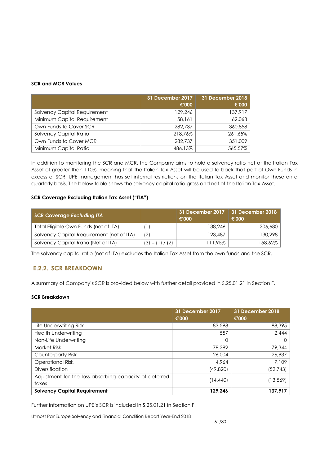### **SCR and MCR Values**

|                                     | 31 December 2017 | 31 December 2018 |
|-------------------------------------|------------------|------------------|
|                                     | €'000            | €'000            |
| <b>Solvency Capital Requirement</b> | 129,246          | 137,917          |
| Minimum Capital Requirement         | 58,161           | 62,063           |
| Own Funds to Cover SCR              | 282,737          | 360,858          |
| <b>Solvency Capital Ratio</b>       | 218.76%          | 261.65%          |
| Own Funds to Cover MCR              | 282,737          | 351,009          |
| Minimum Capital Ratio               | 486.13%          | 565.57%          |

In addition to monitoring the SCR and MCR, the Company aims to hold a solvency ratio net of the Italian Tax Asset of greater than 110%, meaning that the Italian Tax Asset will be used to back that part of Own Funds in excess of SCR. UPE management has set internal restrictions on the Italian Tax Asset and monitor these on a quarterly basis. The below table shows the solvency capital ratio gross and net of the Italian Tax Asset.

### **SCR Coverage Excluding Italian Tax Asset ("ITA")**

| <b>SCR Coverage Excluding ITA</b>         |                   | 31 December 2017  <br>€'000 | 31 December 2018<br>€'000 |
|-------------------------------------------|-------------------|-----------------------------|---------------------------|
| Total Eligible Own Funds (net of ITA)     |                   | 138,246                     | 206,680                   |
| Solvency Capital Requirement (net of ITA) | (2)               | 123,487                     | 130,298                   |
| Solvency Capital Ratio (Net of ITA)       | $(3) = (1) / (2)$ | 111.95%                     | 158.62%                   |

The solvency capital ratio (net of ITA) excludes the Italian Tax Asset from the own funds and the SCR.

# **E.2.2. SCR BREAKDOWN**

A summary of Company's SCR is provided below with further detail provided in S.25.01.21 in Section F.

### **SCR Breakdown**

|                                                        | <b>31 December 2017</b><br>€'000 | 31 December 2018<br>€'000 |
|--------------------------------------------------------|----------------------------------|---------------------------|
| Life Underwriting Risk                                 | 83,598                           | 88,395                    |
| <b>Health Underwriting</b>                             | 557                              | 2,444                     |
| Non-Life Underwriting                                  | 0                                |                           |
| <b>Market Risk</b>                                     | 78,382                           | 79,344                    |
| Counterparty Risk                                      | 26,004                           | 26,937                    |
| <b>Operational Risk</b>                                | 4.964                            | 7,109                     |
| <b>Diversification</b>                                 | (49,820)                         | (52, 743)                 |
| Adjustment for the loss-absorbing capacity of deferred |                                  |                           |
| taxes                                                  | (14,440)                         | (13,569)                  |
| <b>Solvency Capital Requirement</b>                    | 129.246                          | 137,917                   |

Further information on UPE's SCR is included in S.25.01.21 in Section F.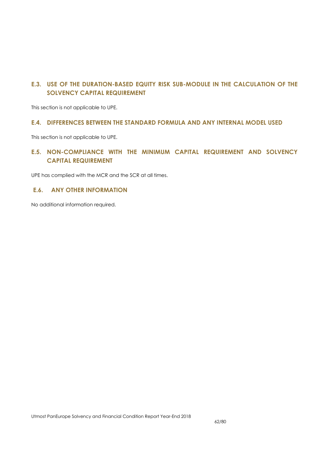# **E.3. USE OF THE DURATION-BASED EQUITY RISK SUB-MODULE IN THE CALCULATION OF THE SOLVENCY CAPITAL REQUIREMENT**

This section is not applicable to UPE.

# **E.4. DIFFERENCES BETWEEN THE STANDARD FORMULA AND ANY INTERNAL MODEL USED**

This section is not applicable to UPE.

# **E.5. NON-COMPLIANCE WITH THE MINIMUM CAPITAL REQUIREMENT AND SOLVENCY CAPITAL REQUIREMENT**

UPE has complied with the MCR and the SCR at all times.

# **E.6. ANY OTHER INFORMATION**

No additional information required.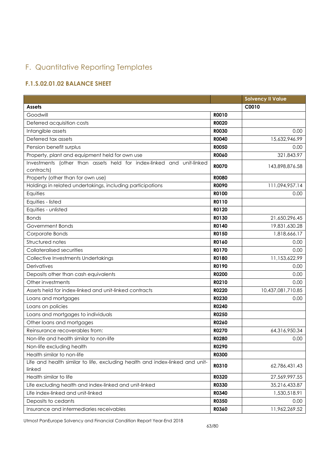# F. Quantitative Reporting Templates

# **F.1.S.02.01.02 BALANCE SHEET**

|                                                                                        |              | <b>Solvency II Value</b> |
|----------------------------------------------------------------------------------------|--------------|--------------------------|
| <b>Assets</b>                                                                          |              | C0010                    |
| Goodwill                                                                               | R0010        |                          |
| Deferred acquisition costs                                                             | <b>R0020</b> |                          |
| Intangible assets                                                                      | <b>R0030</b> | 0.00                     |
| Deferred tax assets                                                                    | <b>R0040</b> | 15,632,946.99            |
| Pension benefit surplus                                                                | <b>R0050</b> | 0.00                     |
| Property, plant and equipment held for own use                                         | <b>RO060</b> | 321,843.97               |
| Investments (other than assets held for index-linked and unit-linked<br>contracts)     | <b>R0070</b> | 143,898,876.58           |
| Property (other than for own use)                                                      | <b>R0080</b> |                          |
| Holdings in related undertakings, including participations                             | <b>ROO90</b> | 111,094,957.14           |
| Equities                                                                               | R0100        | 0.00                     |
| Equities - listed                                                                      | R0110        |                          |
| Equities - unlisted                                                                    | R0120        |                          |
| <b>Bonds</b>                                                                           | R0130        | 21,650,296.45            |
| Government Bonds                                                                       | R0140        | 19,831,630.28            |
| Corporate Bonds                                                                        | R0150        | 1,818,666.17             |
| Structured notes                                                                       | R0160        | 0.00                     |
| Collateralised securities                                                              | R0170        | 0.00                     |
| Collective Investments Undertakings                                                    | R0180        | 11,153,622.99            |
| Derivatives                                                                            | R0190        | 0.00                     |
| Deposits other than cash equivalents                                                   | R0200        | 0.00                     |
| Other investments                                                                      | R0210        | 0.00                     |
| Assets held for index-linked and unit-linked contracts                                 | R0220        | 10,437,081,710.85        |
| Loans and mortgages                                                                    | R0230        | 0.00                     |
| Loans on policies                                                                      | R0240        |                          |
| Loans and mortgages to individuals                                                     | R0250        |                          |
| Other loans and mortgages                                                              | R0260        |                          |
| Reinsurance recoverables from:                                                         | R0270        | 64,316,950.34            |
| Non-life and health similar to non-life                                                | <b>R0280</b> | 0.00                     |
| Non-life excluding health                                                              | R0290        |                          |
| Health similar to non-life                                                             | <b>R0300</b> |                          |
| Life and health similar to life, excluding health and index-linked and unit-<br>linked | R0310        | 62,786,431.43            |
| Health similar to life                                                                 | R0320        | 27,569,997.55            |
| Life excluding health and index-linked and unit-linked                                 | <b>R0330</b> | 35,216,433.87            |
| Life index-linked and unit-linked                                                      | R0340        | 1,530,518.91             |
| Deposits to cedants                                                                    | R0350        | 0.00                     |
| Insurance and intermediaries receivables                                               | R0360        | 11,962,269.52            |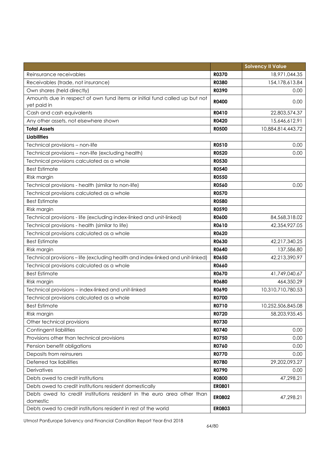|                                                                                    |               | <b>Solvency II Value</b> |
|------------------------------------------------------------------------------------|---------------|--------------------------|
| Reinsurance receivables                                                            | <b>R0370</b>  | 18,971,044.35            |
| Receivables (trade, not insurance)                                                 | <b>R0380</b>  | 154, 178, 613.84         |
| Own shares (held directly)                                                         | R0390         | 0.00                     |
| Amounts due in respect of own fund items or initial fund called up but not         | <b>R0400</b>  | 0.00                     |
| yet paid in                                                                        |               |                          |
| Cash and cash equivalents                                                          | R0410         | 22,803,574.37            |
| Any other assets, not elsewhere shown                                              | R0420         | 15,646,612.91            |
| <b>Total Assets</b>                                                                | <b>R0500</b>  | 10,884,814,443.72        |
| <b>Liabilities</b>                                                                 |               |                          |
| Technical provisions - non-life                                                    | R0510         | 0.00                     |
| Technical provisions - non-life (excluding health)                                 | <b>R0520</b>  | 0.00                     |
| Technical provisions calculated as a whole                                         | <b>R0530</b>  |                          |
| <b>Best Estimate</b>                                                               | R0540         |                          |
| Risk margin                                                                        | <b>R0550</b>  |                          |
| Technical provisions - health (similar to non-life)                                | <b>R0560</b>  | 0.00                     |
| Technical provisions calculated as a whole                                         | <b>R0570</b>  |                          |
| <b>Best Estimate</b>                                                               | <b>R0580</b>  |                          |
| Risk margin                                                                        | <b>R0590</b>  |                          |
| Technical provisions - life (excluding index-linked and unit-linked)               | <b>R0600</b>  | 84,568,318.02            |
| Technical provisions - health (similar to life)                                    | R0610         | 42,354,927.05            |
| Technical provisions calculated as a whole                                         | R0620         |                          |
| <b>Best Estimate</b>                                                               | R0630         | 42,217,340.25            |
| Risk margin                                                                        | R0640         | 137,586.80               |
| Technical provisions - life (excluding health and index-linked and unit-linked)    | R0650         | 42,213,390.97            |
| Technical provisions calculated as a whole                                         | <b>R0660</b>  |                          |
| <b>Best Estimate</b>                                                               | R0670         | 41,749,040.67            |
| Risk margin                                                                        | <b>R0680</b>  | 464,350.29               |
| Technical provisions - index-linked and unit-linked                                | R0690         | 10,310,710,780.53        |
| Technical provisions calculated as a whole                                         | R0700         |                          |
| <b>Best Estimate</b>                                                               | R0710         | 10,252,506,845.08        |
| Risk margin                                                                        | R0720         | 58,203,935.45            |
| Other technical provisions                                                         | R0730         |                          |
| Contingent liabilities                                                             | R0740         | 0.00                     |
| Provisions other than technical provisions                                         | R0750         | 0.00                     |
| Pension benefit obligations                                                        | R0760         | 0.00                     |
| Deposits from reinsurers                                                           | <b>R0770</b>  | 0.00                     |
| Deferred tax liabilities                                                           | <b>R0780</b>  | 29,202,093.27            |
| Derivatives                                                                        | R0790         | 0.00                     |
| Debts owed to credit institutions                                                  | <b>R0800</b>  | 47,298.21                |
| Debts owed to credit institutions resident domestically                            | ER0801        |                          |
| Debts owed to credit institutions resident in the euro area other than<br>domestic | <b>ER0802</b> | 47,298.21                |
| Debts owed to credit institutions resident in rest of the world                    | <b>ER0803</b> |                          |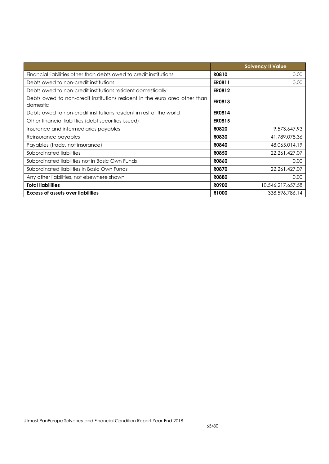|                                                                                        |                   | <b>Solvency II Value</b> |
|----------------------------------------------------------------------------------------|-------------------|--------------------------|
| Financial liabilities other than debts owed to credit institutions                     | R0810             | 0.00                     |
| Debts owed to non-credit institutions                                                  | ER0811            | 0.00                     |
| Debts owed to non-credit institutions resident domestically                            | <b>ER0812</b>     |                          |
| Debts owed to non-credit institutions resident in the euro area other than<br>domestic | <b>ER0813</b>     |                          |
| Debts owed to non-credit institutions resident in rest of the world                    | <b>ER0814</b>     |                          |
| Other financial liabilities (debt securities issued)                                   | <b>ER0815</b>     |                          |
| Insurance and intermediaries payables                                                  | <b>R0820</b>      | 9,573,647.93             |
| Reinsurance payables                                                                   | <b>R0830</b>      | 41,789,078.36            |
| Payables (trade, not insurance)                                                        | <b>R0840</b>      | 48,065,014.19            |
| Subordinated liabilities                                                               | <b>R0850</b>      | 22, 261, 427.07          |
| Subordinated liabilities not in Basic Own Funds                                        | <b>R0860</b>      | 0.00                     |
| Subordinated liabilities in Basic Own Funds                                            | <b>R0870</b>      | 22, 261, 427.07          |
| Any other liabilities, not elsewhere shown                                             | <b>R0880</b>      | 0.00                     |
| <b>Total liabilities</b>                                                               | <b>RO900</b>      | 10,546,217,657.58        |
| <b>Excess of assets over liabilities</b>                                               | R <sub>1000</sub> | 338,596,786.14           |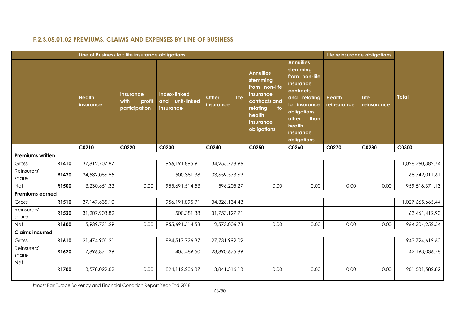# **F.2.S.05.01.02 PREMIUMS, CLAIMS AND EXPENSES BY LINE OF BUSINESS**

|                         |       | Line of Business for: life insurance obligations |                                                     |                                                     |                                   |                                                                                                                                     |                                                                                                                                                                               |                              | Life reinsurance obligations |                  |
|-------------------------|-------|--------------------------------------------------|-----------------------------------------------------|-----------------------------------------------------|-----------------------------------|-------------------------------------------------------------------------------------------------------------------------------------|-------------------------------------------------------------------------------------------------------------------------------------------------------------------------------|------------------------------|------------------------------|------------------|
|                         |       | <b>Health</b><br>insurance                       | <b>Insurance</b><br>with<br>profit<br>participation | <b>Index-linked</b><br>and unit-linked<br>insurance | life<br><b>Other</b><br>insurance | <b>Annuities</b><br>stemming<br>from non-life<br>insurance<br>contracts and<br>to<br>relating<br>health<br>insurance<br>obligations | <b>Annuities</b><br>stemming<br>from non-life<br>insurance<br>contracts<br>and relating<br>to insurance<br>obligations<br>other<br>than<br>health<br>insurance<br>obligations | <b>Health</b><br>reinsurance | Life<br>reinsurance          | <b>Total</b>     |
|                         |       | C0210                                            | C0220                                               | C0230                                               | C0240                             | C0250                                                                                                                               | C0260                                                                                                                                                                         | C0270                        | C0280                        | C0300            |
| <b>Premiums written</b> |       |                                                  |                                                     |                                                     |                                   |                                                                                                                                     |                                                                                                                                                                               |                              |                              |                  |
| Gross                   | R1410 | 37,812,707.87                                    |                                                     | 956,191,895.91                                      | 34,255,778.96                     |                                                                                                                                     |                                                                                                                                                                               |                              |                              | 1,028,260,382.74 |
| Reinsurers'<br>share    | R1420 | 34,582,056.55                                    |                                                     | 500,381.38                                          | 33,659,573.69                     |                                                                                                                                     |                                                                                                                                                                               |                              |                              | 68,742,011.61    |
| Net                     | R1500 | 3,230,651.33                                     | 0.00                                                | 955,691,514.53                                      | 596,205.27                        | 0.00                                                                                                                                | 0.00                                                                                                                                                                          | 0.00                         | 0.00                         | 959,518,371.13   |
| <b>Premiums earned</b>  |       |                                                  |                                                     |                                                     |                                   |                                                                                                                                     |                                                                                                                                                                               |                              |                              |                  |
| Gross                   | R1510 | 37,147,635.10                                    |                                                     | 956, 191, 895. 91                                   | 34,326,134.43                     |                                                                                                                                     |                                                                                                                                                                               |                              |                              | 1,027,665,665.44 |
| Reinsurers'<br>share    | R1520 | 31,207,903.82                                    |                                                     | 500,381.38                                          | 31,753,127.71                     |                                                                                                                                     |                                                                                                                                                                               |                              |                              | 63,461,412.90    |
| Net                     | R1600 | 5,939,731.29                                     | 0.00                                                | 955,691,514.53                                      | 2,573,006.73                      | 0.00                                                                                                                                | 0.00                                                                                                                                                                          | 0.00                         | 0.00                         | 964,204,252.54   |
| <b>Claims incurred</b>  |       |                                                  |                                                     |                                                     |                                   |                                                                                                                                     |                                                                                                                                                                               |                              |                              |                  |
| Gross                   | R1610 | 21,474,901.21                                    |                                                     | 894,517,726.37                                      | 27,731,992.02                     |                                                                                                                                     |                                                                                                                                                                               |                              |                              | 943,724,619.60   |
| Reinsurers'<br>share    | R1620 | 17,896,871.39                                    |                                                     | 405,489.50                                          | 23,890,675.89                     |                                                                                                                                     |                                                                                                                                                                               |                              |                              | 42,193,036.78    |
| <b>Net</b>              | R1700 | 3,578,029.82                                     | 0.00                                                | 894, 112, 236.87                                    | 3,841,316.13                      | 0.00                                                                                                                                | 0.00                                                                                                                                                                          | 0.00                         | 0.00                         | 901,531,582.82   |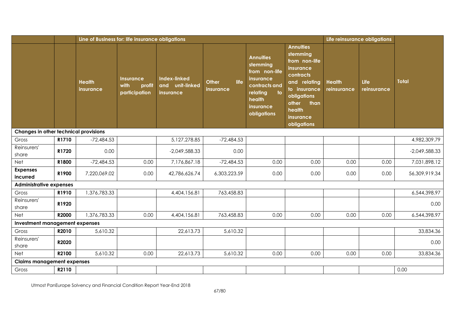|                                       |       | Line of Business for: life insurance obligations |                                                     |                                                               |                                   |                                                                                                                                                              |                                                                                                                                                                               | Life reinsurance obligations |                     |                 |
|---------------------------------------|-------|--------------------------------------------------|-----------------------------------------------------|---------------------------------------------------------------|-----------------------------------|--------------------------------------------------------------------------------------------------------------------------------------------------------------|-------------------------------------------------------------------------------------------------------------------------------------------------------------------------------|------------------------------|---------------------|-----------------|
|                                       |       | <b>Health</b><br>insurance                       | <b>Insurance</b><br>with<br>profit<br>participation | <b>Index-linked</b><br>unit-linked<br>and<br><b>insurance</b> | life<br><b>Other</b><br>insurance | <b>Annuities</b><br>stemming<br>from non-life<br>insurance<br>contracts and<br>$\overline{\phantom{a}}$ to<br>relating<br>health<br>insurance<br>obligations | <b>Annuities</b><br>stemming<br>from non-life<br>insurance<br>contracts<br>and relating<br>to insurance<br>obligations<br>other<br>than<br>health<br>insurance<br>obligations | <b>Health</b><br>reinsurance | Life<br>reinsurance | <b>Total</b>    |
| Changes in other technical provisions |       |                                                  |                                                     |                                                               |                                   |                                                                                                                                                              |                                                                                                                                                                               |                              |                     |                 |
| Gross                                 | R1710 | $-72,484.53$                                     |                                                     | 5,127,278.85                                                  | $-72,484.53$                      |                                                                                                                                                              |                                                                                                                                                                               |                              |                     | 4,982,309.79    |
| Reinsurers'<br>share                  | R1720 | 0.00                                             |                                                     | $-2,049,588.33$                                               | 0.00                              |                                                                                                                                                              |                                                                                                                                                                               |                              |                     | $-2,049,588.33$ |
| Net                                   | R1800 | $-72,484.53$                                     | 0.00                                                | 7,176,867.18                                                  | $-72,484.53$                      | 0.00                                                                                                                                                         | 0.00                                                                                                                                                                          | 0.00                         | 0.00                | 7,031,898.12    |
| <b>Expenses</b><br>incurred           | R1900 | 7,220,069.02                                     | 0.00                                                | 42,786,626.74                                                 | 6,303,223.59                      | 0.00                                                                                                                                                         | 0.00                                                                                                                                                                          | 0.00                         | 0.00                | 56,309,919.34   |
| <b>Administrative expenses</b>        |       |                                                  |                                                     |                                                               |                                   |                                                                                                                                                              |                                                                                                                                                                               |                              |                     |                 |
| Gross                                 | R1910 | 1,376,783.33                                     |                                                     | 4,404,156.81                                                  | 763,458.83                        |                                                                                                                                                              |                                                                                                                                                                               |                              |                     | 6,544,398.97    |
| Reinsurers'<br>share                  | R1920 |                                                  |                                                     |                                                               |                                   |                                                                                                                                                              |                                                                                                                                                                               |                              |                     | 0.00            |
| <b>Net</b>                            | R2000 | 1,376,783.33                                     | 0.00                                                | 4,404,156.81                                                  | 763,458.83                        | 0.00                                                                                                                                                         | 0.00                                                                                                                                                                          | 0.00                         | 0.00                | 6,544,398.97    |
| <b>Investment management expenses</b> |       |                                                  |                                                     |                                                               |                                   |                                                                                                                                                              |                                                                                                                                                                               |                              |                     |                 |
| Gross                                 | R2010 | 5,610.32                                         |                                                     | 22,613.73                                                     | 5,610.32                          |                                                                                                                                                              |                                                                                                                                                                               |                              |                     | 33,834.36       |
| Reinsurers'<br>share                  | R2020 |                                                  |                                                     |                                                               |                                   |                                                                                                                                                              |                                                                                                                                                                               |                              |                     | 0.00            |
| <b>Net</b>                            | R2100 | 5,610.32                                         | 0.00                                                | 22,613.73                                                     | 5,610.32                          | 0.00                                                                                                                                                         | 0.00                                                                                                                                                                          | 0.00                         | 0.00                | 33,834.36       |
| <b>Claims management expenses</b>     |       |                                                  |                                                     |                                                               |                                   |                                                                                                                                                              |                                                                                                                                                                               |                              |                     |                 |
| Gross                                 | R2110 |                                                  |                                                     |                                                               |                                   |                                                                                                                                                              |                                                                                                                                                                               |                              |                     | 0.00            |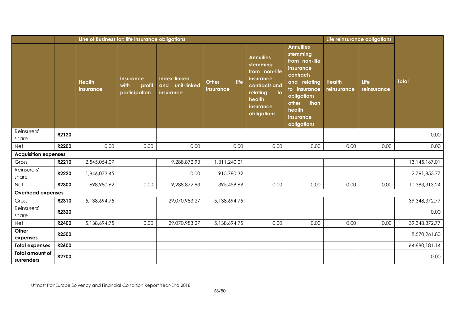|                                      |       |                                   | Line of Business for: life insurance obligations    |                                                     |                            |                                                                                                                                            |                                                                                                                                                                               |                              |                     |                  |
|--------------------------------------|-------|-----------------------------------|-----------------------------------------------------|-----------------------------------------------------|----------------------------|--------------------------------------------------------------------------------------------------------------------------------------------|-------------------------------------------------------------------------------------------------------------------------------------------------------------------------------|------------------------------|---------------------|------------------|
|                                      |       | <b>Health</b><br><b>insurance</b> | <b>Insurance</b><br>with<br>profit<br>participation | <b>Index-linked</b><br>and unit-linked<br>insurance | life<br>Other<br>insurance | <b>Annuities</b><br>stemming<br>from non-life<br><i>insurance</i><br>contracts and<br>to<br>relating<br>health<br>insurance<br>obligations | <b>Annuities</b><br>stemming<br>from non-life<br>insurance<br>contracts<br>and relating<br>to insurance<br>obligations<br>other<br>than<br>health<br>insurance<br>obligations | <b>Health</b><br>reinsurance | Life<br>reinsurance | <b>Total</b>     |
| Reinsurers'<br>share                 | R2120 |                                   |                                                     |                                                     |                            |                                                                                                                                            |                                                                                                                                                                               |                              |                     | 0.00             |
| <b>Net</b>                           | R2200 | 0.00                              | 0.00                                                | 0.00                                                | 0.00                       | 0.00                                                                                                                                       | 0.00                                                                                                                                                                          | 0.00                         | 0.00                | 0.00             |
| <b>Acquisition expenses</b>          |       |                                   |                                                     |                                                     |                            |                                                                                                                                            |                                                                                                                                                                               |                              |                     |                  |
| Gross                                | R2210 | 2,545,054.07                      |                                                     | 9,288,872.93                                        | 1,311,240.01               |                                                                                                                                            |                                                                                                                                                                               |                              |                     | 13,145,167.01    |
| Reinsurers'<br>share                 | R2220 | 1,846,073.45                      |                                                     | 0.00                                                | 915,780.32                 |                                                                                                                                            |                                                                                                                                                                               |                              |                     | 2,761,853.77     |
| <b>Net</b>                           | R2300 | 698,980.62                        | 0.00                                                | 9,288,872.93                                        | 395,459.69                 | 0.00                                                                                                                                       | 0.00                                                                                                                                                                          | 0.00                         | 0.00                | 10,383,313.24    |
| <b>Overhead expenses</b>             |       |                                   |                                                     |                                                     |                            |                                                                                                                                            |                                                                                                                                                                               |                              |                     |                  |
| Gross                                | R2310 | 5,138,694.75                      |                                                     | 29,070,983.27                                       | 5,138,694.75               |                                                                                                                                            |                                                                                                                                                                               |                              |                     | 39, 348, 372. 77 |
| Reinsurers'<br>share                 | R2320 |                                   |                                                     |                                                     |                            |                                                                                                                                            |                                                                                                                                                                               |                              |                     | 0.00             |
| Net                                  | R2400 | 5,138,694.75                      | 0.00                                                | 29,070,983.27                                       | 5,138,694.75               | 0.00                                                                                                                                       | 0.00                                                                                                                                                                          | 0.00                         | 0.00                | 39, 348, 372. 77 |
| Other<br>expenses                    | R2500 |                                   |                                                     |                                                     |                            |                                                                                                                                            |                                                                                                                                                                               |                              |                     | 8,570,261.80     |
| <b>Total expenses</b>                | R2600 |                                   |                                                     |                                                     |                            |                                                                                                                                            |                                                                                                                                                                               |                              |                     | 64,880,181.14    |
| <b>Total amount of</b><br>surrenders | R2700 |                                   |                                                     |                                                     |                            |                                                                                                                                            |                                                                                                                                                                               |                              |                     | 0.00             |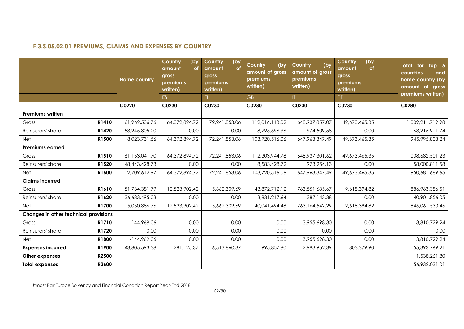# **F.3.S.05.02.01 PREMIUMS, CLAIMS AND EXPENSES BY COUNTRY**

|                                       |       | <b>Home country</b> | (by<br>Country<br>amount<br><b>of</b><br>gross<br>premiums<br>written) | Country<br>(by<br>amount<br><b>of</b><br>gross<br>premiums<br>written) | (by<br>Country<br>amount of gross<br>premiums<br>written) | (by<br>Country<br>amount of gross<br>premiums<br>written) | <b>Country</b><br>(by<br>amount<br><b>of</b><br>gross<br>premiums<br>written) | <b>Total</b><br>for<br>top 5<br>countries<br>and<br>home country (by<br>amount of gross<br>premiums written) |
|---------------------------------------|-------|---------------------|------------------------------------------------------------------------|------------------------------------------------------------------------|-----------------------------------------------------------|-----------------------------------------------------------|-------------------------------------------------------------------------------|--------------------------------------------------------------------------------------------------------------|
|                                       |       |                     | ES.                                                                    | F1                                                                     | GB                                                        | T                                                         | PT.                                                                           |                                                                                                              |
|                                       |       | C0220               | C0230                                                                  | C0230                                                                  | C0230                                                     | C0230                                                     | C0230                                                                         | C0280                                                                                                        |
| <b>Premiums written</b>               |       |                     |                                                                        |                                                                        |                                                           |                                                           |                                                                               |                                                                                                              |
| Gross                                 | R1410 | 61,969,536.76       | 64,372,894.72                                                          | 72,241,853.06                                                          | 112,016,113.02                                            | 648, 937, 857. 07                                         | 49,673,465.35                                                                 | 1,009,211,719.98                                                                                             |
| Reinsurers' share                     | R1420 | 53,945,805.20       | 0.00                                                                   | 0.00                                                                   | 8,295,596.96                                              | 974,509.58                                                | 0.00                                                                          | 63,215,911.74                                                                                                |
| <b>Net</b>                            | R1500 | 8,023,731.56        | 64,372,894.72                                                          | 72,241,853.06                                                          | 103,720,516.06                                            | 647, 963, 347. 49                                         | 49,673,465.35                                                                 | 945,995,808.24                                                                                               |
| Premiums earned                       |       |                     |                                                                        |                                                                        |                                                           |                                                           |                                                                               |                                                                                                              |
| Gross                                 | R1510 | 61,153,041.70       | 64,372,894.72                                                          | 72,241,853.06                                                          | 112,303,944.78                                            | 648, 937, 301.62                                          | 49,673,465.35                                                                 | 1,008,682,501.23                                                                                             |
| Reinsurers' share                     | R1520 | 48,443,428.73       | 0.00                                                                   | 0.00                                                                   | 8,583,428.72                                              | 973,954.13                                                | 0.00                                                                          | 58,000,811.58                                                                                                |
| Net                                   | R1600 | 12,709,612.97       | 64,372,894.72                                                          | 72,241,853.06                                                          | 103,720,516.06                                            | 647, 963, 347. 49                                         | 49,673,465.35                                                                 | 950,681,689.65                                                                                               |
| <b>Claims incurred</b>                |       |                     |                                                                        |                                                                        |                                                           |                                                           |                                                                               |                                                                                                              |
| Gross                                 | R1610 | 51,734,381.79       | 12,523,902.42                                                          | 5,662,309.69                                                           | 43,872,712.12                                             | 763,551,685.67                                            | 9,618,394.82                                                                  | 886,963,386.51                                                                                               |
| Reinsurers' share                     | R1620 | 36,683,495.03       | 0.00                                                                   | 0.00                                                                   | 3,831,217.64                                              | 387,143.38                                                | 0.00                                                                          | 40,901,856.05                                                                                                |
| <b>Net</b>                            | R1700 | 15,050,886.76       | 12,523,902.42                                                          | 5,662,309.69                                                           | 40,041,494.48                                             | 763,164,542.29                                            | 9,618,394.82                                                                  | 846,061,530.46                                                                                               |
| Changes in other technical provisions |       |                     |                                                                        |                                                                        |                                                           |                                                           |                                                                               |                                                                                                              |
| Gross                                 | R1710 | $-144,969.06$       | 0.00                                                                   | 0.00                                                                   | 0.00                                                      | 3,955,698.30                                              | 0.00                                                                          | 3,810,729.24                                                                                                 |
| Reinsurers' share                     | R1720 | 0.00                | 0.00                                                                   | 0.00                                                                   | 0.00                                                      | 0.00                                                      | 0.00                                                                          | 0.00                                                                                                         |
| Net                                   | R1800 | $-144,969.06$       | 0.00                                                                   | 0.00                                                                   | 0.00                                                      | 3,955,698.30                                              | 0.00                                                                          | 3,810,729.24                                                                                                 |
| <b>Expenses incurred</b>              | R1900 | 43,805,593.38       | 281,125.37                                                             | 6,513,860.37                                                           | 995,857.80                                                | 2,993,952.39                                              | 803,379.90                                                                    | 55,393,769.21                                                                                                |
| Other expenses                        | R2500 |                     |                                                                        |                                                                        |                                                           |                                                           |                                                                               | 1,538,261.80                                                                                                 |
| <b>Total expenses</b>                 | R2600 |                     |                                                                        |                                                                        |                                                           |                                                           |                                                                               | 56,932,031.01                                                                                                |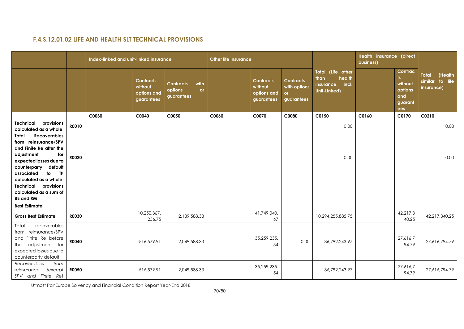# **F.4.S.12.01.02 LIFE AND HEALTH SLT TECHNICAL PROVISIONS**

|                                                                                                                                                                                                                     |              | Index-linked and unit-linked insurance |                                                          |                                                                | <b>Other life insurance</b> |                                                          |                                                             |                                                                         | Health insurance (direct<br>business) |                                                                                    |                                                   |
|---------------------------------------------------------------------------------------------------------------------------------------------------------------------------------------------------------------------|--------------|----------------------------------------|----------------------------------------------------------|----------------------------------------------------------------|-----------------------------|----------------------------------------------------------|-------------------------------------------------------------|-------------------------------------------------------------------------|---------------------------------------|------------------------------------------------------------------------------------|---------------------------------------------------|
|                                                                                                                                                                                                                     |              |                                        | <b>Contracts</b><br>without<br>options and<br>guarantees | with<br><b>Contracts</b><br>options<br><b>or</b><br>guarantees |                             | <b>Contracts</b><br>without<br>options and<br>guarantees | <b>Contracts</b><br>with options<br><b>or</b><br>guarantees | Total (Life other<br>than<br>health<br>insurance, incl.<br>Unit-Linked) |                                       | Contrac<br>$\overline{\phantom{a}}$<br>without<br>options<br>and<br>guarant<br>ees | Total<br>(Health<br>similar to life<br>insurance) |
|                                                                                                                                                                                                                     |              | C0030                                  | C0040                                                    | C0050                                                          | C0060                       | C0070                                                    | C0080                                                       | C0150                                                                   | C0160                                 | C0170                                                                              | C0210                                             |
| provisions<br>Technical<br>calculated as a whole                                                                                                                                                                    | R0010        |                                        |                                                          |                                                                |                             |                                                          |                                                             | 0.00                                                                    |                                       |                                                                                    | 0.00                                              |
| <b>Recoverables</b><br>Total<br>from reinsurance/SPV<br>and Finite Re after the<br>adjustment<br>for<br>expected losses due to<br>default<br>counterparty<br>associated<br>to<br><b>TP</b><br>calculated as a whole | <b>RO020</b> |                                        |                                                          |                                                                |                             |                                                          |                                                             | 0.00                                                                    |                                       |                                                                                    | 0.00                                              |
| <b>Technical provisions</b><br>calculated as a sum of<br><b>BE and RM</b>                                                                                                                                           |              |                                        |                                                          |                                                                |                             |                                                          |                                                             |                                                                         |                                       |                                                                                    |                                                   |
| <b>Best Estimate</b>                                                                                                                                                                                                |              |                                        |                                                          |                                                                |                             |                                                          |                                                             |                                                                         |                                       |                                                                                    |                                                   |
| <b>Gross Best Estimate</b>                                                                                                                                                                                          | <b>RO030</b> |                                        | 10,250,367,<br>256.75                                    | 2,139,588.33                                                   |                             | 41,749,040.<br>67                                        |                                                             | 10,294,255,885.75                                                       |                                       | 42,217,3<br>40.25                                                                  | 42,217,340.25                                     |
| recoverables<br>Total<br>from reinsurance/SPV<br>and Finite Re before<br>the adjustment for<br>expected losses due to<br>counterparty default                                                                       | <b>R0040</b> |                                        | $-516,579.91$                                            | 2,049,588.33                                                   |                             | 35,259,235.<br>54                                        | 0.00                                                        | 36,792,243.97                                                           |                                       | 27,616,7<br>94.79                                                                  | 27,616,794.79                                     |
| Recoverables<br>from<br>reinsurance<br>(except<br>SPV and Finite Re)                                                                                                                                                | <b>RO050</b> |                                        | $-516,579.91$                                            | 2,049,588.33                                                   |                             | 35,259,235.<br>54                                        |                                                             | 36,792,243.97                                                           |                                       | 27,616,7<br>94.79                                                                  | 27,616,794.79                                     |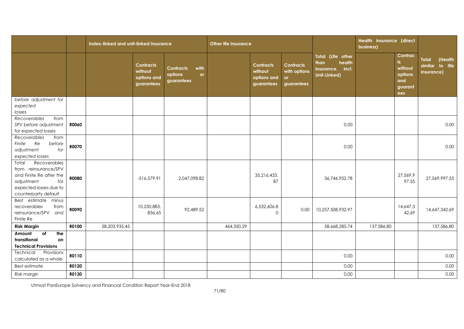|                                                                                                                                                 |              | Index-linked and unit-linked insurance |                                                          |                                                         | <b>Other life insurance</b> |                                                          |                                                       |                                                                            | Health insurance (direct<br>business) |                                                                         |                                                          |
|-------------------------------------------------------------------------------------------------------------------------------------------------|--------------|----------------------------------------|----------------------------------------------------------|---------------------------------------------------------|-----------------------------|----------------------------------------------------------|-------------------------------------------------------|----------------------------------------------------------------------------|---------------------------------------|-------------------------------------------------------------------------|----------------------------------------------------------|
|                                                                                                                                                 |              |                                        | <b>Contracts</b><br>without<br>options and<br>guarantees | with<br><b>Contracts</b><br>options<br>or<br>guarantees |                             | <b>Contracts</b><br>without<br>options and<br>guarantees | <b>Contracts</b><br>with options<br>or.<br>guarantees | Total (Life other<br>than<br>health<br>insurance,<br>incl.<br>Unit-Linked) |                                       | Contrac<br>$\mathsf{ts}$<br>without<br>options<br>and<br>guarant<br>ees | <b>Total</b><br>(Health<br>similar to life<br>insurance) |
| before adjustment for                                                                                                                           |              |                                        |                                                          |                                                         |                             |                                                          |                                                       |                                                                            |                                       |                                                                         |                                                          |
| expected<br>losses                                                                                                                              |              |                                        |                                                          |                                                         |                             |                                                          |                                                       |                                                                            |                                       |                                                                         |                                                          |
| Recoverables<br>from<br>SPV before adjustment<br>for expected losses                                                                            | <b>RO060</b> |                                        |                                                          |                                                         |                             |                                                          |                                                       | 0.00                                                                       |                                       |                                                                         | 0.00                                                     |
| Recoverables<br>from<br>Finite<br>Re<br>before<br>for<br>adjustment<br>expected losses                                                          | <b>R0070</b> |                                        |                                                          |                                                         |                             |                                                          |                                                       | 0.00                                                                       |                                       |                                                                         | 0.00                                                     |
| Recoverables<br>Total<br>from reinsurance/SPV<br>and Finite Re after the<br>adjustment<br>for<br>expected losses due to<br>counterparty default | <b>RO080</b> |                                        | $-516,579.91$                                            | 2,047,098.82                                            |                             | 35,216,433.<br>87                                        |                                                       | 36,746,952.78                                                              |                                       | 27,569,9<br>97.55                                                       | 27,569,997.55                                            |
| Best estimate minus<br>recoverables<br>from<br>reinsurance/SPV<br>and<br>Finite Re                                                              | R0090        |                                        | 10,250,883,<br>836.65                                    | 92,489.52                                               |                             | 6,532,606.8<br>$\Omega$                                  | 0.00                                                  | 10,257,508,932.97                                                          |                                       | 14,647,3<br>42.69                                                       | 14,647,342.69                                            |
| <b>Risk Margin</b>                                                                                                                              | R0100        | 58,203,935.45                          |                                                          |                                                         | 464,350.29                  |                                                          |                                                       | 58,668,285.74                                                              | 137,586.80                            |                                                                         | 137,586.80                                               |
| $\overline{of}$<br>Amount<br>the<br>transitional<br>on<br><b>Technical Provisions</b>                                                           |              |                                        |                                                          |                                                         |                             |                                                          |                                                       |                                                                            |                                       |                                                                         |                                                          |
| Technical<br>Provisions<br>calculated as a whole                                                                                                | R0110        |                                        |                                                          |                                                         |                             |                                                          |                                                       | 0.00                                                                       |                                       |                                                                         | 0.00                                                     |
| Best estimate                                                                                                                                   | R0120        |                                        |                                                          |                                                         |                             |                                                          |                                                       | 0.00                                                                       |                                       |                                                                         | 0.00                                                     |
| Risk margin                                                                                                                                     | R0130        |                                        |                                                          |                                                         |                             |                                                          |                                                       | 0.00                                                                       |                                       |                                                                         | 0.00                                                     |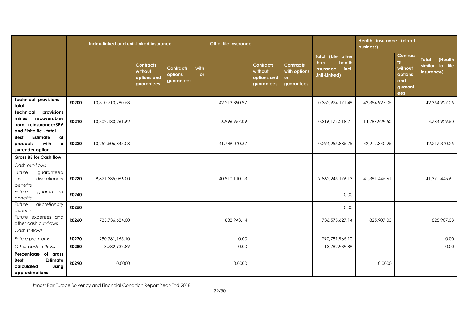|                                                                                                          |              | Index-linked and unit-linked insurance |                                                          |                                                                | <b>Other life insurance</b> |                                                          |                                                             |                                                                            | <b>Health insurance (direct</b><br>business) |                                                               |                                                          |
|----------------------------------------------------------------------------------------------------------|--------------|----------------------------------------|----------------------------------------------------------|----------------------------------------------------------------|-----------------------------|----------------------------------------------------------|-------------------------------------------------------------|----------------------------------------------------------------------------|----------------------------------------------|---------------------------------------------------------------|----------------------------------------------------------|
|                                                                                                          |              |                                        | <b>Contracts</b><br>without<br>options and<br>guarantees | <b>Contracts</b><br>with<br>options<br><b>or</b><br>guarantees |                             | <b>Contracts</b><br>without<br>options and<br>guarantees | <b>Contracts</b><br>with options<br><b>or</b><br>guarantees | Total (Life other<br>health<br>than<br>insurance,<br>incl.<br>Unit-Linked) |                                              | Contrac<br>ts.<br>without<br>options<br>and<br>guarant<br>ees | <b>Total</b><br>(Health<br>similar to life<br>insurance) |
| <b>Technical provisions</b><br>total                                                                     | <b>R0200</b> | 10,310,710,780.53                      |                                                          |                                                                | 42,213,390.97               |                                                          |                                                             | 10,352,924,171.49                                                          | 42,354,927.05                                |                                                               | 42,354,927.05                                            |
| <b>Technical</b><br>provisions<br>recoverables<br>minus<br>from reinsurance/SPV<br>and Finite Re - total | R0210        | 10,309,180,261.62                      |                                                          |                                                                | 6,996,957.09                |                                                          |                                                             | 10,316,177,218.71                                                          | 14,784,929.50                                |                                                               | 14,784,929.50                                            |
| Estimate<br>of<br><b>Best</b><br>with<br>products<br>$\mathbf a$<br>surrender option                     | R0220        | 10,252,506,845.08                      |                                                          |                                                                | 41,749,040.67               |                                                          |                                                             | 10,294,255,885.75                                                          | 42,217,340.25                                |                                                               | 42,217,340.25                                            |
| <b>Gross BE for Cash flow</b>                                                                            |              |                                        |                                                          |                                                                |                             |                                                          |                                                             |                                                                            |                                              |                                                               |                                                          |
| Cash out-flows                                                                                           |              |                                        |                                                          |                                                                |                             |                                                          |                                                             |                                                                            |                                              |                                                               |                                                          |
| Future<br>guaranteed<br>and<br>discretionary<br>benefits                                                 | <b>R0230</b> | 9,821,335,066.00                       |                                                          |                                                                | 40.910.110.13               |                                                          |                                                             | 9,862,245,176.13                                                           | 41,391,445.61                                |                                                               | 41,391,445.61                                            |
| Future<br>guaranteed<br>benefits                                                                         | R0240        |                                        |                                                          |                                                                |                             |                                                          |                                                             | 0.00                                                                       |                                              |                                                               |                                                          |
| discretionary<br>Future<br>benefits                                                                      | R0250        |                                        |                                                          |                                                                |                             |                                                          |                                                             | 0.00                                                                       |                                              |                                                               |                                                          |
| Future expenses and<br>other cash out-flows                                                              | R0260        | 735,736,684.00                         |                                                          |                                                                | 838,943.14                  |                                                          |                                                             | 736,575,627.14                                                             | 825,907.03                                   |                                                               | 825,907.03                                               |
| Cash in-flows                                                                                            |              |                                        |                                                          |                                                                |                             |                                                          |                                                             |                                                                            |                                              |                                                               |                                                          |
| Future premiums                                                                                          | R0270        | -290,781,965.10                        |                                                          |                                                                | 0.00                        |                                                          |                                                             | -290,781,965.10                                                            |                                              |                                                               | 0.00                                                     |
| Other cash in-flows                                                                                      | <b>R0280</b> | -13,782,939.89                         |                                                          |                                                                | 0.00                        |                                                          |                                                             | -13,782,939.89                                                             |                                              |                                                               | 0.00                                                     |
| Percentage of<br>gross<br>Estimate<br><b>Best</b><br>calculated<br>using<br>approximations               | R0290        | 0.0000                                 |                                                          |                                                                | 0.0000                      |                                                          |                                                             |                                                                            | 0.0000                                       |                                                               |                                                          |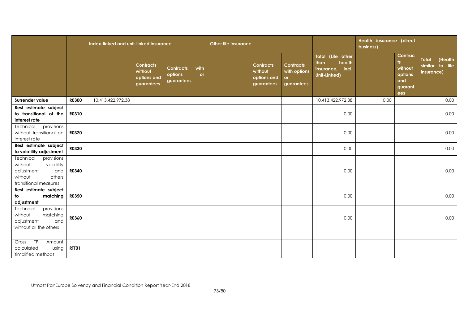|                                                                                                                     |              | Index-linked and unit-linked insurance |                                                          | <b>Other life insurance</b>                             |  |                                                          |                                                       | Health insurance (direct<br>business)                                   |      |                                                                         |                                                             |
|---------------------------------------------------------------------------------------------------------------------|--------------|----------------------------------------|----------------------------------------------------------|---------------------------------------------------------|--|----------------------------------------------------------|-------------------------------------------------------|-------------------------------------------------------------------------|------|-------------------------------------------------------------------------|-------------------------------------------------------------|
|                                                                                                                     |              |                                        | <b>Contracts</b><br>without<br>options and<br>guarantees | with<br><b>Contracts</b><br>options<br>or<br>guarantees |  | <b>Contracts</b><br>without<br>options and<br>guarantees | <b>Contracts</b><br>with options<br>or.<br>guarantees | Total (Life other<br>than<br>health<br>insurance, incl.<br>Unit-Linked) |      | Contrac<br>$\mathsf{ts}$<br>without<br>options<br>and<br>guarant<br>ees | <b>Total</b><br>(Health<br>similar<br>to life<br>insurance) |
| Surrender value                                                                                                     | <b>R0300</b> | 10,413,422,972.38                      |                                                          |                                                         |  |                                                          |                                                       | 10,413,422,972.38                                                       | 0.00 |                                                                         | 0.00                                                        |
| Best estimate subject<br>to transitional of the<br>interest rate                                                    | <b>RO310</b> |                                        |                                                          |                                                         |  |                                                          |                                                       | 0.00                                                                    |      |                                                                         | 0.00                                                        |
| provisions<br>Technical<br>without transitional on<br>interest rate                                                 | R0320        |                                        |                                                          |                                                         |  |                                                          |                                                       | 0.00                                                                    |      |                                                                         | 0.00                                                        |
| Best estimate subject<br>to volatility adjustment                                                                   | R0330        |                                        |                                                          |                                                         |  |                                                          |                                                       | 0.00                                                                    |      |                                                                         | 0.00                                                        |
| Technical<br>provisions<br>volatility<br>without<br>adjustment<br>and<br>without<br>others<br>transitional measures | R0340        |                                        |                                                          |                                                         |  |                                                          |                                                       | 0.00                                                                    |      |                                                                         | 0.00                                                        |
| Best estimate subject<br>matching<br>to<br>adjustment                                                               | R0350        |                                        |                                                          |                                                         |  |                                                          |                                                       | 0.00                                                                    |      |                                                                         | 0.00                                                        |
| Technical<br>provisions<br>matching<br>without<br>adjustment<br>and<br>without all the others                       | R0360        |                                        |                                                          |                                                         |  |                                                          |                                                       | 0.00                                                                    |      |                                                                         | 0.00                                                        |
| TP<br>Gross<br>Amount<br>calculated<br>using<br>simplified methods                                                  | RTT01        |                                        |                                                          |                                                         |  |                                                          |                                                       |                                                                         |      |                                                                         |                                                             |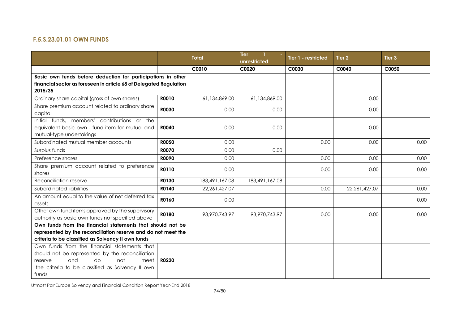## **F.5.S.23.01.01 OWN FUNDS**

|                                                                                                 |              | <b>Total</b>   | <b>Tier</b><br>unrestricted | Tier 1 - restricted | Tier <sub>2</sub> | Tier <sub>3</sub> |
|-------------------------------------------------------------------------------------------------|--------------|----------------|-----------------------------|---------------------|-------------------|-------------------|
|                                                                                                 |              | C0010          | C0020                       | C0030               | C0040             | C0050             |
| Basic own funds before deduction for participations in other                                    |              |                |                             |                     |                   |                   |
| financial sector as foreseen in article 68 of Delegated Regulation                              |              |                |                             |                     |                   |                   |
| 2015/35                                                                                         |              |                |                             |                     |                   |                   |
| Ordinary share capital (gross of own shares)                                                    | R0010        | 61,134,869.00  | 61,134,869.00               |                     | 0.00              |                   |
| Share premium account related to ordinary share<br>capital                                      | <b>R0030</b> | 0.00           | 0.00                        |                     | 0.00              |                   |
| Initial funds, members' contributions or the                                                    |              |                |                             |                     |                   |                   |
| equivalent basic own - fund item for mutual and<br>mutual-type undertakings                     | <b>R0040</b> | 0.00           | 0.00                        |                     | 0.00              |                   |
| Subordinated mutual member accounts                                                             | <b>R0050</b> | 0.00           |                             | 0.00                | 0.00              | 0.00              |
| Surplus funds                                                                                   | <b>R0070</b> | 0.00           | 0.00                        |                     |                   |                   |
| Preference shares                                                                               | <b>ROO90</b> | 0.00           |                             | 0.00                | 0.00              | 0.00              |
| Share premium account related to preference                                                     | R0110        | 0.00           |                             | 0.00                | 0.00              | 0.00              |
| shares                                                                                          |              |                |                             |                     |                   |                   |
| Reconciliation reserve                                                                          | R0130        | 183,491,167.08 | 183,491,167.08              |                     |                   |                   |
| Subordinated liabilities                                                                        | R0140        | 22,261,427.07  |                             | 0.00                | 22,261,427.07     | 0.00              |
| An amount equal to the value of net deferred tax<br>assets                                      | R0160        | 0.00           |                             |                     |                   | 0.00              |
| Other own fund items approved by the supervisory                                                | R0180        | 93,970,743.97  | 93,970,743.97               | 0.00                | 0.00              | 0.00              |
| authority as basic own funds not specified above                                                |              |                |                             |                     |                   |                   |
| Own funds from the financial statements that should not be                                      |              |                |                             |                     |                   |                   |
| represented by the reconciliation reserve and do not meet the                                   |              |                |                             |                     |                   |                   |
| criteria to be classified as Solvency II own funds                                              |              |                |                             |                     |                   |                   |
| Own funds from the financial statements that<br>should not be represented by the reconciliation |              |                |                             |                     |                   |                   |
| and<br>do<br><b>R0220</b><br>not<br>meet<br>reserve                                             |              |                |                             |                     |                   |                   |
| the criteria to be classified as Solvency II own                                                |              |                |                             |                     |                   |                   |
| funds                                                                                           |              |                |                             |                     |                   |                   |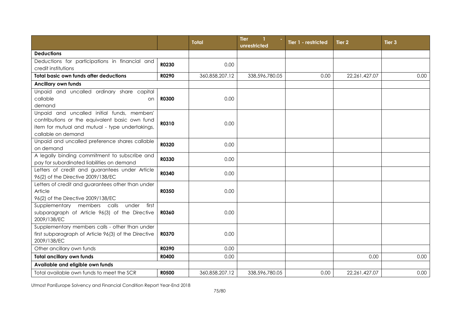|                                                                                                                                                                        |              | <b>Total</b>   | <b>Tier</b><br>unrestricted | Tier 1 - restricted | Tier <sub>2</sub> | Tier <sub>3</sub> |
|------------------------------------------------------------------------------------------------------------------------------------------------------------------------|--------------|----------------|-----------------------------|---------------------|-------------------|-------------------|
| <b>Deductions</b>                                                                                                                                                      |              |                |                             |                     |                   |                   |
| Deductions for participations in financial and<br>credit institutions                                                                                                  | R0230        | 0.00           |                             |                     |                   |                   |
| <b>Total basic own funds after deductions</b>                                                                                                                          | R0290        | 360,858,207.12 | 338,596,780.05              | 0.00                | 22,261,427.07     | 0.00              |
| <b>Ancillary own funds</b>                                                                                                                                             |              |                |                             |                     |                   |                   |
| Unpaid and uncalled ordinary share capital<br>callable<br>on<br>demand                                                                                                 | <b>R0300</b> | 0.00           |                             |                     |                   |                   |
| Unpaid and uncalled initial funds, members'<br>contributions or the equivalent basic own fund<br>item for mutual and mutual - type undertakings,<br>callable on demand | R0310        | 0.00           |                             |                     |                   |                   |
| Unpaid and uncalled preference shares callable<br>on demand                                                                                                            | R0320        | 0.00           |                             |                     |                   |                   |
| A legally binding commitment to subscribe and<br>pay for subordinated liabilities on demand                                                                            | <b>R0330</b> | 0.00           |                             |                     |                   |                   |
| Letters of credit and guarantees under Article<br>96(2) of the Directive 2009/138/EC                                                                                   | R0340        | 0.00           |                             |                     |                   |                   |
| Letters of credit and guarantees other than under<br>Article<br>96(2) of the Directive 2009/138/EC                                                                     | <b>R0350</b> | 0.00           |                             |                     |                   |                   |
| Supplementary members calls<br>under<br>first<br>subparagraph of Article 96(3) of the Directive<br>2009/138/EC                                                         | <b>R0360</b> | 0.00           |                             |                     |                   |                   |
| Supplementary members calls - other than under<br>first subparagraph of Article 96(3) of the Directive<br>2009/138/EC                                                  | <b>R0370</b> | 0.00           |                             |                     |                   |                   |
| Other ancillary own funds                                                                                                                                              | R0390        | 0.00           |                             |                     |                   |                   |
| <b>Total ancillary own funds</b>                                                                                                                                       | <b>R0400</b> | 0.00           |                             |                     | 0.00              | 0.00              |
| Available and eligible own funds                                                                                                                                       |              |                |                             |                     |                   |                   |
| Total available own funds to meet the SCR                                                                                                                              | <b>R0500</b> | 360,858,207.12 | 338,596,780.05              | 0.00                | 22,261,427.07     | 0.00              |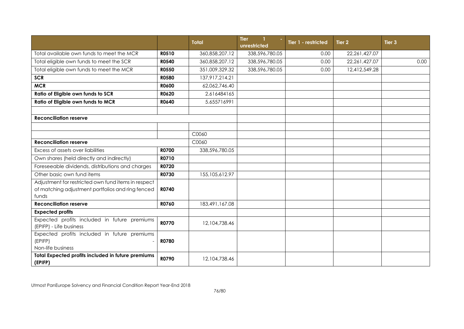|                                                                                                                   |              | <b>Total</b>     | <b>Tier</b><br>-1<br>unrestricted | Tier 1 - restricted | Tier 2        | Tier <sub>3</sub> |
|-------------------------------------------------------------------------------------------------------------------|--------------|------------------|-----------------------------------|---------------------|---------------|-------------------|
| Total available own funds to meet the MCR                                                                         | <b>R0510</b> | 360,858,207.12   | 338,596,780.05                    | 0.00                | 22,261,427.07 |                   |
| Total eligible own funds to meet the SCR                                                                          | <b>R0540</b> | 360,858,207.12   | 338,596,780.05                    | 0.00                | 22,261,427.07 | 0.00              |
| Total eligible own funds to meet the MCR                                                                          | <b>R0550</b> | 351,009,329.32   | 338,596,780.05                    | 0.00                | 12,412,549.28 |                   |
| <b>SCR</b>                                                                                                        | <b>R0580</b> | 137,917,214.21   |                                   |                     |               |                   |
| <b>MCR</b>                                                                                                        | <b>R0600</b> | 62,062,746.40    |                                   |                     |               |                   |
| Ratio of Eligible own funds to SCR                                                                                | R0620        | 2.616484165      |                                   |                     |               |                   |
| Ratio of Eligible own funds to MCR                                                                                | R0640        | 5.655716991      |                                   |                     |               |                   |
|                                                                                                                   |              |                  |                                   |                     |               |                   |
| <b>Reconciliation reserve</b>                                                                                     |              |                  |                                   |                     |               |                   |
|                                                                                                                   |              |                  |                                   |                     |               |                   |
|                                                                                                                   |              | C0060            |                                   |                     |               |                   |
| <b>Reconciliation reserve</b>                                                                                     |              | C0060            |                                   |                     |               |                   |
| Excess of assets over liabilities                                                                                 | <b>R0700</b> | 338,596,780.05   |                                   |                     |               |                   |
| Own shares (held directly and indirectly)                                                                         | R0710        |                  |                                   |                     |               |                   |
| Foreseeable dividends, distributions and charges                                                                  | R0720        |                  |                                   |                     |               |                   |
| Other basic own fund items                                                                                        | R0730        | 155, 105, 612.97 |                                   |                     |               |                   |
| Adjustment for restricted own fund items in respect<br>of matching adjustment portfolios and ring fenced<br>funds | R0740        |                  |                                   |                     |               |                   |
| <b>Reconciliation reserve</b>                                                                                     | <b>R0760</b> | 183,491,167.08   |                                   |                     |               |                   |
| <b>Expected profits</b>                                                                                           |              |                  |                                   |                     |               |                   |
| Expected profits included in future premiums<br>(EPIFP) - Life business                                           | <b>R0770</b> | 12,104,738.46    |                                   |                     |               |                   |
| Expected profits included in future premiums<br>(EPIFP)<br>Non-life business                                      | <b>R0780</b> |                  |                                   |                     |               |                   |
| Total Expected profits included in future premiums<br>(EPIFP)                                                     | R0790        | 12,104,738.46    |                                   |                     |               |                   |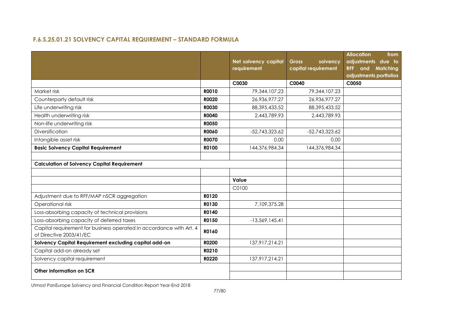## **F.6.S.25.01.21 SOLVENCY CAPITAL REQUIREMENT – STANDARD FORMULA**

|                                                                                                |              | Net solvency capital<br>requirement | solvency<br><b>Gross</b><br>capital requirement | <b>Allocation</b><br>from<br>adjustments due to<br><b>RFF</b> and Matching<br>adjustments portfolios |
|------------------------------------------------------------------------------------------------|--------------|-------------------------------------|-------------------------------------------------|------------------------------------------------------------------------------------------------------|
|                                                                                                |              | C0030                               | C0040                                           | C0050                                                                                                |
| Market risk                                                                                    | <b>ROO10</b> | 79,344,107.23                       | 79,344,107.23                                   |                                                                                                      |
| Counterparty default risk                                                                      | <b>R0020</b> | 26,936,977.27                       | 26,936,977.27                                   |                                                                                                      |
| Life underwriting risk                                                                         | <b>R0030</b> | 88,395,433.52                       | 88,395,433.52                                   |                                                                                                      |
| Health underwriting risk                                                                       | <b>R0040</b> | 2,443,789.93                        | 2,443,789.93                                    |                                                                                                      |
| Non-life underwriting risk                                                                     | <b>R0050</b> |                                     |                                                 |                                                                                                      |
| Diversification                                                                                | <b>R0060</b> | $-52,743,323.62$                    | $-52,743,323.62$                                |                                                                                                      |
| Intangible asset risk                                                                          | <b>R0070</b> | 0.00                                | 0.00                                            |                                                                                                      |
| <b>Basic Solvency Capital Requirement</b>                                                      | R0100        | 144,376,984.34                      | 144,376,984.34                                  |                                                                                                      |
| <b>Calculation of Solvency Capital Requirement</b>                                             |              |                                     |                                                 |                                                                                                      |
|                                                                                                |              | Value                               |                                                 |                                                                                                      |
|                                                                                                |              | C0100                               |                                                 |                                                                                                      |
| Adjustment due to RFF/MAP nSCR aggregation                                                     | R0120        |                                     |                                                 |                                                                                                      |
| Operational risk                                                                               | R0130        | 7,109,375.28                        |                                                 |                                                                                                      |
| Loss-absorbing capacity of technical provisions                                                | R0140        |                                     |                                                 |                                                                                                      |
| Loss-absorbing capacity of deferred taxes                                                      | R0150        | $-13,569,145.41$                    |                                                 |                                                                                                      |
| Capital requirement for business operated in accordance with Art. 4<br>of Directive 2003/41/EC | R0160        |                                     |                                                 |                                                                                                      |
| Solvency Capital Requirement excluding capital add-on                                          | <b>R0200</b> | 137,917,214.21                      |                                                 |                                                                                                      |
| Capital add-on already set                                                                     | R0210        |                                     |                                                 |                                                                                                      |
| Solvency capital requirement                                                                   | R0220        | 137,917,214.21                      |                                                 |                                                                                                      |
| Other information on SCR                                                                       |              |                                     |                                                 |                                                                                                      |
|                                                                                                |              |                                     |                                                 |                                                                                                      |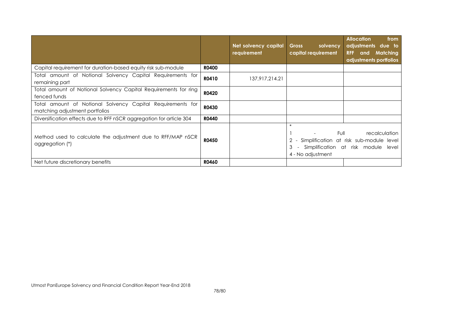|                                                                                              |              | Net solvency capital<br>requirement | <b>Gross</b><br>solvency<br>capital requirement     | <b>Allocation</b><br>from<br>adjustments due to<br>Matching<br><b>RFF</b><br>and<br>adjustments portfolios |
|----------------------------------------------------------------------------------------------|--------------|-------------------------------------|-----------------------------------------------------|------------------------------------------------------------------------------------------------------------|
| Capital requirement for duration-based equity risk sub-module                                | <b>R0400</b> |                                     |                                                     |                                                                                                            |
| Total amount of Notional Solvency Capital Requirements for<br>remaining part                 | R0410        | 137,917,214.21                      |                                                     |                                                                                                            |
| Total amount of Notional Solvency Capital Requirements for ring<br>fenced funds              | R0420        |                                     |                                                     |                                                                                                            |
| Total amount of Notional Solvency Capital Requirements for<br>matching adjustment portfolios | R0430        |                                     |                                                     |                                                                                                            |
| Diversification effects due to RFF nSCR aggregation for article 304                          | <b>R0440</b> |                                     |                                                     |                                                                                                            |
| Method used to calculate the adjustment due to RFF/MAP nSCR<br>aggregation (*)               | <b>R0450</b> |                                     | $\star$<br>Full<br>3<br>$\sim$<br>4 - No adjustment | recalculation<br>Simplification at risk sub-module level<br>Simplification at risk module<br>level         |
| Net future discretionary benefits                                                            | <b>R0460</b> |                                     |                                                     |                                                                                                            |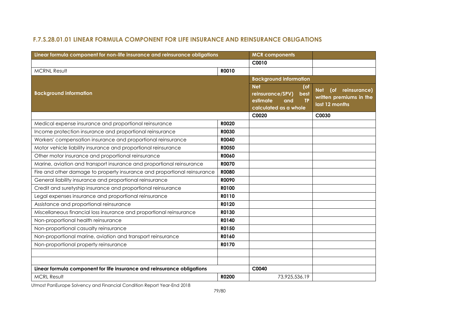## **F.7.S.28.01.01 LINEAR FORMULA COMPONENT FOR LIFE INSURANCE AND REINSURANCE OBLIGATIONS**

| Linear formula component for non-life insurance and reinsurance obligations | <b>MCR</b> components |                                                                                                        |                                                                                |
|-----------------------------------------------------------------------------|-----------------------|--------------------------------------------------------------------------------------------------------|--------------------------------------------------------------------------------|
|                                                                             |                       | C0010                                                                                                  |                                                                                |
| <b>MCRNL Result</b>                                                         | R0010                 |                                                                                                        |                                                                                |
|                                                                             |                       | <b>Background information</b>                                                                          |                                                                                |
| <b>Background information</b>                                               |                       | <b>Net</b><br>(of<br>reinsurance/SPV)<br>best<br>estimate<br><b>TP</b><br>and<br>calculated as a whole | (of<br>reinsurance)<br><b>Net</b><br>written premiums in the<br>last 12 months |
|                                                                             |                       | C0020                                                                                                  | C0030                                                                          |
| Medical expense insurance and proportional reinsurance                      | <b>R0020</b>          |                                                                                                        |                                                                                |
| Income protection insurance and proportional reinsurance                    | <b>R0030</b>          |                                                                                                        |                                                                                |
| Workers' compensation insurance and proportional reinsurance                | <b>R0040</b>          |                                                                                                        |                                                                                |
| Motor vehicle liability insurance and proportional reinsurance              | <b>RO050</b>          |                                                                                                        |                                                                                |
| Other motor insurance and proportional reinsurance                          | <b>ROO60</b>          |                                                                                                        |                                                                                |
| Marine, aviation and transport insurance and proportional reinsurance       | <b>R0070</b>          |                                                                                                        |                                                                                |
| Fire and other damage to property insurance and proportional reinsurance    | <b>R0080</b>          |                                                                                                        |                                                                                |
| General liability insurance and proportional reinsurance                    | <b>ROO90</b>          |                                                                                                        |                                                                                |
| Credit and suretyship insurance and proportional reinsurance                | R0100                 |                                                                                                        |                                                                                |
| Legal expenses insurance and proportional reinsurance                       | R0110                 |                                                                                                        |                                                                                |
| Assistance and proportional reinsurance                                     | R0120                 |                                                                                                        |                                                                                |
| Miscellaneous financial loss insurance and proportional reinsurance         | R0130                 |                                                                                                        |                                                                                |
| Non-proportional health reinsurance                                         | R0140                 |                                                                                                        |                                                                                |
| Non-proportional casualty reinsurance                                       | R0150                 |                                                                                                        |                                                                                |
| Non-proportional marine, aviation and transport reinsurance                 | R0160                 |                                                                                                        |                                                                                |
| Non-proportional property reinsurance                                       | R0170                 |                                                                                                        |                                                                                |
|                                                                             |                       |                                                                                                        |                                                                                |
|                                                                             |                       |                                                                                                        |                                                                                |
| Linear formula component for life insurance and reinsurance obligations     |                       | C0040                                                                                                  |                                                                                |
| <b>MCRL Result</b>                                                          | R0200                 | 73,925,536.19                                                                                          |                                                                                |